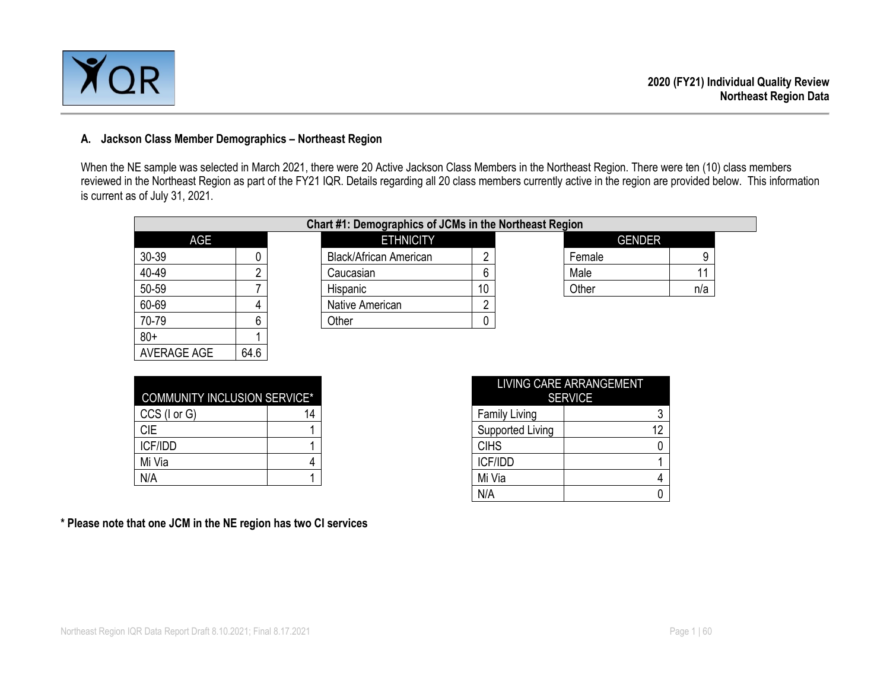

#### **A. Jackson Class Member Demographics – Northeast Region**

When the NE sample was selected in March 2021, there were 20 Active Jackson Class Members in the Northeast Region. There were ten (10) class members reviewed in the Northeast Region as part of the FY21 IQR. Details regarding all 20 class members currently active in the region are provided below. This information is current as of July 31, 2021.

|                    | Chart #1: Demographics of JCMs in the Northeast Region |                               |    |        |               |  |  |  |  |  |  |  |  |  |
|--------------------|--------------------------------------------------------|-------------------------------|----|--------|---------------|--|--|--|--|--|--|--|--|--|
| AGE                |                                                        | <b>ETHNICITY</b>              |    |        | <b>GENDER</b> |  |  |  |  |  |  |  |  |  |
| 30-39              |                                                        | <b>Black/African American</b> | n  | Female |               |  |  |  |  |  |  |  |  |  |
| 40-49              |                                                        | Caucasian                     | 6  | Male   |               |  |  |  |  |  |  |  |  |  |
| 50-59              |                                                        | Hispanic                      | 10 | Other  | n/a           |  |  |  |  |  |  |  |  |  |
| 60-69              |                                                        | Native American               | n  |        |               |  |  |  |  |  |  |  |  |  |
| 70-79              | 6                                                      | Other                         | 0  |        |               |  |  |  |  |  |  |  |  |  |
| $80+$              |                                                        |                               |    |        |               |  |  |  |  |  |  |  |  |  |
| <b>AVERAGE AGE</b> | 64.6                                                   |                               |    |        |               |  |  |  |  |  |  |  |  |  |

| <b>COMMUNITY INCLUSION SERVICE*</b> |    |
|-------------------------------------|----|
| $CCS$ ( $I$ or $G$ )                | 14 |
| CIF                                 |    |
| <b>ICF/IDD</b>                      |    |
| Mi Via                              |    |
| N/A                                 |    |

**\* Please note that one JCM in the NE region has two CI services**

| <b>COMMUNITY INCLUSION SERVICE*</b> |    |                      | LIVING CARE ARRANGEMENT<br><b>SERVICE</b> |
|-------------------------------------|----|----------------------|-------------------------------------------|
| CCS (I or G)                        | 14 | <b>Family Living</b> |                                           |
| CIE                                 |    | Supported Living     | 12                                        |
| ICF/IDD                             |    | <b>CIHS</b>          |                                           |
| Mi Via                              |    | ICF/IDD              |                                           |
| N/A                                 |    | Mi Via               |                                           |
|                                     |    | N/A                  |                                           |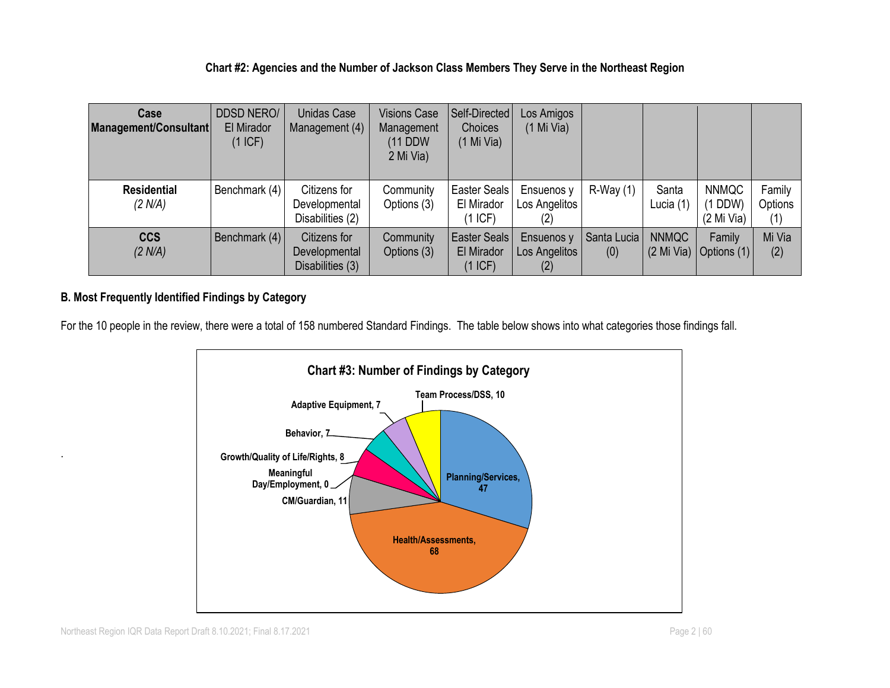#### **Chart #2: Agencies and the Number of Jackson Class Members They Serve in the Northeast Region**

| Case<br>Management/Consultant | <b>DDSD NERO/</b><br>El Mirador<br>$(1$ ICF) | <b>Unidas Case</b><br>Management (4)              | <b>Visions Case</b><br>Management<br>$(11$ DDW<br>2 Mi Via) | Self-Directed<br>Choices<br>$(1$ Mi Via) | Los Amigos<br>$(1$ Mi Via)         |                    |                              |                                      |                          |
|-------------------------------|----------------------------------------------|---------------------------------------------------|-------------------------------------------------------------|------------------------------------------|------------------------------------|--------------------|------------------------------|--------------------------------------|--------------------------|
| <b>Residential</b><br>(2 N/A) | Benchmark (4)                                | Citizens for<br>Developmental<br>Disabilities (2) | Community<br>Options (3)                                    | Easter Seals<br>El Mirador<br>(1 ICF)    | Ensuenos y<br>Los Angelitos<br>(2) | $R-Way(1)$         | Santa<br>Lucia (1)           | <b>NNMQC</b><br>1 DDW)<br>(2 Mi Via) | Family<br>Options<br>(1) |
| <b>CCS</b><br>(2 N/A)         | Benchmark (4)                                | Citizens for<br>Developmental<br>Disabilities (3) | Community<br>Options (3)                                    | Easter Seals<br>El Mirador<br>(1~ICF)    | Ensuenos y<br>Los Angelitos<br>(2) | Santa Lucia<br>(0) | <b>NNMQC</b><br>$(2$ Mi Via) | Family<br>Options (1)                | Mi Via<br>(2)            |

#### **B. Most Frequently Identified Findings by Category**

.

For the 10 people in the review, there were a total of 158 numbered Standard Findings. The table below shows into what categories those findings fall.

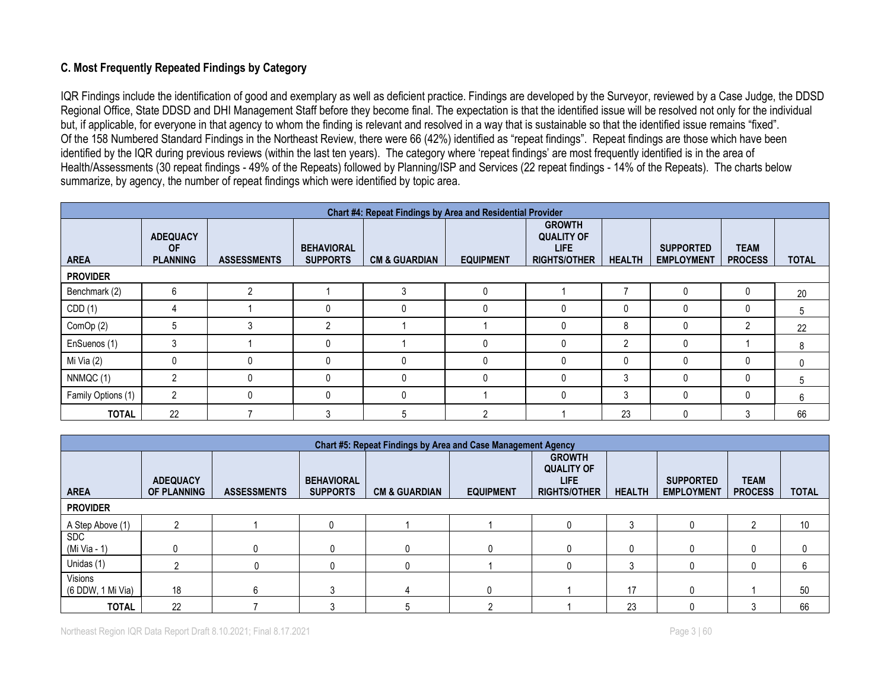#### **C. Most Frequently Repeated Findings by Category**

IQR Findings include the identification of good and exemplary as well as deficient practice. Findings are developed by the Surveyor, reviewed by a Case Judge, the DDSD Regional Office, State DDSD and DHI Management Staff before they become final. The expectation is that the identified issue will be resolved not only for the individual but, if applicable, for everyone in that agency to whom the finding is relevant and resolved in a way that is sustainable so that the identified issue remains "fixed". Of the 158 Numbered Standard Findings in the Northeast Review, there were 66 (42%) identified as "repeat findings". Repeat findings are those which have been identified by the IQR during previous reviews (within the last ten years). The category where 'repeat findings' are most frequently identified is in the area of Health/Assessments (30 repeat findings - 49% of the Repeats) followed by Planning/ISP and Services (22 repeat findings - 14% of the Repeats). The charts below summarize, by agency, the number of repeat findings which were identified by topic area.

|                    | <b>Chart #4: Repeat Findings by Area and Residential Provider</b> |                    |                                      |                          |                  |                                                                    |               |                                       |                               |              |  |  |  |  |
|--------------------|-------------------------------------------------------------------|--------------------|--------------------------------------|--------------------------|------------------|--------------------------------------------------------------------|---------------|---------------------------------------|-------------------------------|--------------|--|--|--|--|
| <b>AREA</b>        | <b>ADEQUACY</b><br>0F<br><b>PLANNING</b>                          | <b>ASSESSMENTS</b> | <b>BEHAVIORAL</b><br><b>SUPPORTS</b> | <b>CM &amp; GUARDIAN</b> | <b>EQUIPMENT</b> | <b>GROWTH</b><br><b>QUALITY OF</b><br>LIFE.<br><b>RIGHTS/OTHER</b> | <b>HEALTH</b> | <b>SUPPORTED</b><br><b>EMPLOYMENT</b> | <b>TEAM</b><br><b>PROCESS</b> | <b>TOTAL</b> |  |  |  |  |
| <b>PROVIDER</b>    |                                                                   |                    |                                      |                          |                  |                                                                    |               |                                       |                               |              |  |  |  |  |
| Benchmark (2)      | 6                                                                 | っ                  |                                      |                          |                  |                                                                    |               |                                       | 0                             | 20           |  |  |  |  |
| CDD(1)             |                                                                   |                    |                                      |                          | $\mathbf{0}$     |                                                                    |               |                                       | $\mathbf{0}$                  | 5            |  |  |  |  |
| ComOp(2)           | 5                                                                 | 3                  | C.                                   |                          |                  |                                                                    |               |                                       | $\mathcal{P}$                 | 22           |  |  |  |  |
| EnSuenos (1)       | 3                                                                 |                    |                                      |                          |                  |                                                                    | $\sim$        |                                       |                               | 8            |  |  |  |  |
| Mi Via (2)         | 0                                                                 | 0                  | 0                                    |                          |                  |                                                                    |               |                                       | $\mathbf{0}$                  | 0            |  |  |  |  |
| NNMQC(1)           | ົ                                                                 | 0                  |                                      |                          |                  |                                                                    | $\sim$        |                                       | $\mathbf{0}$                  | 5            |  |  |  |  |
| Family Options (1) | $\overline{2}$                                                    | 0                  |                                      |                          |                  | 0                                                                  | っ<br>- 3      |                                       | $\mathbf{0}$                  | 6            |  |  |  |  |
| <b>TOTAL</b>       | 22                                                                |                    | 3                                    |                          |                  |                                                                    | 23            |                                       | 3                             | 66           |  |  |  |  |

|                                     | Chart #5: Repeat Findings by Area and Case Management Agency |                    |                                      |                          |                  |                                                                          |               |                                       |                               |              |  |  |  |  |
|-------------------------------------|--------------------------------------------------------------|--------------------|--------------------------------------|--------------------------|------------------|--------------------------------------------------------------------------|---------------|---------------------------------------|-------------------------------|--------------|--|--|--|--|
| <b>AREA</b>                         | <b>ADEQUACY</b><br><b>OF PLANNING</b>                        | <b>ASSESSMENTS</b> | <b>BEHAVIORAL</b><br><b>SUPPORTS</b> | <b>CM &amp; GUARDIAN</b> | <b>EQUIPMENT</b> | <b>GROWTH</b><br><b>QUALITY OF</b><br><b>LIFE</b><br><b>RIGHTS/OTHER</b> | <b>HEALTH</b> | <b>SUPPORTED</b><br><b>EMPLOYMENT</b> | <b>TEAM</b><br><b>PROCESS</b> | <b>TOTAL</b> |  |  |  |  |
| <b>PROVIDER</b>                     |                                                              |                    |                                      |                          |                  |                                                                          |               |                                       |                               |              |  |  |  |  |
| A Step Above (1)                    |                                                              |                    |                                      |                          |                  |                                                                          |               | 0                                     |                               | 10           |  |  |  |  |
| <b>SDC</b><br>(Mi Via - 1)          |                                                              |                    |                                      |                          |                  |                                                                          | 0             | 0                                     |                               | 0            |  |  |  |  |
| Unidas (1)                          |                                                              |                    | 0                                    |                          |                  |                                                                          | 3             | $\Omega$                              |                               | 6            |  |  |  |  |
| <b>Visions</b><br>(6 DDW, 1 Mi Via) | 18                                                           | 6                  |                                      |                          | 0                |                                                                          | 17            | 0                                     |                               | 50           |  |  |  |  |
| <b>TOTAL</b>                        | 22                                                           |                    |                                      |                          |                  |                                                                          | 23            | 0                                     |                               | 66           |  |  |  |  |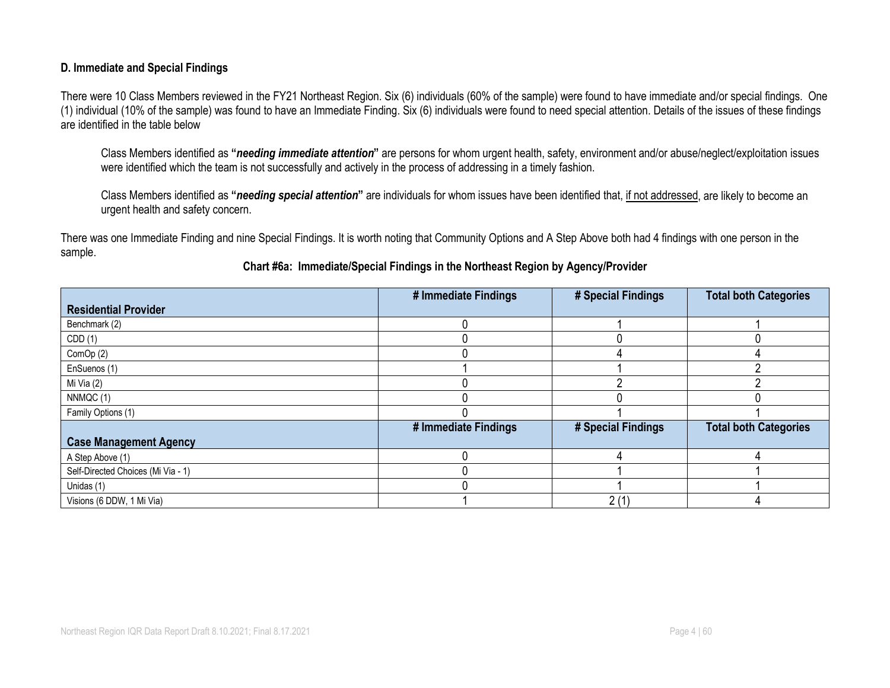#### **D. Immediate and Special Findings**

There were 10 Class Members reviewed in the FY21 Northeast Region. Six (6) individuals (60% of the sample) were found to have immediate and/or special findings. One (1) individual (10% of the sample) was found to have an Immediate Finding. Six (6) individuals were found to need special attention. Details of the issues of these findings are identified in the table below

Class Members identified as **"***needing immediate attention***"** are persons for whom urgent health, safety, environment and/or abuse/neglect/exploitation issues were identified which the team is not successfully and actively in the process of addressing in a timely fashion.

Class Members identified as **"***needing special attention***"** are individuals for whom issues have been identified that, if not addressed, are likely to become an urgent health and safety concern.

There was one Immediate Finding and nine Special Findings. It is worth noting that Community Options and A Step Above both had 4 findings with one person in the sample.

#### **Chart #6a: Immediate/Special Findings in the Northeast Region by Agency/Provider**

|                                    | # Immediate Findings | # Special Findings | <b>Total both Categories</b> |
|------------------------------------|----------------------|--------------------|------------------------------|
| <b>Residential Provider</b>        |                      |                    |                              |
| Benchmark (2)                      |                      |                    |                              |
| CDD(1)                             |                      |                    |                              |
| ComOp(2)                           |                      |                    |                              |
| EnSuenos (1)                       |                      |                    |                              |
| Mi Via (2)                         |                      |                    |                              |
| NNMQC(1)                           |                      |                    |                              |
| Family Options (1)                 |                      |                    |                              |
|                                    | # Immediate Findings | # Special Findings | <b>Total both Categories</b> |
| <b>Case Management Agency</b>      |                      |                    |                              |
| A Step Above (1)                   |                      |                    |                              |
| Self-Directed Choices (Mi Via - 1) |                      |                    |                              |
| Unidas (1)                         |                      |                    |                              |
| Visions (6 DDW, 1 Mi Via)          |                      | 2(1)               |                              |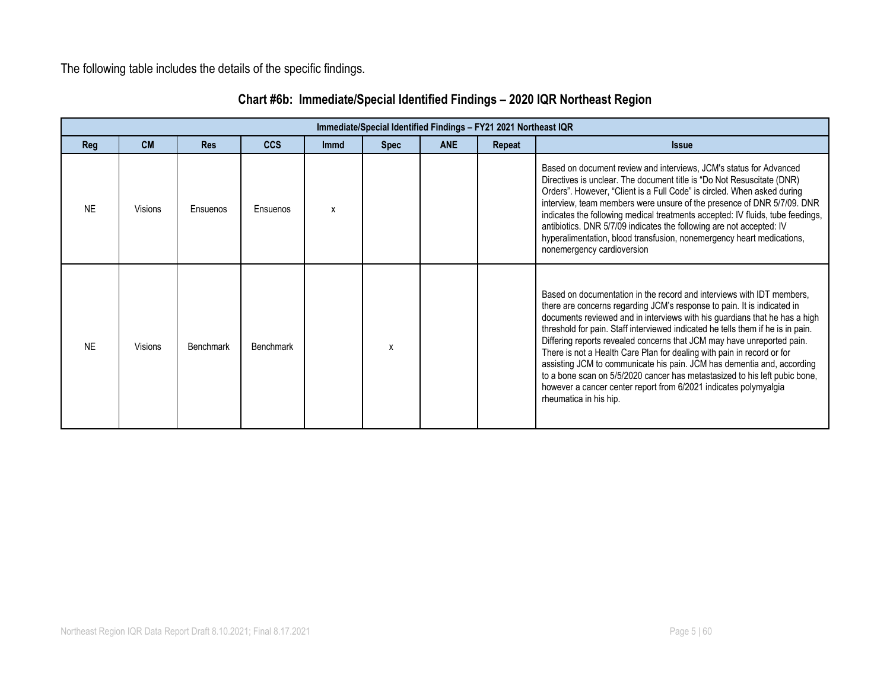The following table includes the details of the specific findings.

|           |                |            |                  |             | Immediate/Special Identified Findings - FY21 2021 Northeast IQR |            |        |                                                                                                                                                                                                                                                                                                                                                                                                                                                                                                                                                                                                                                                                                                                             |
|-----------|----------------|------------|------------------|-------------|-----------------------------------------------------------------|------------|--------|-----------------------------------------------------------------------------------------------------------------------------------------------------------------------------------------------------------------------------------------------------------------------------------------------------------------------------------------------------------------------------------------------------------------------------------------------------------------------------------------------------------------------------------------------------------------------------------------------------------------------------------------------------------------------------------------------------------------------------|
| Reg       | <b>CM</b>      | <b>Res</b> | <b>CCS</b>       | <b>Immd</b> | <b>Spec</b>                                                     | <b>ANE</b> | Repeat | <b>Issue</b>                                                                                                                                                                                                                                                                                                                                                                                                                                                                                                                                                                                                                                                                                                                |
| <b>NE</b> | <b>Visions</b> | Ensuenos   | <b>Fnsuenos</b>  | X           |                                                                 |            |        | Based on document review and interviews, JCM's status for Advanced<br>Directives is unclear. The document title is "Do Not Resuscitate (DNR)<br>Orders". However, "Client is a Full Code" is circled. When asked during<br>interview, team members were unsure of the presence of DNR 5/7/09. DNR<br>indicates the following medical treatments accepted: IV fluids, tube feedings,<br>antibiotics. DNR 5/7/09 indicates the following are not accepted: IV<br>hyperalimentation, blood transfusion, nonemergency heart medications,<br>nonemergency cardioversion                                                                                                                                                          |
| <b>NF</b> | <b>Visions</b> | Benchmark  | <b>Benchmark</b> |             | x                                                               |            |        | Based on documentation in the record and interviews with IDT members.<br>there are concerns regarding JCM's response to pain. It is indicated in<br>documents reviewed and in interviews with his guardians that he has a high<br>threshold for pain. Staff interviewed indicated he tells them if he is in pain.<br>Differing reports revealed concerns that JCM may have unreported pain.<br>There is not a Health Care Plan for dealing with pain in record or for<br>assisting JCM to communicate his pain. JCM has dementia and, according<br>to a bone scan on 5/5/2020 cancer has metastasized to his left pubic bone,<br>however a cancer center report from 6/2021 indicates polymyalgia<br>rheumatica in his hip. |

# **Chart #6b: Immediate/Special Identified Findings – 2020 IQR Northeast Region**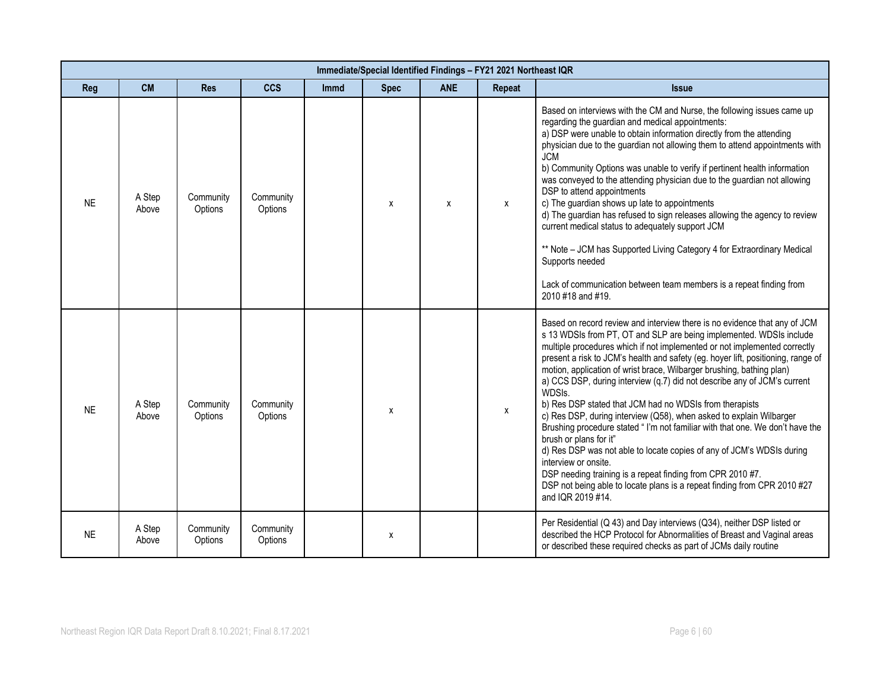|           |                 |                      |                      |             | Immediate/Special Identified Findings - FY21 2021 Northeast IQR |            |              |                                                                                                                                                                                                                                                                                                                                                                                                                                                                                                                                                                                                                                                                                                                                                                                                                                                                                                                                                                                              |
|-----------|-----------------|----------------------|----------------------|-------------|-----------------------------------------------------------------|------------|--------------|----------------------------------------------------------------------------------------------------------------------------------------------------------------------------------------------------------------------------------------------------------------------------------------------------------------------------------------------------------------------------------------------------------------------------------------------------------------------------------------------------------------------------------------------------------------------------------------------------------------------------------------------------------------------------------------------------------------------------------------------------------------------------------------------------------------------------------------------------------------------------------------------------------------------------------------------------------------------------------------------|
| Reg       | <b>CM</b>       | <b>Res</b>           | <b>CCS</b>           | <b>Immd</b> | <b>Spec</b>                                                     | <b>ANE</b> | Repeat       | <b>Issue</b>                                                                                                                                                                                                                                                                                                                                                                                                                                                                                                                                                                                                                                                                                                                                                                                                                                                                                                                                                                                 |
| <b>NE</b> | A Step<br>Above | Community<br>Options | Community<br>Options |             | X                                                               | X          | $\mathsf{x}$ | Based on interviews with the CM and Nurse, the following issues came up<br>regarding the guardian and medical appointments:<br>a) DSP were unable to obtain information directly from the attending<br>physician due to the guardian not allowing them to attend appointments with<br><b>JCM</b><br>b) Community Options was unable to verify if pertinent health information<br>was conveyed to the attending physician due to the guardian not allowing<br>DSP to attend appointments<br>c) The guardian shows up late to appointments<br>d) The guardian has refused to sign releases allowing the agency to review<br>current medical status to adequately support JCM<br>** Note - JCM has Supported Living Category 4 for Extraordinary Medical<br>Supports needed<br>Lack of communication between team members is a repeat finding from<br>2010 #18 and #19.                                                                                                                         |
| <b>NE</b> | A Step<br>Above | Community<br>Options | Community<br>Options |             | х                                                               |            | $\pmb{\chi}$ | Based on record review and interview there is no evidence that any of JCM<br>s 13 WDSIs from PT, OT and SLP are being implemented. WDSIs include<br>multiple procedures which if not implemented or not implemented correctly<br>present a risk to JCM's health and safety (eg. hoyer lift, positioning, range of<br>motion, application of wrist brace, Wilbarger brushing, bathing plan)<br>a) CCS DSP, during interview (q.7) did not describe any of JCM's current<br>WDSIs.<br>b) Res DSP stated that JCM had no WDSIs from therapists<br>c) Res DSP, during interview (Q58), when asked to explain Wilbarger<br>Brushing procedure stated "I'm not familiar with that one. We don't have the<br>brush or plans for it"<br>d) Res DSP was not able to locate copies of any of JCM's WDSIs during<br>interview or onsite.<br>DSP needing training is a repeat finding from CPR 2010 #7.<br>DSP not being able to locate plans is a repeat finding from CPR 2010 #27<br>and IQR 2019 #14. |
| <b>NE</b> | A Step<br>Above | Community<br>Options | Community<br>Options |             | X                                                               |            |              | Per Residential (Q 43) and Day interviews (Q34), neither DSP listed or<br>described the HCP Protocol for Abnormalities of Breast and Vaginal areas<br>or described these required checks as part of JCMs daily routine                                                                                                                                                                                                                                                                                                                                                                                                                                                                                                                                                                                                                                                                                                                                                                       |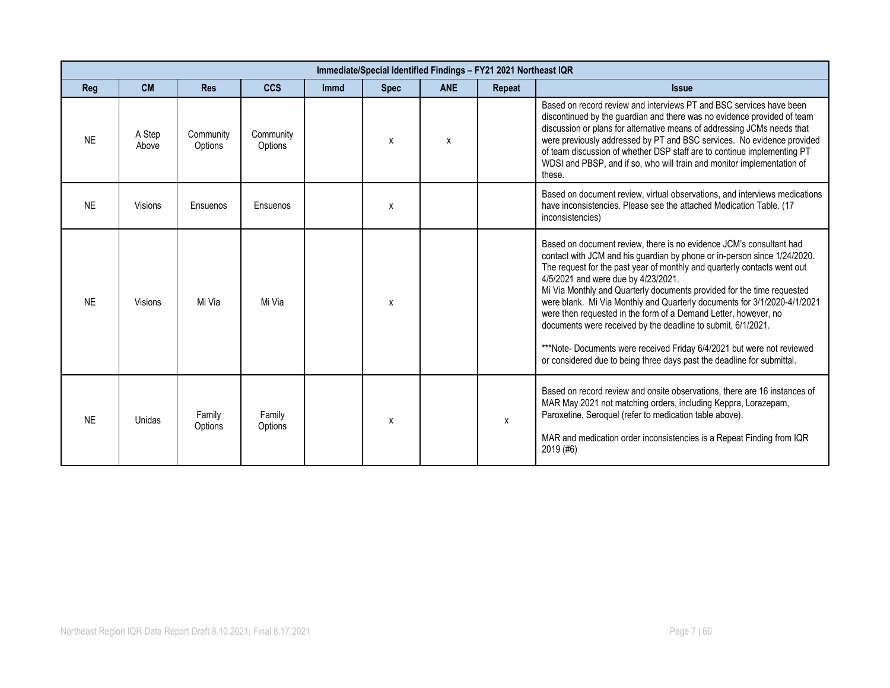|           |                 |                      |                      |             | Immediate/Special Identified Findings - FY21 2021 Northeast IQR |            |        |                                                                                                                                                                                                                                                                                                                                                                                                                                                                                                                                                                                                                                                                                                                 |
|-----------|-----------------|----------------------|----------------------|-------------|-----------------------------------------------------------------|------------|--------|-----------------------------------------------------------------------------------------------------------------------------------------------------------------------------------------------------------------------------------------------------------------------------------------------------------------------------------------------------------------------------------------------------------------------------------------------------------------------------------------------------------------------------------------------------------------------------------------------------------------------------------------------------------------------------------------------------------------|
| Reg       | <b>CM</b>       | <b>Res</b>           | <b>CCS</b>           | <b>Immd</b> | <b>Spec</b>                                                     | <b>ANE</b> | Repeat | <b>Issue</b>                                                                                                                                                                                                                                                                                                                                                                                                                                                                                                                                                                                                                                                                                                    |
| <b>NE</b> | A Step<br>Above | Community<br>Options | Community<br>Options |             | X                                                               | X          |        | Based on record review and interviews PT and BSC services have been<br>discontinued by the guardian and there was no evidence provided of team<br>discussion or plans for alternative means of addressing JCMs needs that<br>were previously addressed by PT and BSC services. No evidence provided<br>of team discussion of whether DSP staff are to continue implementing PT<br>WDSI and PBSP, and if so, who will train and monitor implementation of<br>these.                                                                                                                                                                                                                                              |
| <b>NE</b> | <b>Visions</b>  | Ensuenos             | Ensuenos             |             | χ                                                               |            |        | Based on document review, virtual observations, and interviews medications<br>have inconsistencies. Please see the attached Medication Table. (17<br>inconsistencies)                                                                                                                                                                                                                                                                                                                                                                                                                                                                                                                                           |
| <b>NE</b> | Visions         | Mi Via               | Mi Via               |             | X                                                               |            |        | Based on document review, there is no evidence JCM's consultant had<br>contact with JCM and his guardian by phone or in-person since 1/24/2020.<br>The request for the past year of monthly and quarterly contacts went out<br>4/5/2021 and were due by 4/23/2021.<br>Mi Via Monthly and Quarterly documents provided for the time requested<br>were blank. Mi Via Monthly and Quarterly documents for 3/1/2020-4/1/2021<br>were then requested in the form of a Demand Letter, however, no<br>documents were received by the deadline to submit, 6/1/2021.<br>***Note- Documents were received Friday 6/4/2021 but were not reviewed<br>or considered due to being three days past the deadline for submittal. |
| <b>NE</b> | Unidas          | Family<br>Options    | Family<br>Options    |             | х                                                               |            | X      | Based on record review and onsite observations, there are 16 instances of<br>MAR May 2021 not matching orders, including Keppra, Lorazepam,<br>Paroxetine, Seroquel (refer to medication table above).<br>MAR and medication order inconsistencies is a Repeat Finding from IQR<br>2019 (#6)                                                                                                                                                                                                                                                                                                                                                                                                                    |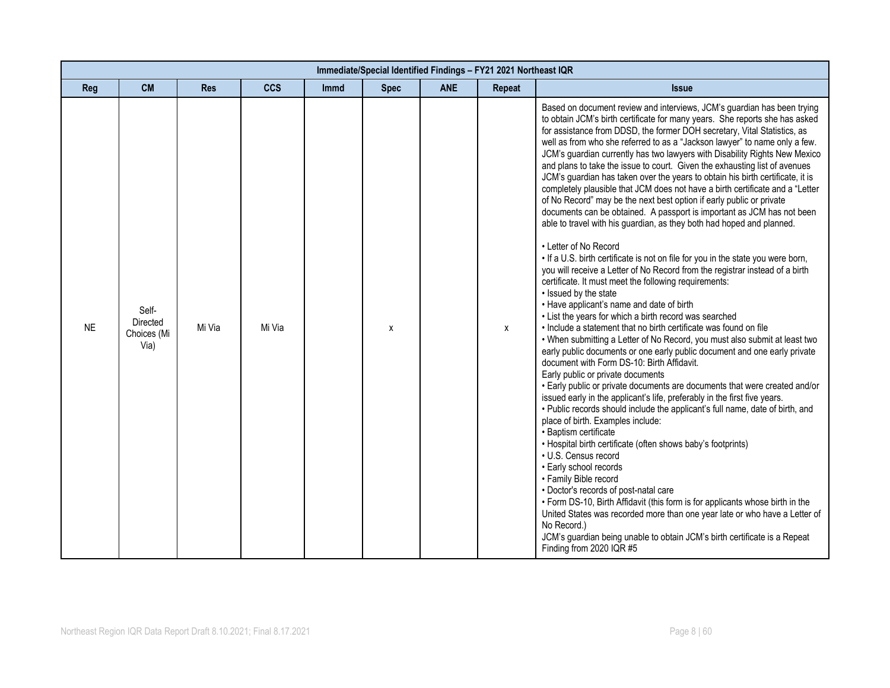|            |                                          |            |            |             | Immediate/Special Identified Findings - FY21 2021 Northeast IQR |            |        |                                                                                                                                                                                                                                                                                                                                                                                                                                                                                                                                                                                                                                                                                                                                                                                                                                                                                                                                                                                                                                                                                                                                                                                                                                                                                                                                                                                                                                                                                                                                                                                                                                                                                                                                                                                                                                                                                                                                                                                                                                                                                                                                                                                                                                                                                                                                                                          |
|------------|------------------------------------------|------------|------------|-------------|-----------------------------------------------------------------|------------|--------|--------------------------------------------------------------------------------------------------------------------------------------------------------------------------------------------------------------------------------------------------------------------------------------------------------------------------------------------------------------------------------------------------------------------------------------------------------------------------------------------------------------------------------------------------------------------------------------------------------------------------------------------------------------------------------------------------------------------------------------------------------------------------------------------------------------------------------------------------------------------------------------------------------------------------------------------------------------------------------------------------------------------------------------------------------------------------------------------------------------------------------------------------------------------------------------------------------------------------------------------------------------------------------------------------------------------------------------------------------------------------------------------------------------------------------------------------------------------------------------------------------------------------------------------------------------------------------------------------------------------------------------------------------------------------------------------------------------------------------------------------------------------------------------------------------------------------------------------------------------------------------------------------------------------------------------------------------------------------------------------------------------------------------------------------------------------------------------------------------------------------------------------------------------------------------------------------------------------------------------------------------------------------------------------------------------------------------------------------------------------------|
| <b>Reg</b> | CM                                       | <b>Res</b> | <b>CCS</b> | <b>Immd</b> | <b>Spec</b>                                                     | <b>ANE</b> | Repeat | <b>Issue</b>                                                                                                                                                                                                                                                                                                                                                                                                                                                                                                                                                                                                                                                                                                                                                                                                                                                                                                                                                                                                                                                                                                                                                                                                                                                                                                                                                                                                                                                                                                                                                                                                                                                                                                                                                                                                                                                                                                                                                                                                                                                                                                                                                                                                                                                                                                                                                             |
| <b>NE</b>  | Self-<br>Directed<br>Choices (Mi<br>Via) | Mi Via     | Mi Via     |             | x                                                               |            | X      | Based on document review and interviews, JCM's guardian has been trying<br>to obtain JCM's birth certificate for many years. She reports she has asked<br>for assistance from DDSD, the former DOH secretary, Vital Statistics, as<br>well as from who she referred to as a "Jackson lawyer" to name only a few.<br>JCM's guardian currently has two lawyers with Disability Rights New Mexico<br>and plans to take the issue to court. Given the exhausting list of avenues<br>JCM's guardian has taken over the years to obtain his birth certificate, it is<br>completely plausible that JCM does not have a birth certificate and a "Letter<br>of No Record" may be the next best option if early public or private<br>documents can be obtained. A passport is important as JCM has not been<br>able to travel with his guardian, as they both had hoped and planned.<br>• Letter of No Record<br>. If a U.S. birth certificate is not on file for you in the state you were born,<br>you will receive a Letter of No Record from the registrar instead of a birth<br>certificate. It must meet the following requirements:<br>· Issued by the state<br>• Have applicant's name and date of birth<br>• List the years for which a birth record was searched<br>. Include a statement that no birth certificate was found on file<br>. When submitting a Letter of No Record, you must also submit at least two<br>early public documents or one early public document and one early private<br>document with Form DS-10: Birth Affidavit.<br>Early public or private documents<br>. Early public or private documents are documents that were created and/or<br>issued early in the applicant's life, preferably in the first five years.<br>. Public records should include the applicant's full name, date of birth, and<br>place of birth. Examples include:<br>· Baptism certificate<br>• Hospital birth certificate (often shows baby's footprints)<br>• U.S. Census record<br>· Early school records<br>• Family Bible record<br>• Doctor's records of post-natal care<br>• Form DS-10, Birth Affidavit (this form is for applicants whose birth in the<br>United States was recorded more than one year late or who have a Letter of<br>No Record.)<br>JCM's guardian being unable to obtain JCM's birth certificate is a Repeat<br>Finding from 2020 IQR #5 |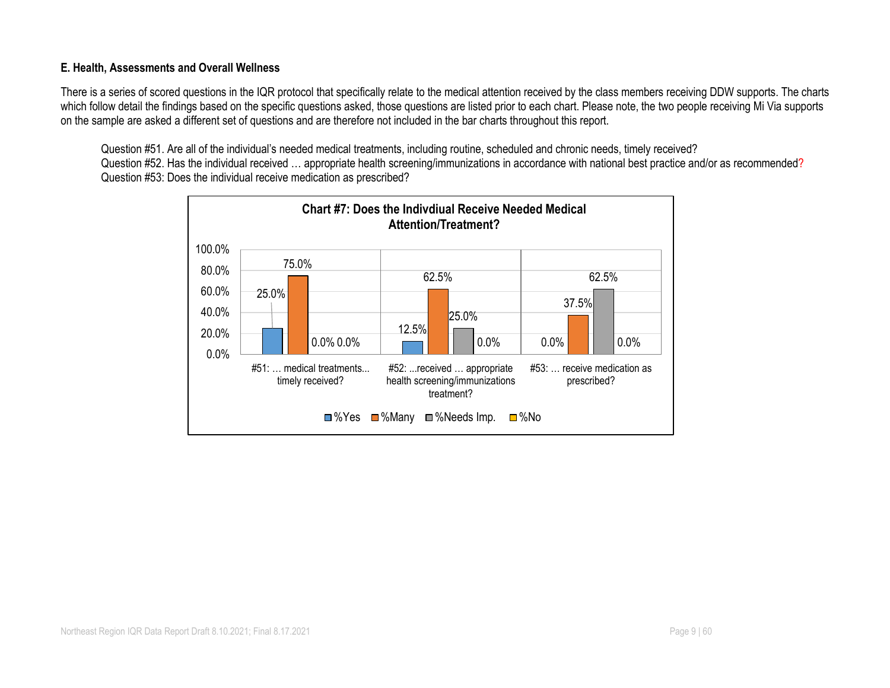#### **E. Health, Assessments and Overall Wellness**

There is a series of scored questions in the IQR protocol that specifically relate to the medical attention received by the class members receiving DDW supports. The charts which follow detail the findings based on the specific questions asked, those questions are listed prior to each chart. Please note, the two people receiving Mi Via supports on the sample are asked a different set of questions and are therefore not included in the bar charts throughout this report.

Question #51. Are all of the individual's needed medical treatments, including routine, scheduled and chronic needs, timely received? Question #52. Has the individual received ... appropriate health screening/immunizations in accordance with national best practice and/or as recommended? Question #53: Does the individual receive medication as prescribed?

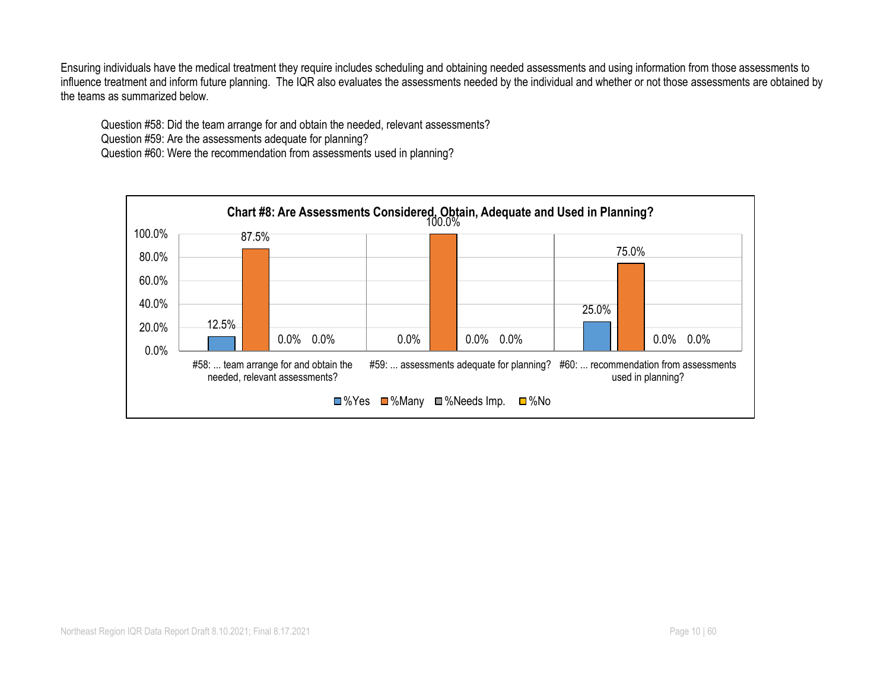Ensuring individuals have the medical treatment they require includes scheduling and obtaining needed assessments and using information from those assessments to influence treatment and inform future planning. The IQR also evaluates the assessments needed by the individual and whether or not those assessments are obtained by the teams as summarized below.

Question #58: Did the team arrange for and obtain the needed, relevant assessments?

Question #59: Are the assessments adequate for planning?

Question #60: Were the recommendation from assessments used in planning?

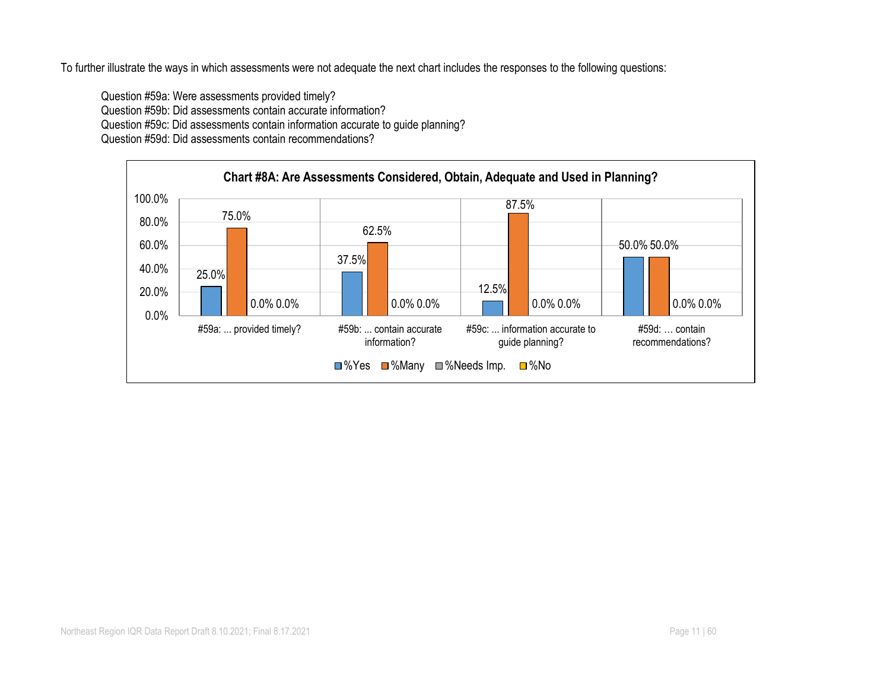To further illustrate the ways in which assessments were not adequate the next chart includes the responses to the following questions:

Question #59a: Were assessments provided timely? Question #59b: Did assessments contain accurate information? Question #59c: Did assessments contain information accurate to guide planning? Question #59d: Did assessments contain recommendations?

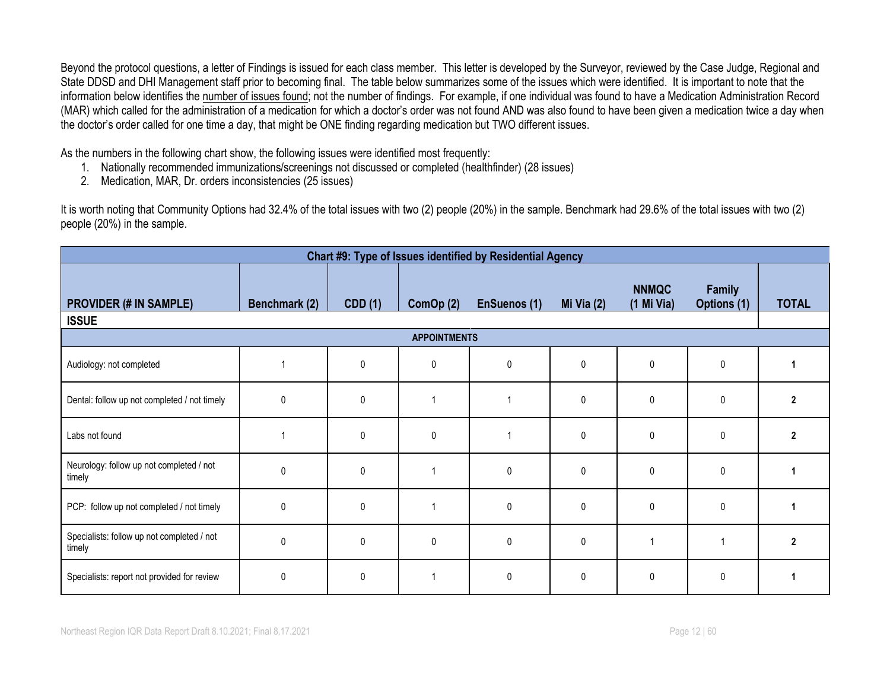Beyond the protocol questions, a letter of Findings is issued for each class member. This letter is developed by the Surveyor, reviewed by the Case Judge, Regional and State DDSD and DHI Management staff prior to becoming final. The table below summarizes some of the issues which were identified. It is important to note that the information below identifies the number of issues found; not the number of findings. For example, if one individual was found to have a Medication Administration Record (MAR) which called for the administration of a medication for which a doctor's order was not found AND was also found to have been given a medication twice a day when the doctor's order called for one time a day, that might be ONE finding regarding medication but TWO different issues.

As the numbers in the following chart show, the following issues were identified most frequently:

- 1. Nationally recommended immunizations/screenings not discussed or completed (healthfinder) (28 issues)
- 2. Medication, MAR, Dr. orders inconsistencies (25 issues)

It is worth noting that Community Options had 32.4% of the total issues with two (2) people (20%) in the sample. Benchmark had 29.6% of the total issues with two (2) people (20%) in the sample.

|                                                      |               |                |           | Chart #9: Type of Issues identified by Residential Agency |              |                            |                       |                |  |  |  |  |  |
|------------------------------------------------------|---------------|----------------|-----------|-----------------------------------------------------------|--------------|----------------------------|-----------------------|----------------|--|--|--|--|--|
| <b>PROVIDER (# IN SAMPLE)</b><br><b>ISSUE</b>        | Benchmark (2) | <b>CDD</b> (1) | ComOp (2) | EnSuenos (1)                                              | Mi Via $(2)$ | <b>NNMQC</b><br>(1 Mi Via) | Family<br>Options (1) | <b>TOTAL</b>   |  |  |  |  |  |
| <b>APPOINTMENTS</b>                                  |               |                |           |                                                           |              |                            |                       |                |  |  |  |  |  |
| Audiology: not completed                             |               | $\mathbf{0}$   | 0         | 0                                                         | 0            | 0                          | 0                     |                |  |  |  |  |  |
| Dental: follow up not completed / not timely         | $\mathbf{0}$  | $\mathbf{0}$   |           |                                                           | $\mathbf{0}$ | $\mathbf{0}$               | $\mathbf{0}$          | $\mathbf{2}$   |  |  |  |  |  |
| Labs not found                                       |               | $\mathbf 0$    | $\Omega$  |                                                           | $\mathbf{0}$ | $\mathbf 0$                | $\Omega$              | $\overline{2}$ |  |  |  |  |  |
| Neurology: follow up not completed / not<br>timely   | 0             | $\pmb{0}$      |           | 0                                                         | $\mathbf{0}$ | $\mathbf 0$                | $\mathbf{0}$          |                |  |  |  |  |  |
| PCP: follow up not completed / not timely            | $\mathbf 0$   | 0              |           | 0                                                         | 0            | 0                          | $\mathbf{0}$          | 1              |  |  |  |  |  |
| Specialists: follow up not completed / not<br>timely | $\mathbf{0}$  | $\mathbf 0$    | 0         | 0                                                         | 0            |                            |                       | $\mathbf{2}$   |  |  |  |  |  |
| Specialists: report not provided for review          | $\mathbf 0$   | $\mathbf 0$    |           | 0                                                         | $\mathbf{0}$ | $\mathbf 0$                | 0                     |                |  |  |  |  |  |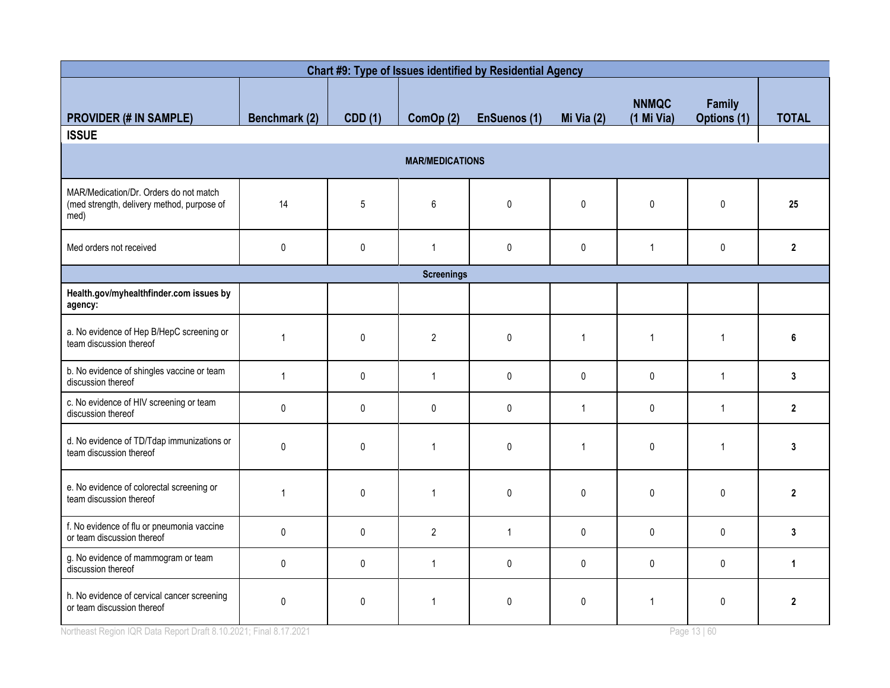| Chart #9: Type of Issues identified by Residential Agency                                    |                        |                 |                   |                     |              |                            |                       |                |  |  |  |  |  |
|----------------------------------------------------------------------------------------------|------------------------|-----------------|-------------------|---------------------|--------------|----------------------------|-----------------------|----------------|--|--|--|--|--|
| <b>PROVIDER (# IN SAMPLE)</b><br><b>ISSUE</b>                                                | Benchmark (2)          | <b>CDD</b> (1)  | ComOp (2)         | <b>EnSuenos (1)</b> | Mi Via (2)   | <b>NNMQC</b><br>(1 Mi Via) | Family<br>Options (1) | <b>TOTAL</b>   |  |  |  |  |  |
|                                                                                              | <b>MAR/MEDICATIONS</b> |                 |                   |                     |              |                            |                       |                |  |  |  |  |  |
|                                                                                              |                        |                 |                   |                     |              |                            |                       |                |  |  |  |  |  |
| MAR/Medication/Dr. Orders do not match<br>(med strength, delivery method, purpose of<br>med) | 14                     | $5\phantom{.0}$ | 6                 | $\mathbf{0}$        | $\Omega$     | $\mathbf 0$                | 0                     | 25             |  |  |  |  |  |
| Med orders not received                                                                      | $\mathbf{0}$           | $\mathbf 0$     | $\mathbf{1}$      | $\mathbf{0}$        | $\mathbf{0}$ | $\mathbf{1}$               | 0                     | $\overline{2}$ |  |  |  |  |  |
|                                                                                              |                        |                 | <b>Screenings</b> |                     |              |                            |                       |                |  |  |  |  |  |
| Health.gov/myhealthfinder.com issues by<br>agency:                                           |                        |                 |                   |                     |              |                            |                       |                |  |  |  |  |  |
| a. No evidence of Hep B/HepC screening or<br>team discussion thereof                         | $\overline{1}$         | $\pmb{0}$       | $\overline{2}$    | $\mathbf{0}$        | 1            | $\mathbf{1}$               | $\mathbf{1}$          | 6              |  |  |  |  |  |
| b. No evidence of shingles vaccine or team<br>discussion thereof                             | $\mathbf{1}$           | $\mathbf 0$     | $\mathbf{1}$      | $\mathbf{0}$        | 0            | $\mathbf{0}$               | $\mathbf{1}$          | 3              |  |  |  |  |  |
| c. No evidence of HIV screening or team<br>discussion thereof                                | $\pmb{0}$              | $\pmb{0}$       | 0                 | $\pmb{0}$           | $\mathbf{1}$ | $\mathbf 0$                | $\mathbf{1}$          | $\overline{2}$ |  |  |  |  |  |
| d. No evidence of TD/Tdap immunizations or<br>team discussion thereof                        | $\mathbf{0}$           | $\mathbf 0$     | $\mathbf{1}$      | $\mathbf{0}$        | $\mathbf{1}$ | $\mathbf{0}$               | $\mathbf{1}$          | 3              |  |  |  |  |  |
| e. No evidence of colorectal screening or<br>team discussion thereof                         | $\mathbf{1}$           | $\mathbf 0$     | $\mathbf{1}$      | $\Omega$            | $\Omega$     | $\mathbf{0}$               | 0                     | $\overline{2}$ |  |  |  |  |  |
| f. No evidence of flu or pneumonia vaccine<br>or team discussion thereof                     | $\mathbf 0$            | $\pmb{0}$       | $\overline{2}$    | $\mathbf{1}$        | $\mathbf{0}$ | $\mathbf 0$                | 0                     | 3              |  |  |  |  |  |
| g. No evidence of mammogram or team<br>discussion thereof                                    | $\mathbf{0}$           | $\mathbf 0$     | $\mathbf{1}$      | $\mathbf{0}$        | $\mathbf{0}$ | $\mathbf 0$                | 0                     | $\mathbf{1}$   |  |  |  |  |  |
| h. No evidence of cervical cancer screening<br>or team discussion thereof                    | 0                      | 0               | $\overline{1}$    | $\mathbf{0}$        | 0            | $\overline{1}$             | 0                     | $\overline{2}$ |  |  |  |  |  |

Northeast Region IQR Data Report Draft 8.10.2021; Final 8.17.2021 **Page 13** | 60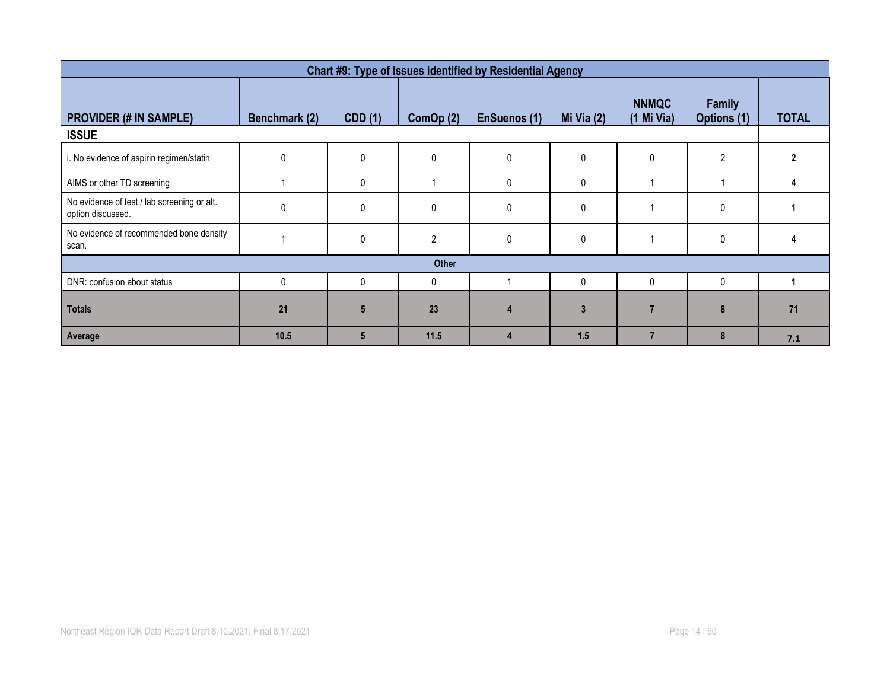| Chart #9: Type of Issues identified by Residential Agency        |               |                 |                |                |              |                              |                       |              |  |  |
|------------------------------------------------------------------|---------------|-----------------|----------------|----------------|--------------|------------------------------|-----------------------|--------------|--|--|
| <b>PROVIDER (# IN SAMPLE)</b>                                    | Benchmark (2) | CDD (1)         | ComOp (2)      | EnSuenos (1)   | Mi Via (2)   | <b>NNMQC</b><br>$(1$ Mi Via) | Family<br>Options (1) | <b>TOTAL</b> |  |  |
| <b>ISSUE</b>                                                     |               |                 |                |                |              |                              |                       |              |  |  |
| i. No evidence of aspirin regimen/statin                         | 0             | 0               | 0              | 0              | 0            | 0                            | $\overline{2}$        | $\mathbf{2}$ |  |  |
| AIMS or other TD screening                                       |               | $\mathbf 0$     |                | $\mathbf{0}$   | $\Omega$     |                              |                       | 4            |  |  |
| No evidence of test / lab screening or alt.<br>option discussed. | $\mathbf{0}$  | $\mathbf 0$     | $\mathbf 0$    | 0              | $\mathbf{0}$ |                              | 0                     |              |  |  |
| No evidence of recommended bone density<br>scan.                 |               | $\mathbf 0$     | $\overline{2}$ | $\mathbf 0$    | $\mathbf{0}$ |                              | 0                     |              |  |  |
|                                                                  |               |                 | <b>Other</b>   |                |              |                              |                       |              |  |  |
| DNR: confusion about status                                      | $\mathbf{0}$  | $\mathbf 0$     | $\mathbf 0$    |                | $\Omega$     | 0                            | $\mathbf 0$           |              |  |  |
| <b>Totals</b>                                                    | 21            | $5\phantom{.0}$ | 23             | $\overline{4}$ | 3            | $\overline{7}$               | 8                     | 71           |  |  |
| Average                                                          | 10.5          | 5               | 11.5           | 4              | 1.5          | 7                            | 8                     | 7.1          |  |  |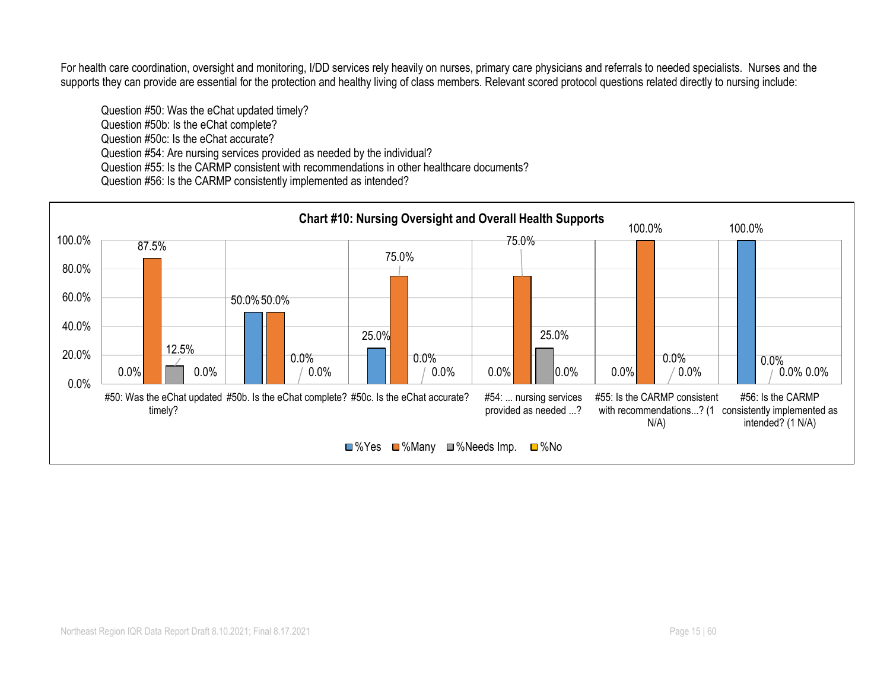For health care coordination, oversight and monitoring, I/DD services rely heavily on nurses, primary care physicians and referrals to needed specialists. Nurses and the supports they can provide are essential for the protection and healthy living of class members. Relevant scored protocol questions related directly to nursing include:

Question #50: Was the eChat updated timely? Question #50b: Is the eChat complete? Question #50c: Is the eChat accurate? Question #54: Are nursing services provided as needed by the individual? Question #55: Is the CARMP consistent with recommendations in other healthcare documents? Question #56: Is the CARMP consistently implemented as intended?

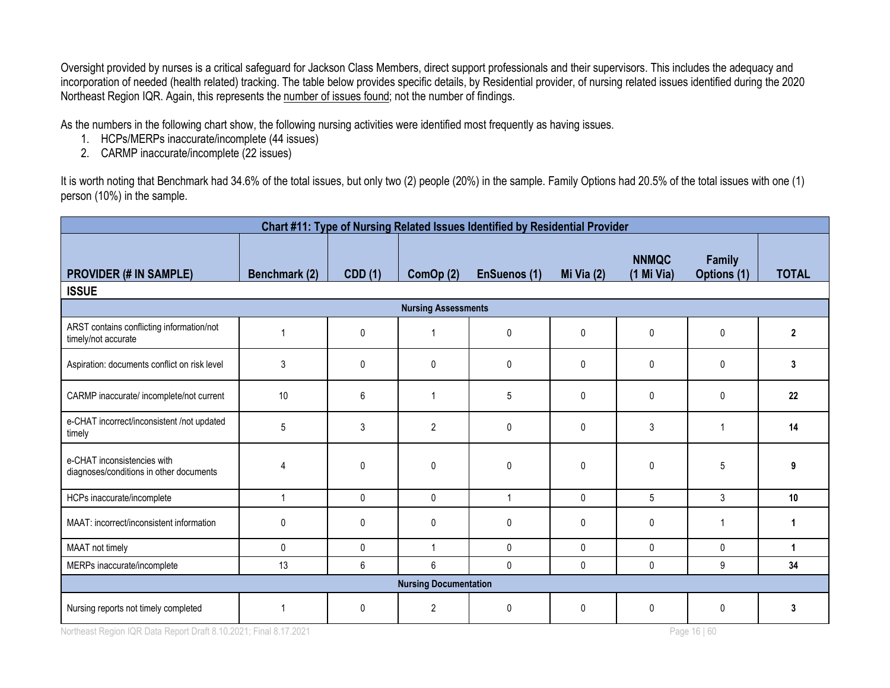Oversight provided by nurses is a critical safeguard for Jackson Class Members, direct support professionals and their supervisors. This includes the adequacy and incorporation of needed (health related) tracking. The table below provides specific details, by Residential provider, of nursing related issues identified during the 2020 Northeast Region IQR. Again, this represents the number of issues found; not the number of findings.

As the numbers in the following chart show, the following nursing activities were identified most frequently as having issues.

- 1. HCPs/MERPs inaccurate/incomplete (44 issues)
- 2. CARMP inaccurate/incomplete (22 issues)

It is worth noting that Benchmark had 34.6% of the total issues, but only two (2) people (20%) in the sample. Family Options had 20.5% of the total issues with one (1) person (10%) in the sample.

|                                                                        |               |                |                | Chart #11: Type of Nursing Related Issues Identified by Residential Provider |              |                            |                              |                |  |  |  |
|------------------------------------------------------------------------|---------------|----------------|----------------|------------------------------------------------------------------------------|--------------|----------------------------|------------------------------|----------------|--|--|--|
| <b>PROVIDER (# IN SAMPLE)</b><br><b>ISSUE</b>                          | Benchmark (2) | <b>CDD</b> (1) | ComOp(2)       | EnSuenos (1)                                                                 | Mi Via $(2)$ | <b>NNMQC</b><br>(1 Mi Via) | <b>Family</b><br>Options (1) | <b>TOTAL</b>   |  |  |  |
| <b>Nursing Assessments</b>                                             |               |                |                |                                                                              |              |                            |                              |                |  |  |  |
| ARST contains conflicting information/not<br>timely/not accurate       |               | 0              | 1              | 0                                                                            | $\mathbf{0}$ | $\mathbf{0}$               | $\mathbf{0}$                 | $\overline{2}$ |  |  |  |
| Aspiration: documents conflict on risk level                           | 3             | 0              | $\pmb{0}$      | 0                                                                            | $\mathbf{0}$ | $\mathbf{0}$               | 0                            | 3              |  |  |  |
| CARMP inaccurate/ incomplete/not current                               | 10            | 6              | 1              | 5                                                                            | $\mathbf{0}$ | $\Omega$                   | $\mathbf{0}$                 | 22             |  |  |  |
| e-CHAT incorrect/inconsistent /not updated<br>timely                   | 5             | 3              | $\overline{2}$ | 0                                                                            | $\mathbf{0}$ | 3                          |                              | 14             |  |  |  |
| e-CHAT inconsistencies with<br>diagnoses/conditions in other documents | 4             | 0              | 0              | 0                                                                            | $\mathbf 0$  | $\mathbf{0}$               | 5                            | 9              |  |  |  |
| HCPs inaccurate/incomplete                                             | 1             | $\mathbf{0}$   | 0              | $\overline{1}$                                                               | $\mathbf{0}$ | 5                          | 3                            | 10             |  |  |  |
| MAAT: incorrect/inconsistent information                               | $\mathbf{0}$  | 0              | 0              | 0                                                                            | $\mathbf 0$  | $\mathbf{0}$               | 1                            | 1              |  |  |  |
| MAAT not timely                                                        | $\mathbf{0}$  | $\mathbf{0}$   | $\mathbf{1}$   | 0                                                                            | $\mathbf{0}$ | $\mathbf{0}$               | $\mathbf{0}$                 | $\mathbf{1}$   |  |  |  |
| MERPs inaccurate/incomplete                                            | 13            | 6              | $6\phantom{1}$ | 0                                                                            | $\mathbf 0$  | $\pmb{0}$                  | 9                            | 34             |  |  |  |
| <b>Nursing Documentation</b>                                           |               |                |                |                                                                              |              |                            |                              |                |  |  |  |
| Nursing reports not timely completed                                   | 1             | 0              | $\overline{2}$ | 0                                                                            | $\mathbf{0}$ | $\mathbf{0}$               | 0                            | 3              |  |  |  |

Northeast Region IQR Data Report Draft 8.10.2021; Final 8.17.2021 **Page 16 | 60** and All 2021 and All 2021 and All 2021 and All 2021 and All 2021 and All 2021 and All 2021 and All 2021 and All 2021 and All 2021 and All 202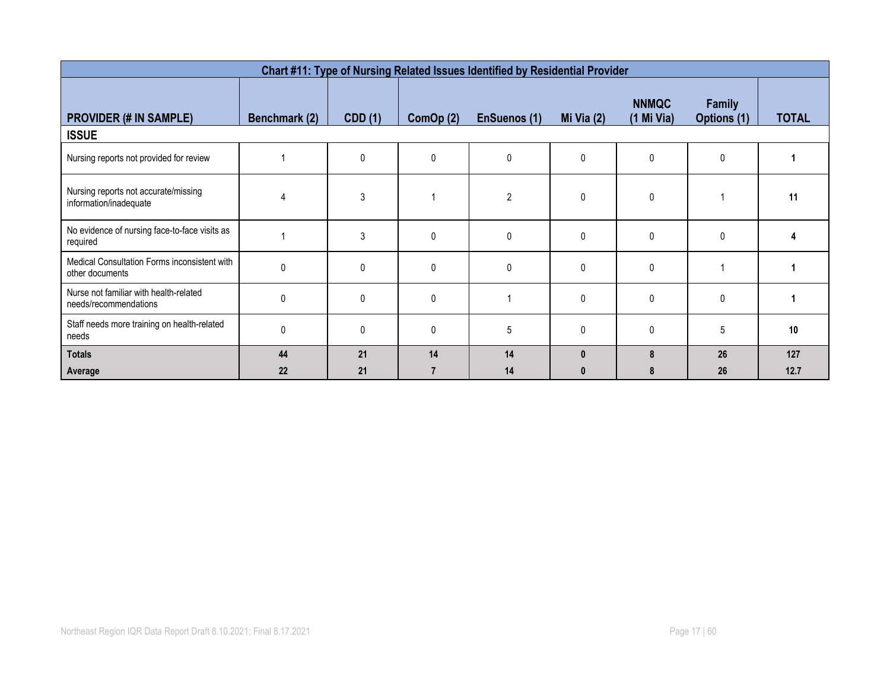|                                                                 |               |                |             | Chart #11: Type of Nursing Related Issues Identified by Residential Provider |              |                              |                                     |              |
|-----------------------------------------------------------------|---------------|----------------|-------------|------------------------------------------------------------------------------|--------------|------------------------------|-------------------------------------|--------------|
| <b>PROVIDER (# IN SAMPLE)</b><br><b>ISSUE</b>                   | Benchmark (2) | <b>CDD</b> (1) | ComOp (2)   | EnSuenos (1)                                                                 | Mi Via $(2)$ | <b>NNMQC</b><br>$(1$ Mi Via) | <b>Family</b><br><b>Options (1)</b> | <b>TOTAL</b> |
| Nursing reports not provided for review                         |               | $\Omega$       | 0           | $\mathbf 0$                                                                  | $\mathbf{0}$ | $\mathbf{0}$                 | 0                                   |              |
| Nursing reports not accurate/missing<br>information/inadequate  |               | 3              |             | $\overline{2}$                                                               | $\mathbf{0}$ | $\mathbf 0$                  |                                     | 11           |
| No evidence of nursing face-to-face visits as<br>required       |               | 3              | $\mathbf 0$ | $\mathbf{0}$                                                                 | $\mathbf{0}$ | $\mathbf 0$                  | 0                                   |              |
| Medical Consultation Forms inconsistent with<br>other documents | $\Omega$      | $\Omega$       | $\Omega$    | 0                                                                            | $\Omega$     | $\mathbf{0}$                 |                                     |              |
| Nurse not familiar with health-related<br>needs/recommendations | 0             | $\mathbf{0}$   | 0           |                                                                              | $\mathbf{0}$ | $\mathbf 0$                  | 0                                   |              |
| Staff needs more training on health-related<br>needs            | $\Omega$      | $\Omega$       | $\Omega$    | 5                                                                            | $\Omega$     | $\mathbf{0}$                 | 5                                   | 10           |
| <b>Totals</b>                                                   | 44            | 21             | 14          | 14                                                                           | $\mathbf{0}$ | 8                            | 26                                  | 127          |
| Average                                                         | 22            | 21             |             | 14                                                                           | $\mathbf{0}$ | 8                            | 26                                  | 12.7         |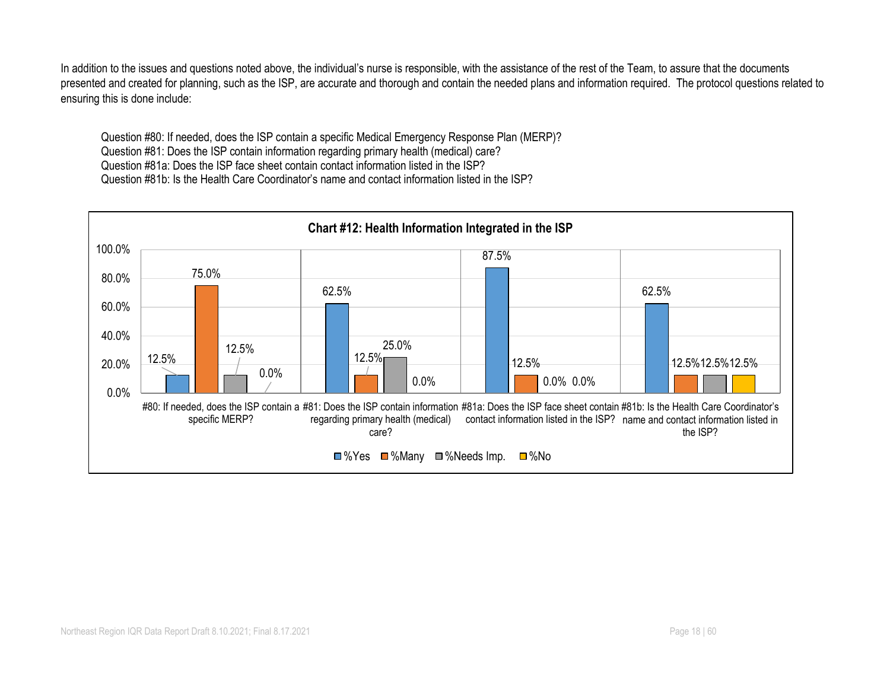In addition to the issues and questions noted above, the individual's nurse is responsible, with the assistance of the rest of the Team, to assure that the documents presented and created for planning, such as the ISP, are accurate and thorough and contain the needed plans and information required. The protocol questions related to ensuring this is done include:

Question #80: If needed, does the ISP contain a specific Medical Emergency Response Plan (MERP)? Question #81: Does the ISP contain information regarding primary health (medical) care? Question #81a: Does the ISP face sheet contain contact information listed in the ISP? Question #81b: Is the Health Care Coordinator's name and contact information listed in the ISP?

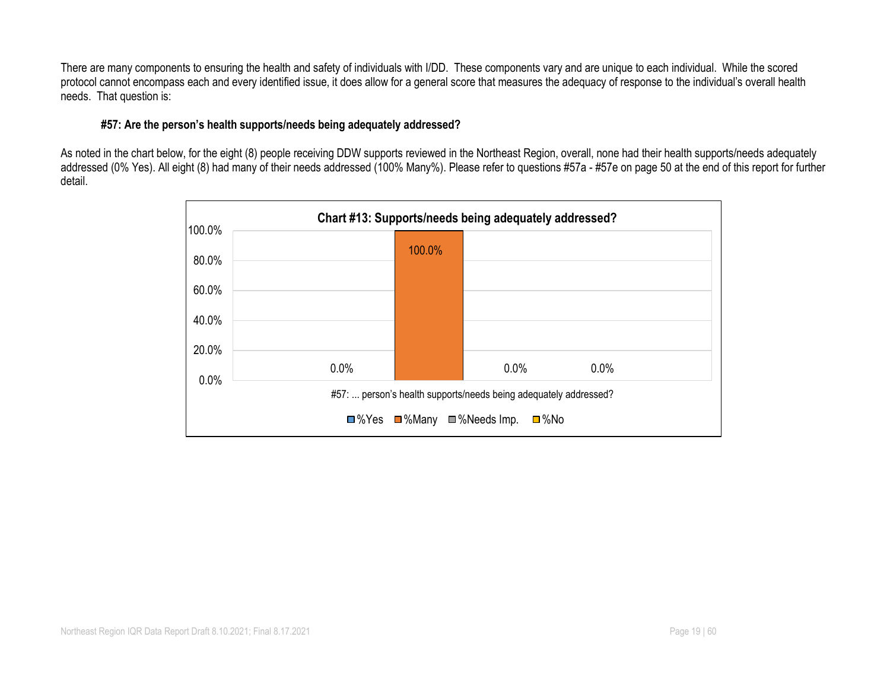There are many components to ensuring the health and safety of individuals with I/DD. These components vary and are unique to each individual. While the scored protocol cannot encompass each and every identified issue, it does allow for a general score that measures the adequacy of response to the individual's overall health needs. That question is:

#### **#57: Are the person's health supports/needs being adequately addressed?**

As noted in the chart below, for the eight (8) people receiving DDW supports reviewed in the Northeast Region, overall, none had their health supports/needs adequately addressed (0% Yes). All eight (8) had many of their needs addressed (100% Many%). Please refer to questions #57a - #57e on page 50 at the end of this report for further detail.

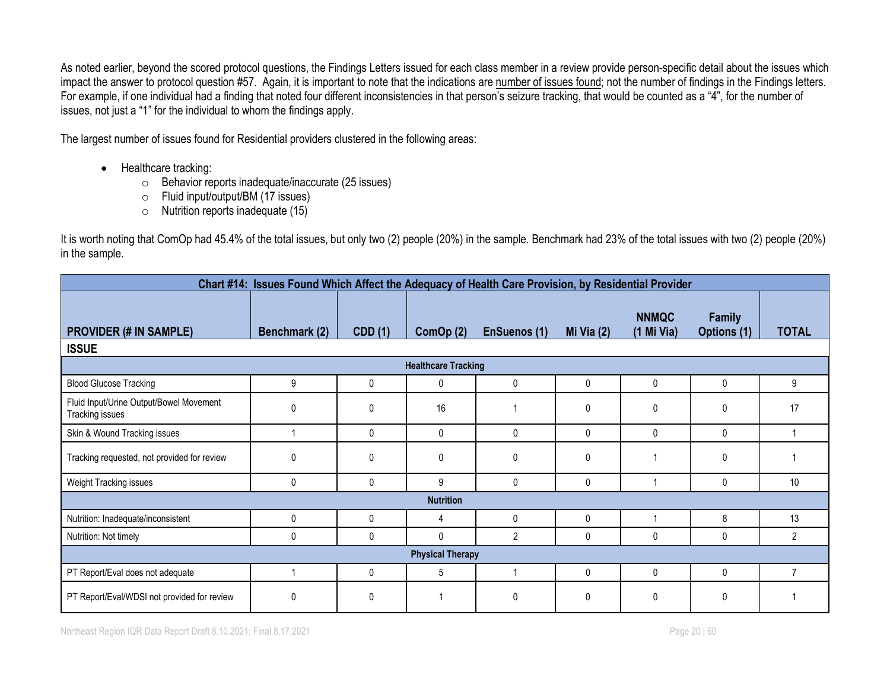As noted earlier, beyond the scored protocol questions, the Findings Letters issued for each class member in a review provide person-specific detail about the issues which impact the answer to protocol question #57. Again, it is important to note that the indications are number of issues found; not the number of findings in the Findings letters. For example, if one individual had a finding that noted four different inconsistencies in that person's seizure tracking, that would be counted as a "4", for the number of issues, not just a "1" for the individual to whom the findings apply.

The largest number of issues found for Residential providers clustered in the following areas:

- Healthcare tracking:
	- o Behavior reports inadequate/inaccurate (25 issues)
	- o Fluid input/output/BM (17 issues)
	- o Nutrition reports inadequate (15)

It is worth noting that ComOp had 45.4% of the total issues, but only two (2) people (20%) in the sample. Benchmark had 23% of the total issues with two (2) people (20%) in the sample.

|                                                            | Chart #14: Issues Found Which Affect the Adequacy of Health Care Provision, by Residential Provider |                |                            |                     |              |                            |                       |                |  |  |
|------------------------------------------------------------|-----------------------------------------------------------------------------------------------------|----------------|----------------------------|---------------------|--------------|----------------------------|-----------------------|----------------|--|--|
| <b>PROVIDER (# IN SAMPLE)</b>                              | Benchmark (2)                                                                                       | <b>CDD</b> (1) | ComOp (2)                  | <b>EnSuenos (1)</b> | Mi Via $(2)$ | <b>NNMQC</b><br>(1 Mi Via) | Family<br>Options (1) | <b>TOTAL</b>   |  |  |
| <b>ISSUE</b>                                               |                                                                                                     |                |                            |                     |              |                            |                       |                |  |  |
|                                                            |                                                                                                     |                | <b>Healthcare Tracking</b> |                     |              |                            |                       |                |  |  |
| <b>Blood Glucose Tracking</b>                              | 9                                                                                                   | 0              | $\mathbf 0$                | 0                   | 0            | $\mathbf 0$                | 0                     | 9              |  |  |
| Fluid Input/Urine Output/Bowel Movement<br>Tracking issues | $\mathbf 0$                                                                                         | 0              | 16                         |                     | 0            | $\mathbf{0}$               | 0                     | 17             |  |  |
| Skin & Wound Tracking issues                               |                                                                                                     | 0              | $\mathbf{0}$               | 0                   | $\mathbf{0}$ | $\mathbf{0}$               | $\mathbf{0}$          |                |  |  |
| Tracking requested, not provided for review                | $\mathbf 0$                                                                                         | 0              | $\mathbf{0}$               | 0                   | 0            |                            | 0                     |                |  |  |
| Weight Tracking issues                                     | 0                                                                                                   | 0              | 9                          | $\mathbf{0}$        | 0            |                            | 0                     | 10             |  |  |
|                                                            |                                                                                                     |                | <b>Nutrition</b>           |                     |              |                            |                       |                |  |  |
| Nutrition: Inadequate/inconsistent                         | $\mathbf 0$                                                                                         | 0              | 4                          | 0                   | $\mathbf 0$  |                            | 8                     | 13             |  |  |
| Nutrition: Not timely                                      | $\mathbf 0$                                                                                         | 0              | $\mathbf{0}$               | $\overline{2}$      | 0            | $\mathbf{0}$               | 0                     | $\overline{2}$ |  |  |
| <b>Physical Therapy</b>                                    |                                                                                                     |                |                            |                     |              |                            |                       |                |  |  |
| PT Report/Eval does not adequate                           |                                                                                                     | 0              | 5                          |                     | $\mathbf 0$  | $\mathbf 0$                | 0                     | $\overline{7}$ |  |  |
| PT Report/Eval/WDSI not provided for review                | 0                                                                                                   | 0              |                            | 0                   | 0            | $\mathbf{0}$               | 0                     |                |  |  |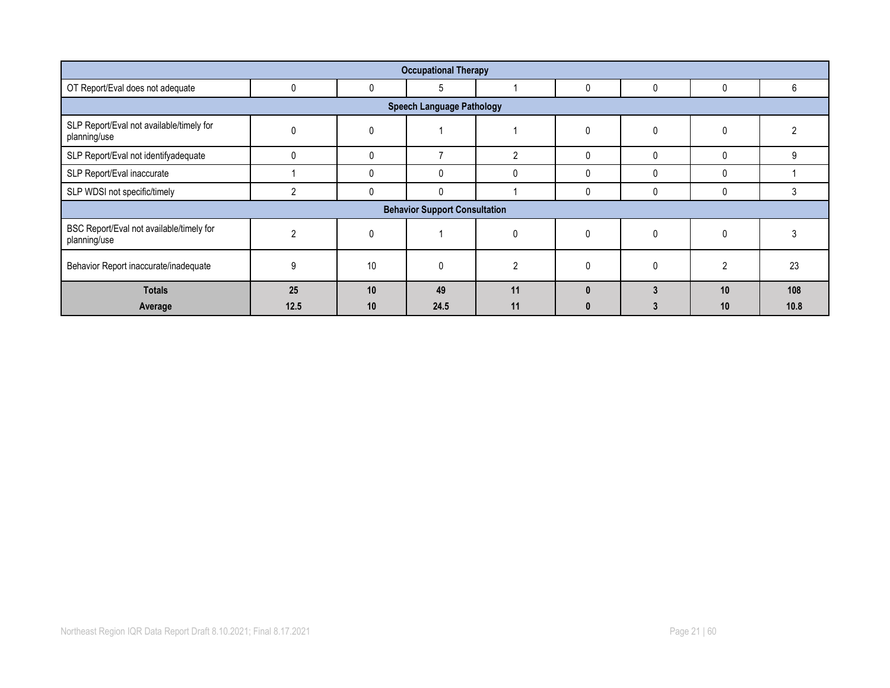| <b>Occupational Therapy</b>                              |                |    |                                      |                |             |          |                |      |  |  |  |
|----------------------------------------------------------|----------------|----|--------------------------------------|----------------|-------------|----------|----------------|------|--|--|--|
| OT Report/Eval does not adequate                         | 0              | 0  | 5                                    |                | 0           | 0        | 0              | 6    |  |  |  |
| <b>Speech Language Pathology</b>                         |                |    |                                      |                |             |          |                |      |  |  |  |
| SLP Report/Eval not available/timely for<br>planning/use | $\Omega$       |    |                                      |                | $\Omega$    | $\Omega$ | 0              |      |  |  |  |
| SLP Report/Eval not identifyadequate                     | $\Omega$       | 0  | -                                    | $\overline{2}$ | $\Omega$    | $\Omega$ | $\mathbf{0}$   | 9    |  |  |  |
| SLP Report/Eval inaccurate                               |                | 0  | 0                                    | $\mathbf{0}$   | $\Omega$    | $\Omega$ | $\mathbf{0}$   |      |  |  |  |
| SLP WDSI not specific/timely                             | 2              | 0  | 0                                    |                | 0           | 0        | 0              |      |  |  |  |
|                                                          |                |    | <b>Behavior Support Consultation</b> |                |             |          |                |      |  |  |  |
| BSC Report/Eval not available/timely for<br>planning/use | $\mathfrak{p}$ |    |                                      | 0              | $\mathbf 0$ | 0        | 0              |      |  |  |  |
| Behavior Report inaccurate/inadequate                    | 9              | 10 | 0                                    | $\mathfrak{p}$ | $\Omega$    | $\Omega$ | $\mathfrak{p}$ | 23   |  |  |  |
| <b>Totals</b>                                            | 25             | 10 | 49                                   | 11             | n           | 3        | 10             | 108  |  |  |  |
| Average                                                  | 12.5           | 10 | 24.5                                 | 11             |             |          | 10             | 10.8 |  |  |  |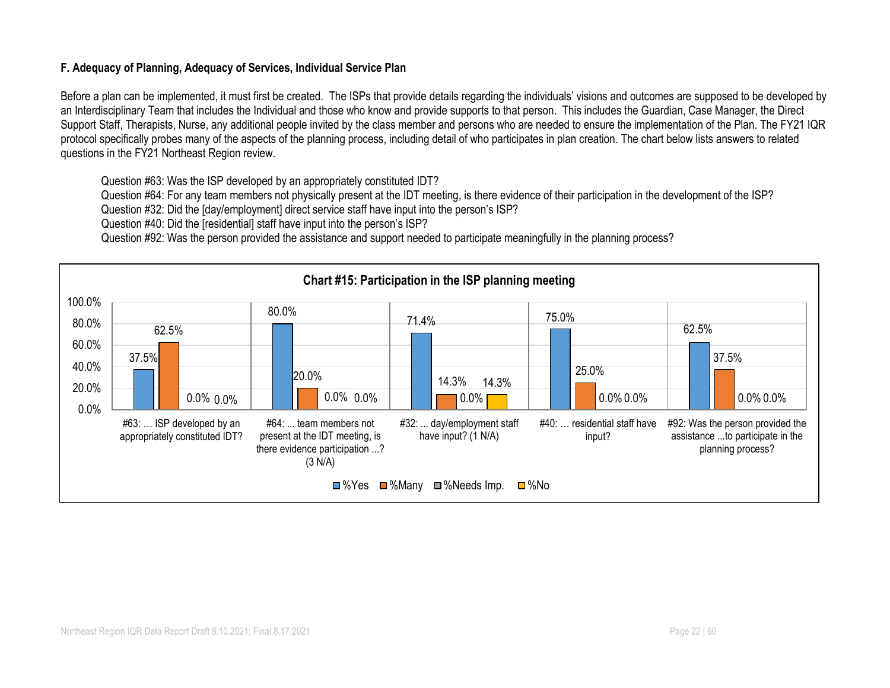#### **F. Adequacy of Planning, Adequacy of Services, Individual Service Plan**

Before a plan can be implemented, it must first be created. The ISPs that provide details regarding the individuals' visions and outcomes are supposed to be developed by an Interdisciplinary Team that includes the Individual and those who know and provide supports to that person. This includes the Guardian, Case Manager, the Direct Support Staff, Therapists, Nurse, any additional people invited by the class member and persons who are needed to ensure the implementation of the Plan. The FY21 IQR protocol specifically probes many of the aspects of the planning process, including detail of who participates in plan creation. The chart below lists answers to related questions in the FY21 Northeast Region review.

Question #63: Was the ISP developed by an appropriately constituted IDT?

Question #64: For any team members not physically present at the IDT meeting, is there evidence of their participation in the development of the ISP?

Question #32: Did the [day/employment] direct service staff have input into the person's ISP?

Question #40: Did the [residential] staff have input into the person's ISP?

Question #92: Was the person provided the assistance and support needed to participate meaningfully in the planning process?

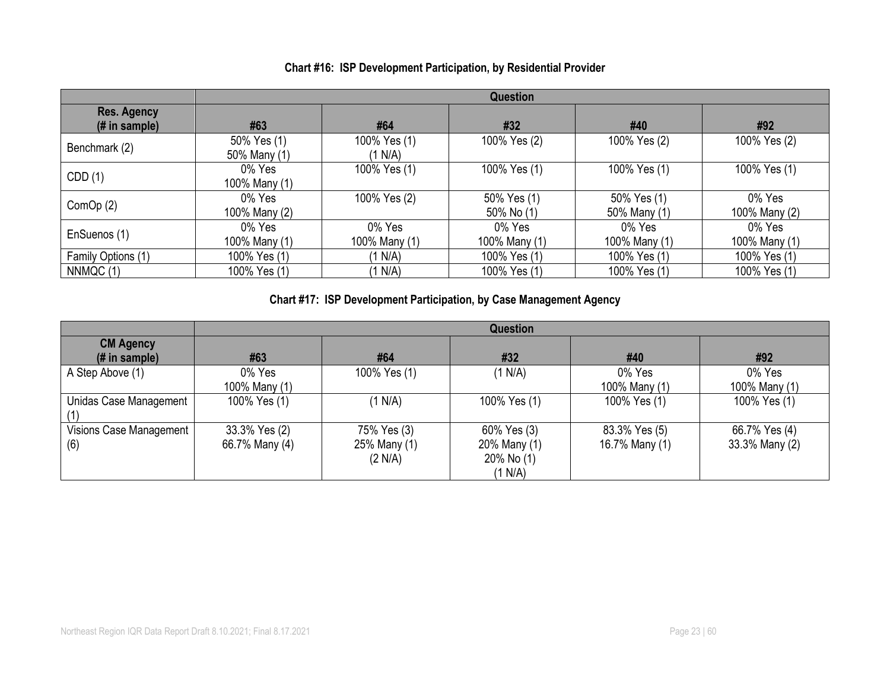|                                     |                             |                         | Question                  |                             |                         |
|-------------------------------------|-----------------------------|-------------------------|---------------------------|-----------------------------|-------------------------|
| <b>Res. Agency</b><br>(# in sample) | #63                         | #64                     | #32                       | #40                         | #92                     |
| Benchmark (2)                       | 50% Yes (1)<br>50% Many (1) | 100% Yes (1)<br>(1 N/A) | 100% Yes (2)              | 100% Yes (2)                | 100% Yes (2)            |
| CDD(1)                              | 0% Yes<br>100% Many (1)     | 100% Yes (1)            | 100% Yes (1)              | 100% Yes (1)                | 100% Yes (1)            |
| Com $Op(2)$                         | 0% Yes<br>100% Many (2)     | 100% Yes (2)            | 50% Yes (1)<br>50% No (1) | 50% Yes (1)<br>50% Many (1) | 0% Yes<br>100% Many (2) |
| EnSuenos (1)                        | 0% Yes<br>100% Many (1)     | 0% Yes<br>100% Many (1) | 0% Yes<br>100% Many (1)   | 0% Yes<br>100% Many (1)     | 0% Yes<br>100% Many (1) |
| Family Options (1)                  | 100% Yes (1)                | (1 N/A)                 | 100% Yes (1)              | 100% Yes (1)                | 100% Yes (1)            |
| NNMQC(1)                            | 100% Yes (1)                | (1 N/A)                 | 100% Yes (1)              | 100% Yes (1)                | 100% Yes (1)            |

#### **Chart #16: ISP Development Participation, by Residential Provider**

## **Chart #17: ISP Development Participation, by Case Management Agency**

|                                               |                                 |                                        | <b>Question</b>                                      |                                 |                                 |
|-----------------------------------------------|---------------------------------|----------------------------------------|------------------------------------------------------|---------------------------------|---------------------------------|
| <b>CM Agency</b><br>$(H \in \mathsf{sample})$ | #63                             | #64                                    | #32                                                  | #40                             | #92                             |
| A Step Above (1)                              | 0% Yes<br>100% Many (1)         | 100% Yes (1)                           | (1 N/A)                                              | 0% Yes<br>100% Many (1)         | 0% Yes<br>100% Many (1)         |
| Unidas Case Management                        | 100% Yes (1)                    | (1 N/A)                                | 100% Yes (1)                                         | 100% Yes (1)                    | 100% Yes (1)                    |
| Visions Case Management<br>(6)                | 33.3% Yes (2)<br>66.7% Many (4) | 75% Yes (3)<br>25% Many (1)<br>(2 N/A) | 60% Yes (3)<br>20% Many (1)<br>20% No (1)<br>(1 N/A) | 83.3% Yes (5)<br>16.7% Many (1) | 66.7% Yes (4)<br>33.3% Many (2) |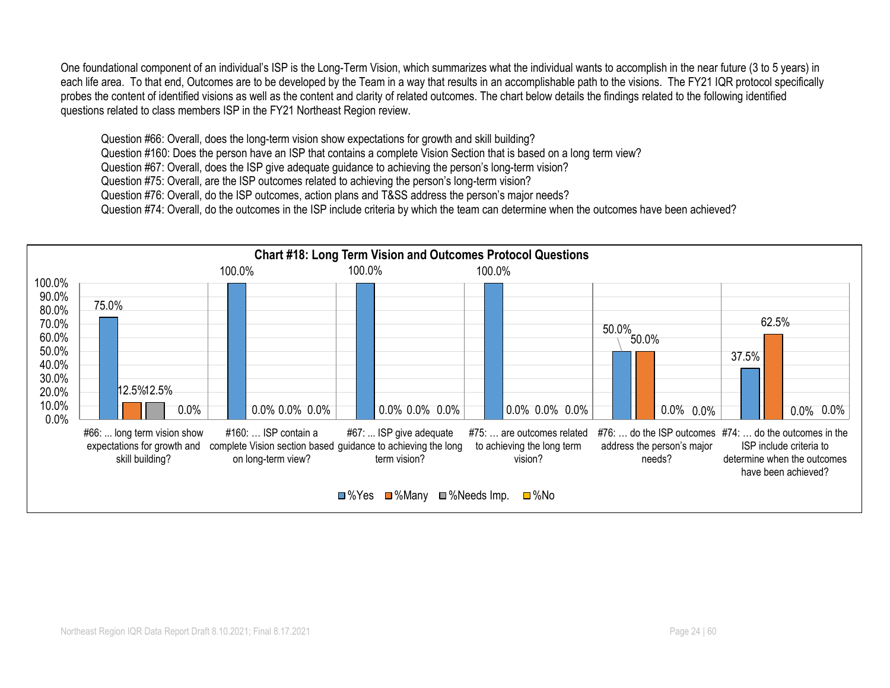One foundational component of an individual's ISP is the Long-Term Vision, which summarizes what the individual wants to accomplish in the near future (3 to 5 years) in each life area. To that end, Outcomes are to be developed by the Team in a way that results in an accomplishable path to the visions. The FY21 IQR protocol specifically probes the content of identified visions as well as the content and clarity of related outcomes. The chart below details the findings related to the following identified questions related to class members ISP in the FY21 Northeast Region review.

Question #66: Overall, does the long-term vision show expectations for growth and skill building?

Question #160: Does the person have an ISP that contains a complete Vision Section that is based on a long term view?

Question #67: Overall, does the ISP give adequate guidance to achieving the person's long-term vision?

Question #75: Overall, are the ISP outcomes related to achieving the person's long-term vision?

Question #76: Overall, do the ISP outcomes, action plans and T&SS address the person's major needs?

Question #74: Overall, do the outcomes in the ISP include criteria by which the team can determine when the outcomes have been achieved?

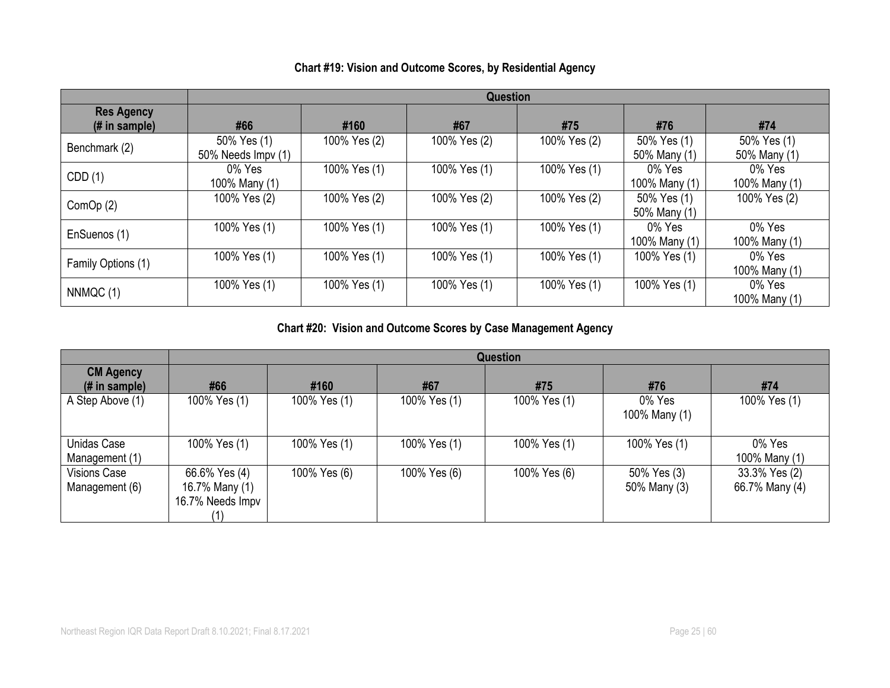|                                    |                                   | <b>Question</b> |              |              |                             |                             |  |  |  |  |  |
|------------------------------------|-----------------------------------|-----------------|--------------|--------------|-----------------------------|-----------------------------|--|--|--|--|--|
| <b>Res Agency</b><br>(# in sample) | #66                               | #160            | #67          | #75          | #76                         | #74                         |  |  |  |  |  |
| Benchmark (2)                      | 50% Yes (1)<br>50% Needs Impv (1) | 100% Yes (2)    | 100% Yes (2) | 100% Yes (2) | 50% Yes (1)<br>50% Many (1) | 50% Yes (1)<br>50% Many (1) |  |  |  |  |  |
| CDD(1)                             | 0% Yes<br>100% Many (1)           | 100% Yes (1)    | 100% Yes (1) | 100% Yes (1) | 0% Yes<br>100% Many (1)     | 0% Yes<br>100% Many (1)     |  |  |  |  |  |
| ComOp (2)                          | 100% Yes (2)                      | 100% Yes (2)    | 100% Yes (2) | 100% Yes (2) | 50% Yes (1)<br>50% Many (1) | 100% Yes (2)                |  |  |  |  |  |
| EnSuenos (1)                       | 100% Yes (1)                      | 100% Yes (1)    | 100% Yes (1) | 100% Yes (1) | 0% Yes<br>100% Many (1)     | 0% Yes<br>100% Many (1)     |  |  |  |  |  |
| Family Options (1)                 | 100% Yes (1)                      | 100% Yes (1)    | 100% Yes (1) | 100% Yes (1) | 100% Yes (1)                | 0% Yes<br>100% Many (1)     |  |  |  |  |  |
| NNMQC(1)                           | 100% Yes (1)                      | 100% Yes (1)    | 100% Yes (1) | 100% Yes (1) | 100% Yes (1)                | 0% Yes<br>100% Many (1)     |  |  |  |  |  |

#### **Chart #19: Vision and Outcome Scores, by Residential Agency**

## **Chart #20: Vision and Outcome Scores by Case Management Agency**

|                                                     |                                                     | <b>Question</b> |              |              |                             |                                 |  |  |  |  |  |
|-----------------------------------------------------|-----------------------------------------------------|-----------------|--------------|--------------|-----------------------------|---------------------------------|--|--|--|--|--|
| <b>CM Agency</b><br>$(H \in \mathbb{R})$ in sample) | #66                                                 | #160            | #67          | #75          | #76                         | #74                             |  |  |  |  |  |
| A Step Above (1)                                    | 100% Yes (1)                                        | 100% Yes (1)    | 100% Yes (1) | 100% Yes (1) | 0% Yes<br>100% Many (1)     | 100% Yes (1)                    |  |  |  |  |  |
| Unidas Case<br>Management (1)                       | 100% Yes (1)                                        | 100% Yes (1)    | 100% Yes (1) | 100% Yes (1) | 100% Yes (1)                | 0% Yes<br>100% Many (1)         |  |  |  |  |  |
| <b>Visions Case</b><br>Management (6)               | 66.6% Yes (4)<br>16.7% Many (1)<br>16.7% Needs Impv | 100% Yes (6)    | 100% Yes (6) | 100% Yes (6) | 50% Yes (3)<br>50% Many (3) | 33.3% Yes (2)<br>66.7% Many (4) |  |  |  |  |  |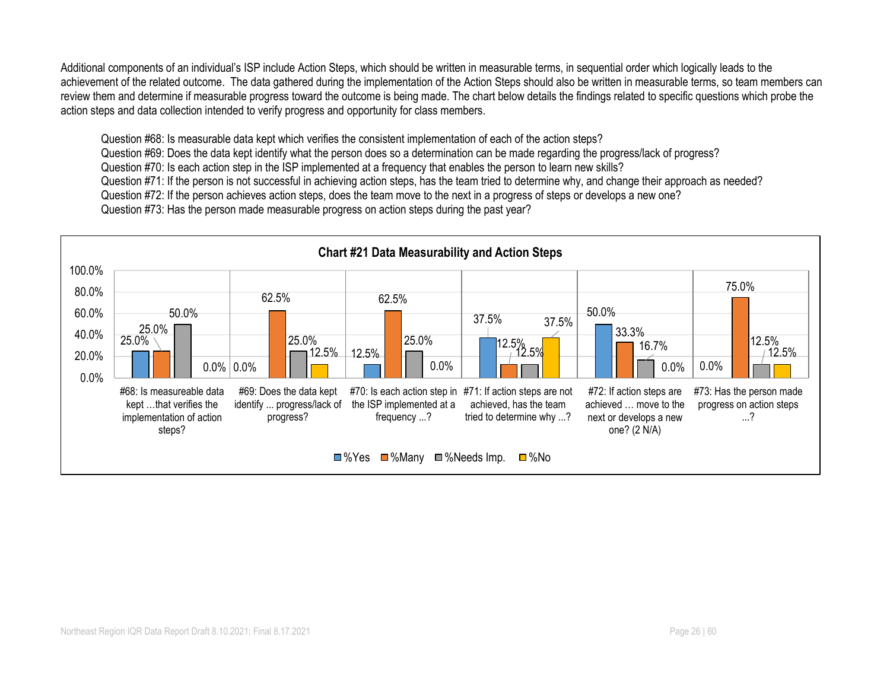Additional components of an individual's ISP include Action Steps, which should be written in measurable terms, in sequential order which logically leads to the achievement of the related outcome. The data gathered during the implementation of the Action Steps should also be written in measurable terms, so team members can review them and determine if measurable progress toward the outcome is being made. The chart below details the findings related to specific questions which probe the action steps and data collection intended to verify progress and opportunity for class members.

Question #68: Is measurable data kept which verifies the consistent implementation of each of the action steps?

Question #69: Does the data kept identify what the person does so a determination can be made regarding the progress/lack of progress?

Question #70: Is each action step in the ISP implemented at a frequency that enables the person to learn new skills?

Question #71: If the person is not successful in achieving action steps, has the team tried to determine why, and change their approach as needed?

Question #72: If the person achieves action steps, does the team move to the next in a progress of steps or develops a new one?

Question #73: Has the person made measurable progress on action steps during the past year?

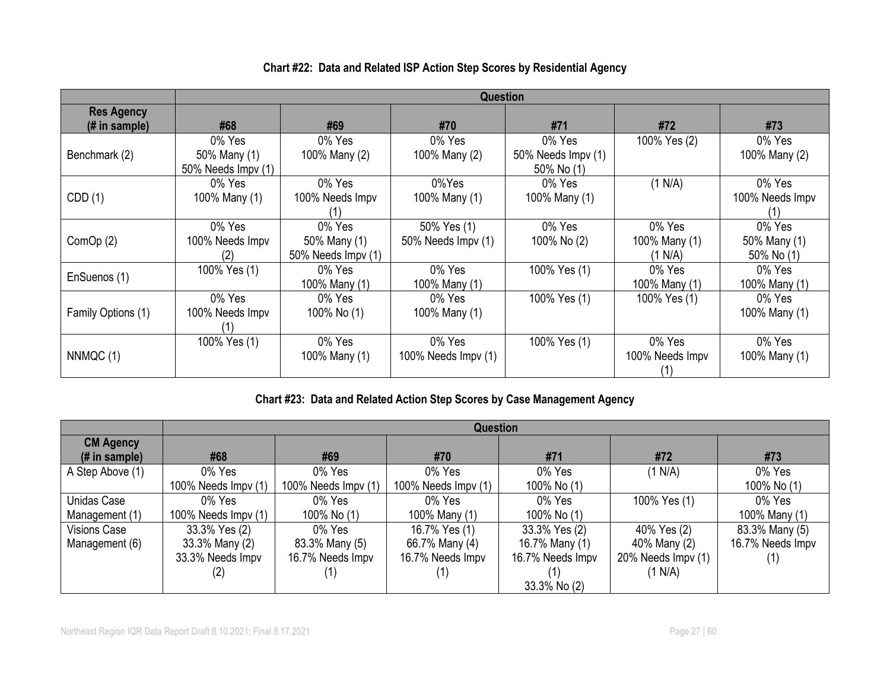|                                     |                                              |                                              | <b>Question</b>                   |                                            |                                    |                                      |
|-------------------------------------|----------------------------------------------|----------------------------------------------|-----------------------------------|--------------------------------------------|------------------------------------|--------------------------------------|
| <b>Res Agency</b><br>$#$ in sample) | #68                                          | #69                                          | #70                               | #71                                        | #72                                | #73                                  |
| Benchmark (2)                       | 0% Yes<br>50% Many (1)<br>50% Needs Impv (1) | 0% Yes<br>100% Many (2)                      | 0% Yes<br>100% Many (2)           | 0% Yes<br>50% Needs Impv (1)<br>50% No (1) | 100% Yes (2)                       | 0% Yes<br>100% Many (2)              |
| CDD(1)                              | 0% Yes<br>100% Many (1)                      | 0% Yes<br>100% Needs Impv                    | 0%Yes<br>100% Many (1)            | 0% Yes<br>100% Many (1)                    | (1 N/A)                            | 0% Yes<br>100% Needs Impv            |
| Com $Op(2)$                         | 0% Yes<br>100% Needs Impv<br>(2)             | 0% Yes<br>50% Many (1)<br>50% Needs Impv (1) | 50% Yes (1)<br>50% Needs Impv (1) | 0% Yes<br>100% No (2)                      | 0% Yes<br>100% Many (1)<br>(1 N/A) | 0% Yes<br>50% Many (1)<br>50% No (1) |
| EnSuenos (1)                        | 100% Yes (1)                                 | 0% Yes<br>100% Many (1)                      | 0% Yes<br>100% Many (1)           | 100% Yes (1)                               | 0% Yes<br>100% Many (1)            | 0% Yes<br>100% Many (1)              |
| Family Options (1)                  | 0% Yes<br>100% Needs Impv                    | 0% Yes<br>100% No (1)                        | 0% Yes<br>100% Many (1)           | 100% Yes (1)                               | 100% Yes (1)                       | 0% Yes<br>100% Many (1)              |
| NNMQC(1)                            | 100% Yes (1)                                 | 0% Yes<br>100% Many (1)                      | 0% Yes<br>100% Needs Impv (1)     | 100% Yes (1)                               | 0% Yes<br>100% Needs Impv          | 0% Yes<br>100% Many (1)              |

## **Chart #22: Data and Related ISP Action Step Scores by Residential Agency**

#### **Chart #23: Data and Related Action Step Scores by Case Management Agency**

|                                    |                     |                     | <b>Question</b>     |                  |                    |                  |
|------------------------------------|---------------------|---------------------|---------------------|------------------|--------------------|------------------|
| <b>CM Agency</b><br>$#$ in sample) | #68                 | #69                 | #70                 | #71              | #72                | #73              |
| A Step Above (1)                   | 0% Yes              | 0% Yes              | 0% Yes              | 0% Yes           | (1 N/A)            | 0% Yes           |
|                                    | 100% Needs Impv (1) | 100% Needs Impv (1) | 100% Needs Impv (1) | 100% No (1)      |                    | 100% No (1)      |
| Unidas Case                        | 0% Yes              | 0% Yes              | 0% Yes              | 0% Yes           | 100% Yes (1)       | 0% Yes           |
| Management (1)                     | 100% Needs Impv (1) | 100% No (1)         | 100% Many (1)       | 100% No (1)      |                    | 100% Many (1)    |
| <b>Visions Case</b>                | 33.3% Yes (2)       | 0% Yes              | 16.7% Yes (1)       | 33.3% Yes (2)    | 40% Yes (2)        | 83.3% Many (5)   |
| Management (6)                     | 33.3% Many (2)      | 83.3% Many (5)      | 66.7% Many (4)      | 16.7% Many (1)   | 40% Many (2)       | 16.7% Needs Impv |
|                                    | 33.3% Needs Impv    | 16.7% Needs Impv    | 16.7% Needs Impv    | 16.7% Needs Impv | 20% Needs Impv (1) |                  |
|                                    | (2)                 |                     |                     |                  | (1 N/A)            |                  |
|                                    |                     |                     |                     | 33.3% No (2)     |                    |                  |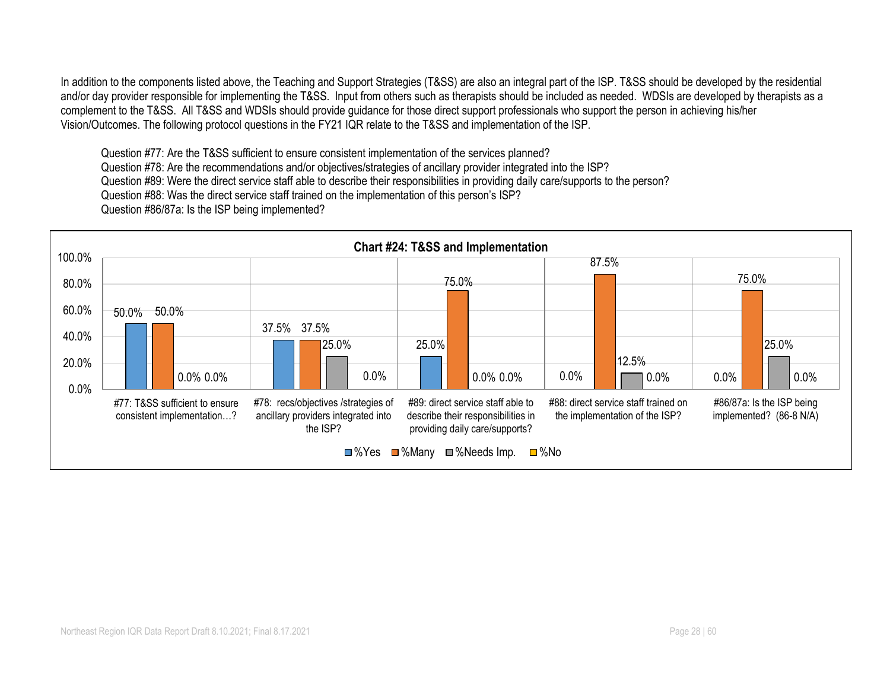In addition to the components listed above, the Teaching and Support Strategies (T&SS) are also an integral part of the ISP. T&SS should be developed by the residential and/or day provider responsible for implementing the T&SS. Input from others such as therapists should be included as needed. WDSIs are developed by therapists as a complement to the T&SS. All T&SS and WDSIs should provide guidance for those direct support professionals who support the person in achieving his/her Vision/Outcomes. The following protocol questions in the FY21 IQR relate to the T&SS and implementation of the ISP.

Question #77: Are the T&SS sufficient to ensure consistent implementation of the services planned? Question #78: Are the recommendations and/or objectives/strategies of ancillary provider integrated into the ISP? Question #89: Were the direct service staff able to describe their responsibilities in providing daily care/supports to the person? Question #88: Was the direct service staff trained on the implementation of this person's ISP? Question #86/87a: Is the ISP being implemented?

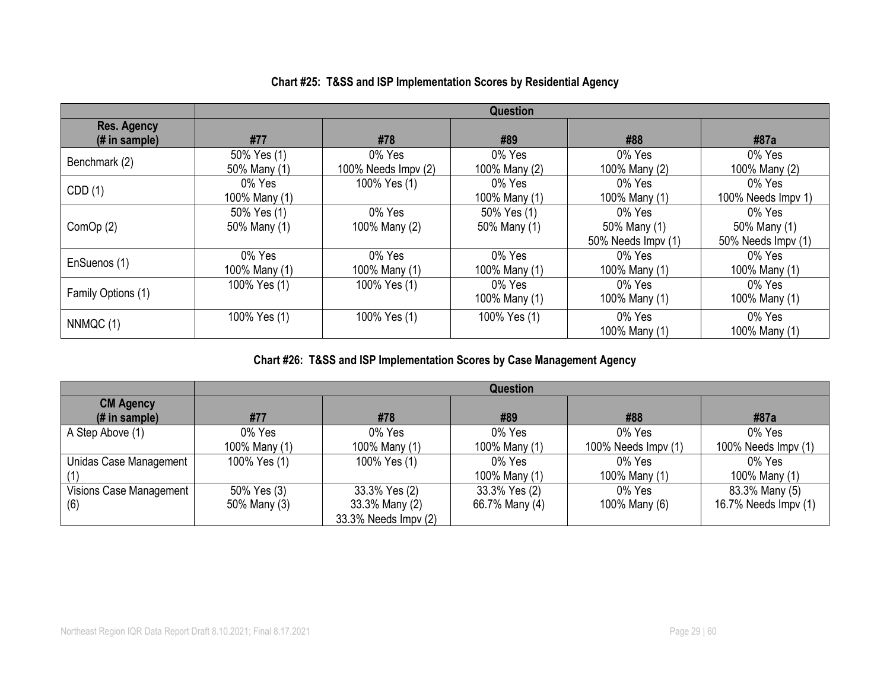|                                      |                             |                               | <b>Question</b>             |                                              |                                              |
|--------------------------------------|-----------------------------|-------------------------------|-----------------------------|----------------------------------------------|----------------------------------------------|
| <b>Res. Agency</b><br>$#$ in sample) | #77                         | #78                           | #89                         | #88                                          | #87a                                         |
| Benchmark (2)                        | 50% Yes (1)<br>50% Many (1) | 0% Yes<br>100% Needs Impv (2) | 0% Yes<br>100% Many (2)     | 0% Yes<br>100% Many (2)                      | 0% Yes<br>100% Many (2)                      |
| CDD(1)                               | 0% Yes<br>100% Many (1)     | 100% Yes (1)                  | 0% Yes<br>100% Many (1)     | 0% Yes<br>100% Many (1)                      | 0% Yes<br>100% Needs Impv 1)                 |
| ComOp (2)                            | 50% Yes (1)<br>50% Many (1) | 0% Yes<br>100% Many (2)       | 50% Yes (1)<br>50% Many (1) | 0% Yes<br>50% Many (1)<br>50% Needs Impv (1) | 0% Yes<br>50% Many (1)<br>50% Needs Impv (1) |
| EnSuenos (1)                         | 0% Yes<br>100% Many (1)     | 0% Yes<br>100% Many (1)       | 0% Yes<br>100% Many (1)     | 0% Yes<br>100% Many (1)                      | 0% Yes<br>100% Many (1)                      |
| Family Options (1)                   | 100% Yes (1)                | 100% Yes (1)                  | 0% Yes<br>100% Many (1)     | 0% Yes<br>100% Many (1)                      | 0% Yes<br>100% Many (1)                      |
| NNMQC(1)                             | 100% Yes (1)                | 100% Yes (1)                  | 100% Yes (1)                | 0% Yes<br>100% Many (1)                      | 0% Yes<br>100% Many (1)                      |

## **Chart #25: T&SS and ISP Implementation Scores by Residential Agency**

## **Chart #26: T&SS and ISP Implementation Scores by Case Management Agency**

|                                    | Question      |                      |                |                      |                      |  |  |
|------------------------------------|---------------|----------------------|----------------|----------------------|----------------------|--|--|
| <b>CM Agency</b><br>$#$ in sample) | #77           | #78                  | #89            | #88                  | #87a                 |  |  |
| A Step Above (1)                   | 0% Yes        | 0% Yes               | 0% Yes         | 0% Yes               | 0% Yes               |  |  |
|                                    | 100% Many (1) | 100% Many (1)        | 100% Many (1)  | 100% Needs $Impv(1)$ | 100% Needs Impv (1)  |  |  |
| Unidas Case Management             | 100% Yes (1)  | 100% Yes (1)         | 0% Yes         | 0% Yes               | 0% Yes               |  |  |
|                                    |               |                      | 100% Many (1)  | 100% Many (1)        | 100% Many (1)        |  |  |
| Visions Case Management            | 50% Yes (3)   | 33.3% Yes (2)        | 33.3% Yes (2)  | 0% Yes               | 83.3% Many (5)       |  |  |
| (6)                                | 50% Many (3)  | 33.3% Many (2)       | 66.7% Many (4) | 100% Many (6)        | 16.7% Needs Impv (1) |  |  |
|                                    |               | 33.3% Needs Impv (2) |                |                      |                      |  |  |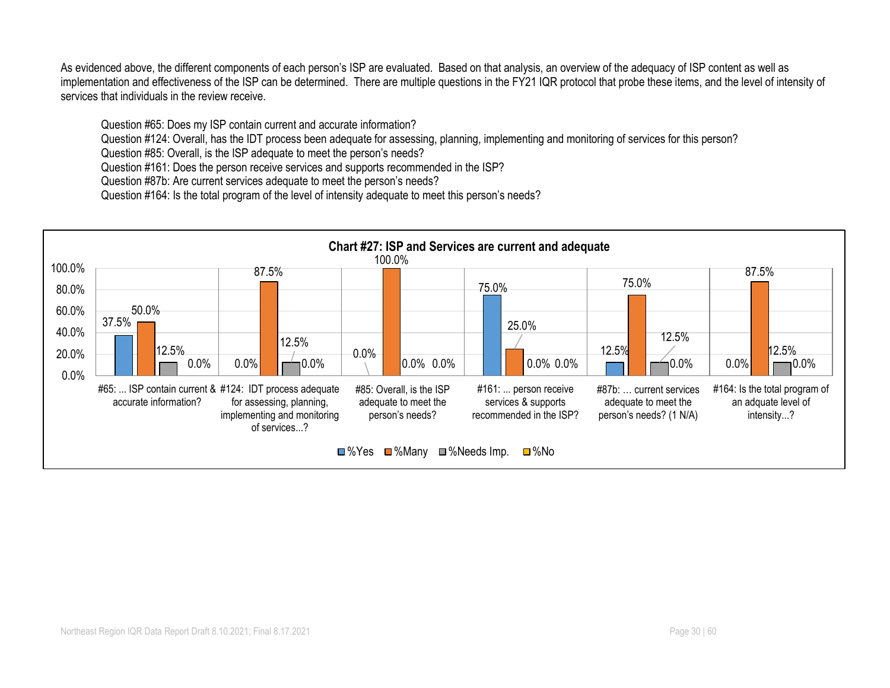As evidenced above, the different components of each person's ISP are evaluated. Based on that analysis, an overview of the adequacy of ISP content as well as implementation and effectiveness of the ISP can be determined. There are multiple questions in the FY21 IQR protocol that probe these items, and the level of intensity of services that individuals in the review receive.

Question #65: Does my ISP contain current and accurate information?

Question #124: Overall, has the IDT process been adequate for assessing, planning, implementing and monitoring of services for this person?

Question #85: Overall, is the ISP adequate to meet the person's needs?

Question #161: Does the person receive services and supports recommended in the ISP?

Question #87b: Are current services adequate to meet the person's needs?

Question #164: Is the total program of the level of intensity adequate to meet this person's needs?

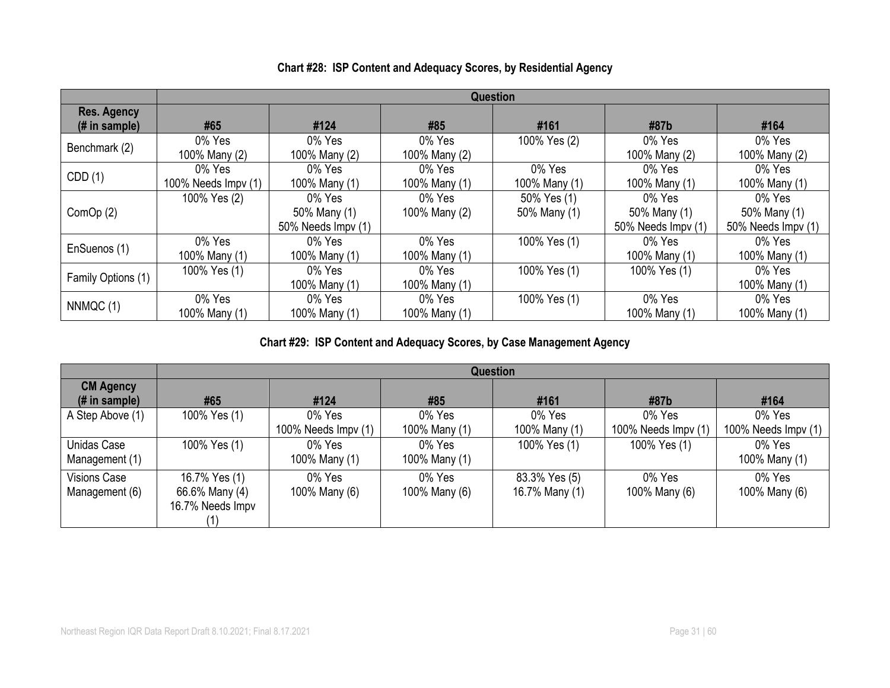|                                     | <b>Question</b>               |                                              |                         |                             |                                              |                                              |
|-------------------------------------|-------------------------------|----------------------------------------------|-------------------------|-----------------------------|----------------------------------------------|----------------------------------------------|
| <b>Res. Agency</b><br>(# in sample) | #65                           | #124                                         | #85                     | #161                        | #87b                                         | #164                                         |
| Benchmark (2)                       | 0% Yes<br>100% Many (2)       | 0% Yes<br>100% Many (2)                      | 0% Yes<br>100% Many (2) | 100% Yes (2)                | 0% Yes<br>100% Many (2)                      | 0% Yes<br>100% Many (2)                      |
| CDD(1)                              | 0% Yes<br>100% Needs Impv (1) | 0% Yes<br>100% Many (1)                      | 0% Yes<br>100% Many (1) | 0% Yes<br>100% Many (1)     | 0% Yes<br>100% Many (1)                      | 0% Yes<br>100% Many (1)                      |
| Com $Op(2)$                         | 100% Yes (2)                  | 0% Yes<br>50% Many (1)<br>50% Needs Impv (1) | 0% Yes<br>100% Many (2) | 50% Yes (1)<br>50% Many (1) | 0% Yes<br>50% Many (1)<br>50% Needs Impv (1) | 0% Yes<br>50% Many (1)<br>50% Needs Impv (1) |
| EnSuenos (1)                        | 0% Yes<br>100% Many (1)       | 0% Yes<br>100% Many (1)                      | 0% Yes<br>100% Many (1) | 100% Yes (1)                | 0% Yes<br>100% Many (1)                      | 0% Yes<br>100% Many (1)                      |
| Family Options (1)                  | 100% Yes (1)                  | 0% Yes<br>100% Many (1)                      | 0% Yes<br>100% Many (1) | 100% Yes (1)                | 100% Yes (1)                                 | 0% Yes<br>100% Many (1)                      |
| NNMQC(1)                            | 0% Yes<br>100% Many (1)       | 0% Yes<br>100% Many (1)                      | 0% Yes<br>100% Many (1) | 100% Yes (1)                | 0% Yes<br>100% Many (1)                      | 0% Yes<br>100% Many (1)                      |

#### **Chart #28: ISP Content and Adequacy Scores, by Residential Agency**

## **Chart #29: ISP Content and Adequacy Scores, by Case Management Agency**

|                                       | Question                                            |                         |                         |                                 |                         |                         |
|---------------------------------------|-----------------------------------------------------|-------------------------|-------------------------|---------------------------------|-------------------------|-------------------------|
| <b>CM Agency</b><br>$#$ in sample)    | #65                                                 | #124                    | #85                     | #161                            | #87b                    | #164                    |
| A Step Above (1)                      | 100% Yes (1)                                        | 0% Yes                  | 0% Yes                  | 0% Yes                          | 0% Yes                  | 0% Yes                  |
|                                       |                                                     | 100% Needs Impv (1)     | 100% Many (1)           | 100% Many (1)                   | 100% Needs Impv (1)     | 100% Needs Impv (1)     |
| Unidas Case<br>Management (1)         | 100% Yes (1)                                        | 0% Yes<br>100% Many (1) | 0% Yes<br>100% Many (1) | 100% Yes (1)                    | 100% Yes (1)            | 0% Yes<br>100% Many (1) |
| <b>Visions Case</b><br>Management (6) | 16.7% Yes (1)<br>66.6% Many (4)<br>16.7% Needs Impv | 0% Yes<br>100% Many (6) | 0% Yes<br>100% Many (6) | 83.3% Yes (5)<br>16.7% Many (1) | 0% Yes<br>100% Many (6) | 0% Yes<br>100% Many (6) |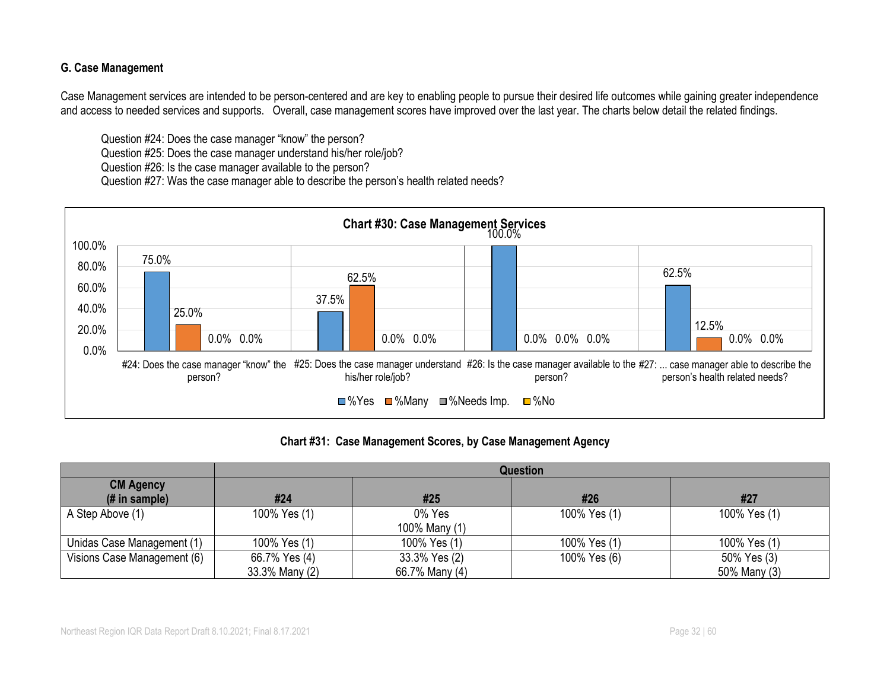#### **G. Case Management**

Case Management services are intended to be person-centered and are key to enabling people to pursue their desired life outcomes while gaining greater independence and access to needed services and supports. Overall, case management scores have improved over the last year. The charts below detail the related findings.

Question #24: Does the case manager "know" the person?

Question #25: Does the case manager understand his/her role/job?

Question #26: Is the case manager available to the person?

Question #27: Was the case manager able to describe the person's health related needs?



#### **Chart #31: Case Management Scores, by Case Management Agency**

|                             | Question       |                |              |              |  |  |
|-----------------------------|----------------|----------------|--------------|--------------|--|--|
| <b>CM Agency</b>            |                |                |              |              |  |  |
| $#$ in sample)              | #24            | #25            | #26          | #27          |  |  |
| A Step Above (1)            | 100% Yes (1)   | 0% Yes         | 100% Yes (1) | 100% Yes (1) |  |  |
|                             |                | 100% Many (1)  |              |              |  |  |
| Unidas Case Management (1)  | 100% Yes (1)   | 100% Yes (1)   | 100% Yes (1) | 100% Yes (1) |  |  |
| Visions Case Management (6) | 66.7% Yes (4)  | 33.3% Yes (2)  | 100% Yes (6) | 50% Yes (3)  |  |  |
|                             | 33.3% Many (2) | 66.7% Many (4) |              | 50% Many (3) |  |  |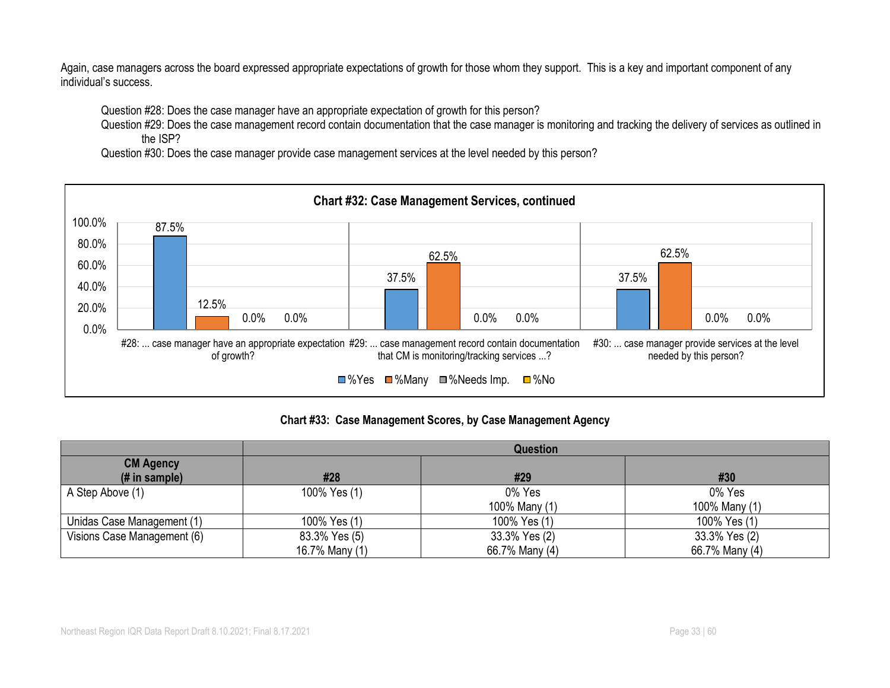Again, case managers across the board expressed appropriate expectations of growth for those whom they support. This is a key and important component of any individual's success.

Question #28: Does the case manager have an appropriate expectation of growth for this person?

Question #29: Does the case management record contain documentation that the case manager is monitoring and tracking the delivery of services as outlined in the ISP?

87.5% 37.5% 37.5% 12.5%  $62.5\%$ 0.0% 0.0% 0.0% 0.0% 0.0% 0.0% 0.0% 20.0% 40.0% 60.0% 80.0% 100.0% #28: ... case manager have an appropriate expectation #29: ... case management record contain documentation of growth? that CM is monitoring/tracking services ...? #30: ... case manager provide services at the level needed by this person? **Chart #32: Case Management Services, continued** ■%Yes ■%Many ■%Needs Imp. ■%No

Question #30: Does the case manager provide case management services at the level needed by this person?

#### **Chart #33: Case Management Scores, by Case Management Agency**

|                                    | <b>Question</b>   |                |                |  |  |  |
|------------------------------------|-------------------|----------------|----------------|--|--|--|
| <b>CM Agency</b><br>$#$ in sample) | #28<br>#29<br>#30 |                |                |  |  |  |
| A Step Above (1)                   | 100% Yes (1)      | 0% Yes         | 0% Yes         |  |  |  |
|                                    |                   | 100% Many (1)  | 100% Many (1)  |  |  |  |
| Unidas Case Management (1)         | 100% Yes (1)      | 100% Yes (1)   | 100% Yes (1)   |  |  |  |
| Visions Case Management (6)        | 83.3% Yes (5)     | 33.3% Yes (2)  | 33.3% Yes (2)  |  |  |  |
|                                    | 16.7% Many (1)    | 66.7% Many (4) | 66.7% Many (4) |  |  |  |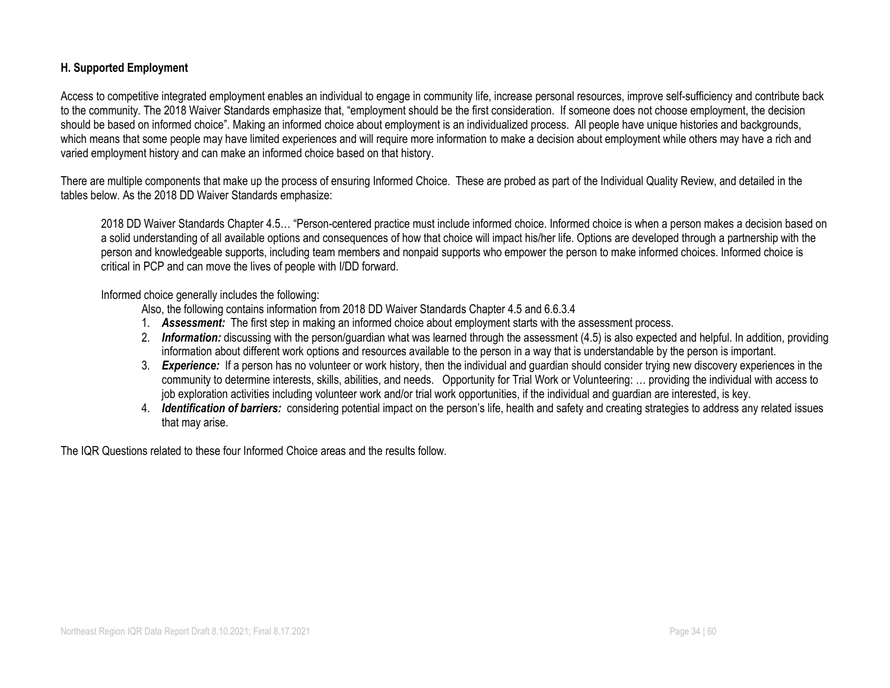#### **H. Supported Employment**

Access to competitive integrated employment enables an individual to engage in community life, increase personal resources, improve self-sufficiency and contribute back to the community. The 2018 Waiver Standards emphasize that, "employment should be the first consideration. If someone does not choose employment, the decision should be based on informed choice". Making an informed choice about employment is an individualized process. All people have unique histories and backgrounds, which means that some people may have limited experiences and will require more information to make a decision about employment while others may have a rich and varied employment history and can make an informed choice based on that history.

There are multiple components that make up the process of ensuring Informed Choice. These are probed as part of the Individual Quality Review, and detailed in the tables below. As the 2018 DD Waiver Standards emphasize:

2018 DD Waiver Standards Chapter 4.5… "Person-centered practice must include informed choice. Informed choice is when a person makes a decision based on a solid understanding of all available options and consequences of how that choice will impact his/her life. Options are developed through a partnership with the person and knowledgeable supports, including team members and nonpaid supports who empower the person to make informed choices. Informed choice is critical in PCP and can move the lives of people with I/DD forward.

Informed choice generally includes the following:

Also, the following contains information from 2018 DD Waiver Standards Chapter 4.5 and 6.6.3.4

- 1. *Assessment:* The first step in making an informed choice about employment starts with the assessment process.
- 2. *Information:* discussing with the person/guardian what was learned through the assessment (4.5) is also expected and helpful. In addition, providing information about different work options and resources available to the person in a way that is understandable by the person is important.
- 3. *Experience:* If a person has no volunteer or work history, then the individual and guardian should consider trying new discovery experiences in the community to determine interests, skills, abilities, and needs. Opportunity for Trial Work or Volunteering: … providing the individual with access to job exploration activities including volunteer work and/or trial work opportunities, if the individual and guardian are interested, is key.
- 4. *Identification of barriers:* considering potential impact on the person's life, health and safety and creating strategies to address any related issues that may arise.

The IQR Questions related to these four Informed Choice areas and the results follow.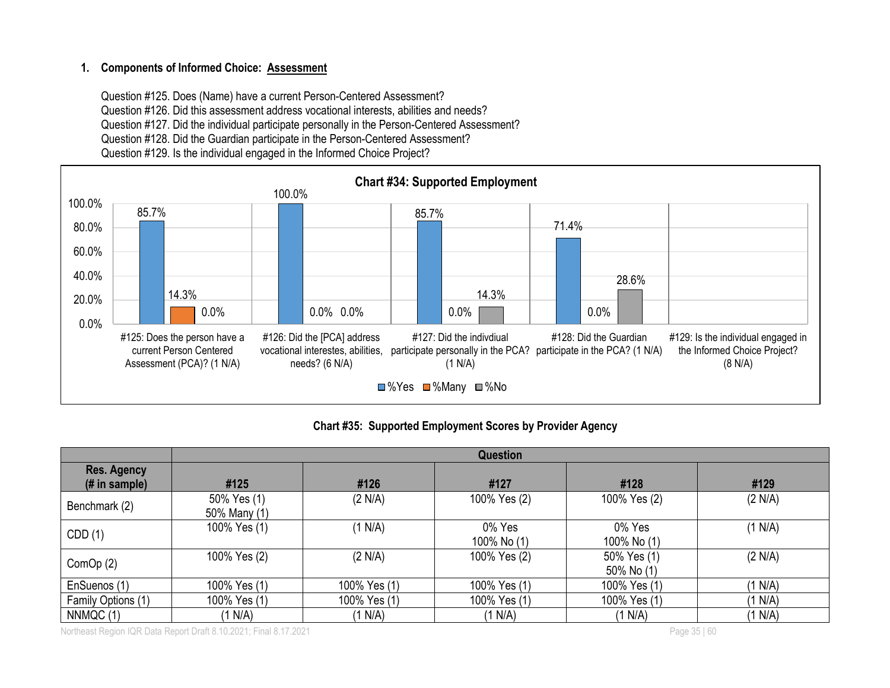#### **1. Components of Informed Choice: Assessment**

Question #125. Does (Name) have a current Person-Centered Assessment? Question #126. Did this assessment address vocational interests, abilities and needs? Question #127. Did the individual participate personally in the Person-Centered Assessment? Question #128. Did the Guardian participate in the Person-Centered Assessment? Question #129. Is the individual engaged in the Informed Choice Project?



#### **Chart #35: Supported Employment Scores by Provider Agency**

|                                     | Question                    |              |                       |                           |         |  |  |
|-------------------------------------|-----------------------------|--------------|-----------------------|---------------------------|---------|--|--|
| <b>Res. Agency</b><br>(# in sample) | #125                        | #126         | #127                  | #128                      | #129    |  |  |
| Benchmark (2)                       | 50% Yes (1)<br>50% Many (1) | (2 N/A)      | 100% Yes (2)          | 100% Yes (2)              | (2 N/A) |  |  |
| CDD(1)                              | 100% Yes (1)                | (1 N/A)      | 0% Yes<br>100% No (1) | 0% Yes<br>100% No (1)     | (1 N/A) |  |  |
| ComOp (2)                           | 100% Yes (2)                | (2 N/A)      | 100% Yes (2)          | 50% Yes (1)<br>50% No (1) | (2 N/A) |  |  |
| EnSuenos (1)                        | 100% Yes (1)                | 100% Yes (1) | 100% Yes (1)          | 100% Yes (1)              | (1 N/A) |  |  |
| Family Options (1)                  | 100% Yes (1)                | 100% Yes (1) | 100% Yes (1)          | 100% Yes (1)              | (1 N/A) |  |  |
| NNMQC(1)                            | (1 N/A)                     | (1 N/A)      | (1 N/A)               | (1 N/A)                   | (1 N/A) |  |  |

Northeast Region IQR Data Report Draft 8.10.2021; Final 8.17.2021 **Page 35** | 60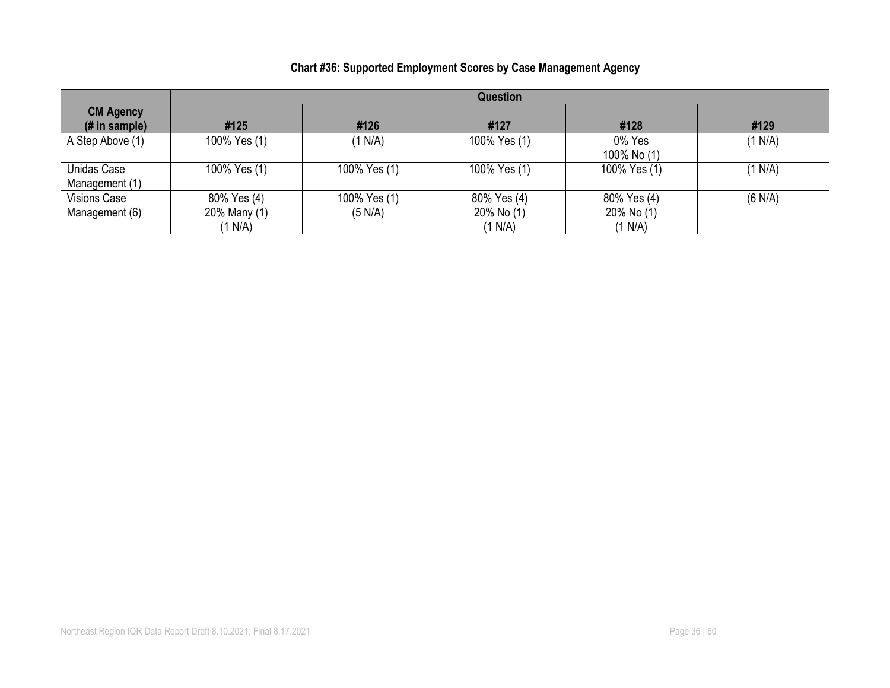|                                       | Question                               |                         |                                      |                                      |         |  |  |
|---------------------------------------|----------------------------------------|-------------------------|--------------------------------------|--------------------------------------|---------|--|--|
| <b>CM Agency</b><br>(# in sample)     | #125                                   | #126                    | #127                                 | #128                                 | #129    |  |  |
| A Step Above (1)                      | 100% Yes (1)                           | (1 N/A)                 | 100% Yes (1)                         | 0% Yes<br>100% No (1)                | (1 N/A) |  |  |
| <b>Unidas Case</b><br>Management (1)  | 100% Yes (1)                           | 100% Yes (1)            | 100% Yes (1)                         | 100% Yes (1)                         | (1 N/A) |  |  |
| <b>Visions Case</b><br>Management (6) | 80% Yes (4)<br>20% Many (1)<br>(1 N/A) | 100% Yes (1)<br>(5 N/A) | 80% Yes (4)<br>20% No (1)<br>(1 N/A) | 80% Yes (4)<br>20% No (1)<br>(1 N/A) | (6 N/A) |  |  |

## **Chart #36: Supported Employment Scores by Case Management Agency**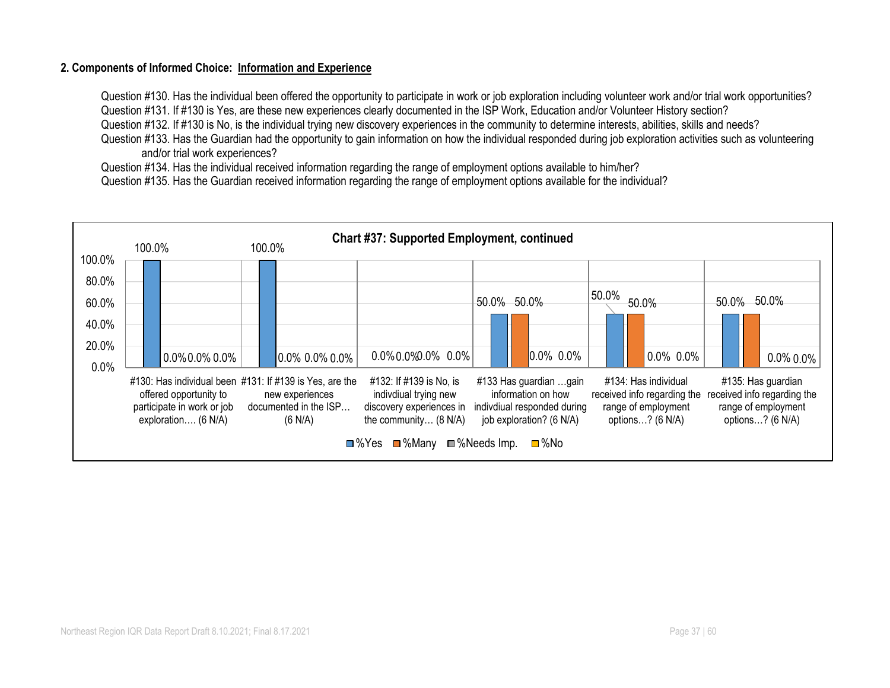#### **2. Components of Informed Choice: Information and Experience**

Question #130. Has the individual been offered the opportunity to participate in work or job exploration including volunteer work and/or trial work opportunities? Question #131. If #130 is Yes, are these new experiences clearly documented in the ISP Work, Education and/or Volunteer History section?

Question #132. If #130 is No, is the individual trying new discovery experiences in the community to determine interests, abilities, skills and needs?

Question #133. Has the Guardian had the opportunity to gain information on how the individual responded during job exploration activities such as volunteering and/or trial work experiences?

Question #134. Has the individual received information regarding the range of employment options available to him/her?

Question #135. Has the Guardian received information regarding the range of employment options available for the individual?

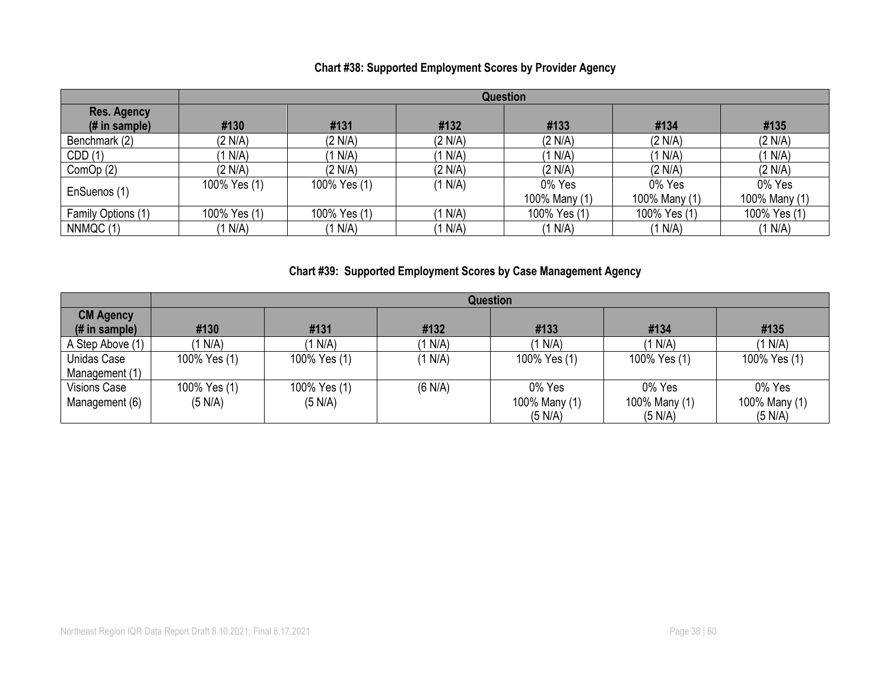#### **Chart #38: Supported Employment Scores by Provider Agency**

|                                                       | Question     |              |         |                         |                         |                         |  |
|-------------------------------------------------------|--------------|--------------|---------|-------------------------|-------------------------|-------------------------|--|
| <b>Res. Agency</b><br>$(H \in \mathbb{R})$ in sample) | #130         | #131         | #132    | #133                    | #134                    | #135                    |  |
| Benchmark (2)                                         | (2 N/A)      | (2 N/A)      | (2 N/A) | (2 N/A)                 | (2 N/A)                 | (2 N/A)                 |  |
| CDD(1)                                                | 1 N/A        | (1 N/A)      | (1 N/A) | (1 N/A)                 | (1 N/A)                 | (1 N/A)                 |  |
| Com $Op(2)$                                           | (2 N/A)      | (2 N/A)      | (2 N/A) | (2 N/A)                 | (2 N/A)                 | (2 N/A)                 |  |
| EnSuenos (1)                                          | 100% Yes (1) | 100% Yes (1) | (1 N/A) | 0% Yes<br>100% Many (1) | 0% Yes<br>100% Many (1) | 0% Yes<br>100% Many (1) |  |
| Family Options (1)                                    | 100% Yes (1) | 100% Yes (1) | (1 N/A) | 100% Yes (1)            | 100% Yes (1)            | 100% Yes (1)            |  |
| NNMQC(1)                                              | N/A          | (1 N/A)      | (1 N/A) | (1 N/A)                 | (1 N/A)                 | (1 N/A)                 |  |

## **Chart #39: Supported Employment Scores by Case Management Agency**

|                     | <b>Question</b> |              |           |               |               |               |
|---------------------|-----------------|--------------|-----------|---------------|---------------|---------------|
| <b>CM Agency</b>    |                 |              |           |               |               |               |
| $#$ in sample)      | #130            | #131         | #132      | #133          | #134          | #135          |
| A Step Above (1)    | (1 N/A)         | (1 N/A)      | $1 N/A$ ) | (1 N/A)       | (1 N/A)       | (1 N/A)       |
| Unidas Case         | 100% Yes (1)    | 100% Yes (1) | (1 N/A)   | 100% Yes (1)  | 100% Yes (1)  | 100% Yes (1)  |
| Management (1)      |                 |              |           |               |               |               |
| <b>Visions Case</b> | 100% Yes (1)    | 100% Yes (1) | (6 N/A)   | 0% Yes        | 0% Yes        | 0% Yes        |
| Management (6)      | (5 N/A)         | (5 N/A)      |           | 100% Many (1) | 100% Many (1) | 100% Many (1) |
|                     |                 |              |           | (5 N/A)       | (5 N/A)       | (5 N/A)       |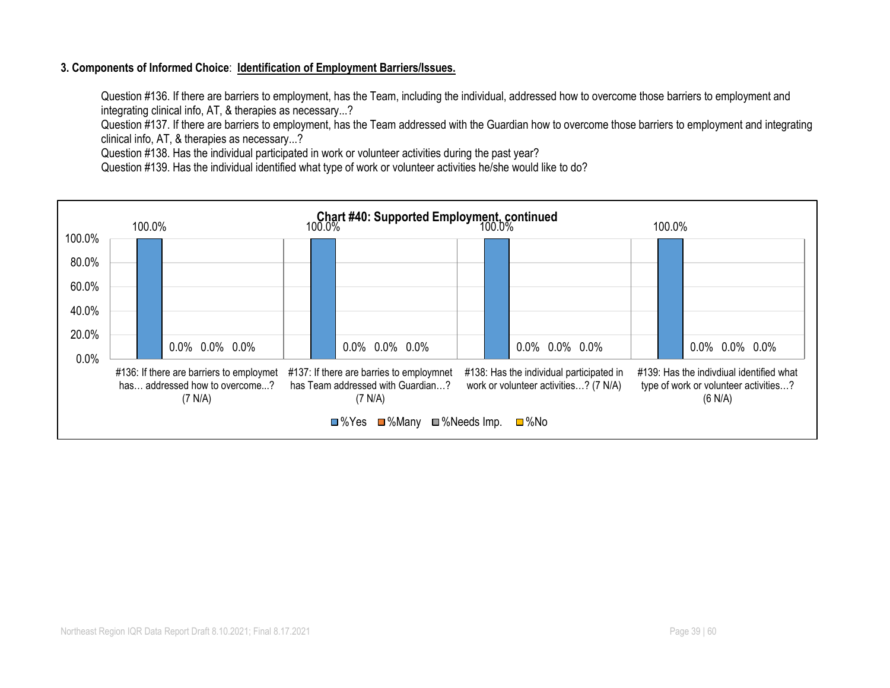#### **3. Components of Informed Choice**: **Identification of Employment Barriers/Issues.**

Question #136. If there are barriers to employment, has the Team, including the individual, addressed how to overcome those barriers to employment and integrating clinical info, AT, & therapies as necessary...?

Question #137. If there are barriers to employment, has the Team addressed with the Guardian how to overcome those barriers to employment and integrating clinical info, AT, & therapies as necessary...?

Question #138. Has the individual participated in work or volunteer activities during the past year?

Question #139. Has the individual identified what type of work or volunteer activities he/she would like to do?

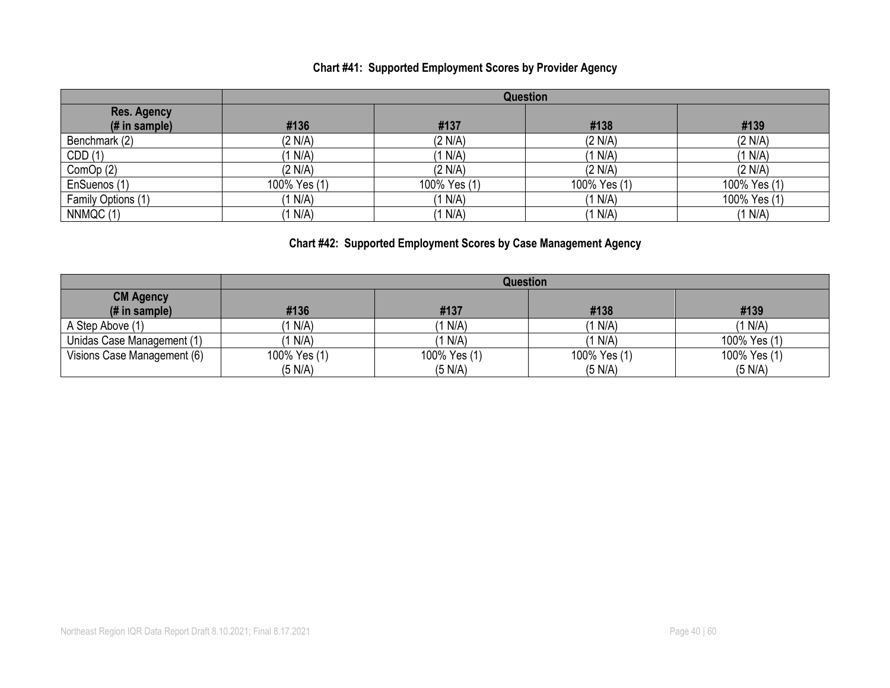# **Chart #41: Supported Employment Scores by Provider Agency**

|                           | Question     |              |              |              |  |  |
|---------------------------|--------------|--------------|--------------|--------------|--|--|
| <b>Res. Agency</b>        |              |              |              |              |  |  |
| $(H \in \mathsf{sample})$ | #136         | #137         | #138         | #139         |  |  |
| Benchmark (2)             | (2 N/A)      | (2 N/A)      | (2 N/A)      | (2 N/A)      |  |  |
| CDD(1)                    | N/A          | N/A)         | $'1$ N/A)    | (1 N/A)      |  |  |
| ComOp (2)                 | (2 N/A)      | (2 N/A)      | (2 N/A)      | (2 N/A)      |  |  |
| EnSuenos (1)              | 100% Yes (1) | 100% Yes (1) | 100% Yes (1) | 100% Yes (1) |  |  |
| Family Options (1)        | 1 N/A        | (1 N/A)      | (1 N/A)      | 100% Yes (1) |  |  |
| NNMQC(1)                  | $N/A$ )      | (1 N/A)      | (1 N/A)      | (1 N/A)      |  |  |

#### **Chart #42: Supported Employment Scores by Case Management Agency**

|                                    | <b>Question</b> |              |              |              |  |  |
|------------------------------------|-----------------|--------------|--------------|--------------|--|--|
| <b>CM Agency</b><br>$#$ in sample) | #136            | #137         | #138         | #139         |  |  |
|                                    |                 |              |              |              |  |  |
| A Step Above (1)                   | (1 N/A)         | (1 N/A)      | (1 N/A)      | (1 N/A)      |  |  |
| Unidas Case Management (1)         | (1 N/A)         | $'1$ N/A)    | (1 N/A)      | 100% Yes (1) |  |  |
| Visions Case Management (6)        | 100% Yes (1)    | 100% Yes (1) | 100% Yes (1) | 100% Yes (1) |  |  |
|                                    | (5 N/A)         | (5 N/A)      | (5 N/A)      | (5 N/A)      |  |  |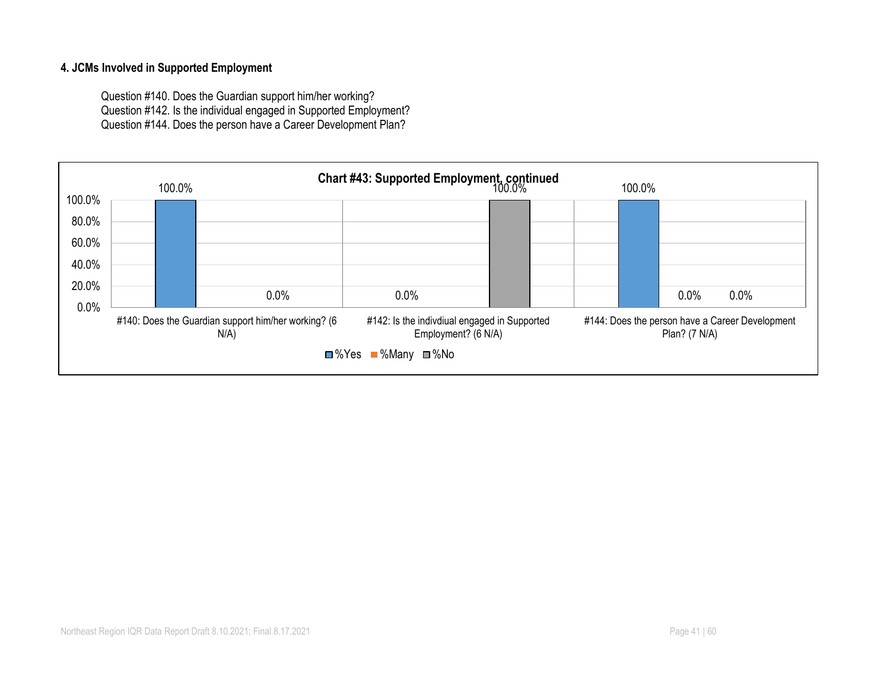#### **4. JCMs Involved in Supported Employment**

Question #140. Does the Guardian support him/her working? Question #142. Is the individual engaged in Supported Employment? Question #144. Does the person have a Career Development Plan?

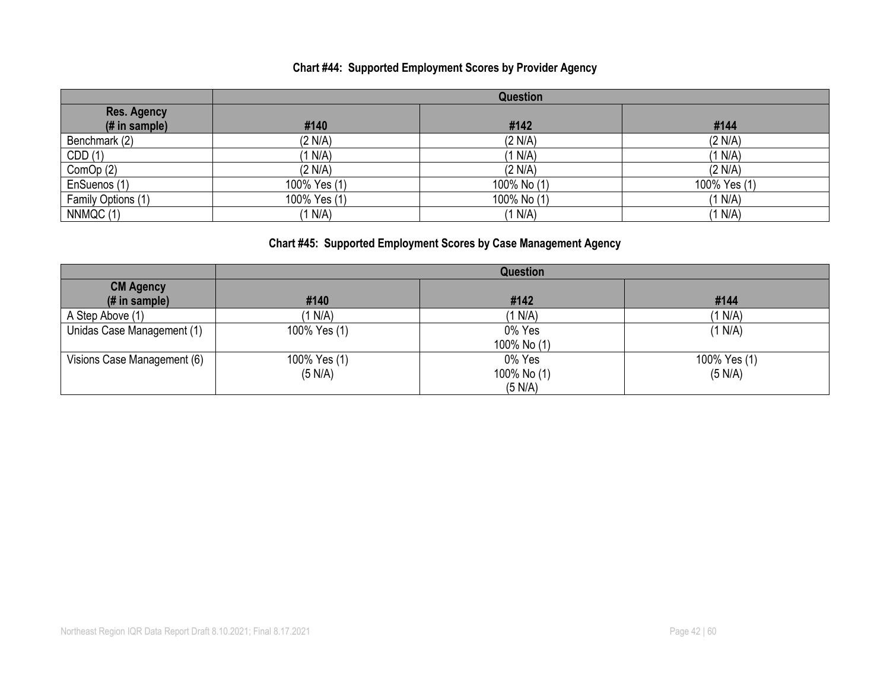## **Chart #44: Supported Employment Scores by Provider Agency**

|                    |              | <b>Question</b> |              |
|--------------------|--------------|-----------------|--------------|
| <b>Res. Agency</b> |              |                 |              |
| (# in sample)      | #140         | #142            | #144         |
| Benchmark (2)      | (2 N/A)      | (2 N/A)         | (2 N/A)      |
| CDD(1)             | (1 N/A)      | (1 N/A)         | (1 N/A)      |
| Comp(2)            | (2 N/A)      | (2 N/A)         | (2 N/A)      |
| EnSuenos (1)       | 100% Yes (1) | 100% No (1)     | 100% Yes (1) |
| Family Options (1) | 100% Yes (1) | 100% No (1)     | (1 N/A)      |
| NNMQC(1)           | (1 N/A)      | (1 N/A)         | (1 N/A)      |

#### **Chart #45: Supported Employment Scores by Case Management Agency**

|                                    |                         | <b>Question</b>                  |                         |
|------------------------------------|-------------------------|----------------------------------|-------------------------|
| <b>CM Agency</b><br>$#$ in sample) | #140                    | #142                             | #144                    |
| A Step Above (1)                   | (1 N/A)                 | (1 N/A)                          | (1 N/A)                 |
| Unidas Case Management (1)         | 100% Yes (1)            | 0% Yes<br>100% No (1)            | (1 N/A)                 |
| Visions Case Management (6)        | 100% Yes (1)<br>(5 N/A) | 0% Yes<br>100% No (1)<br>(5 N/A) | 100% Yes (1)<br>(5 N/A) |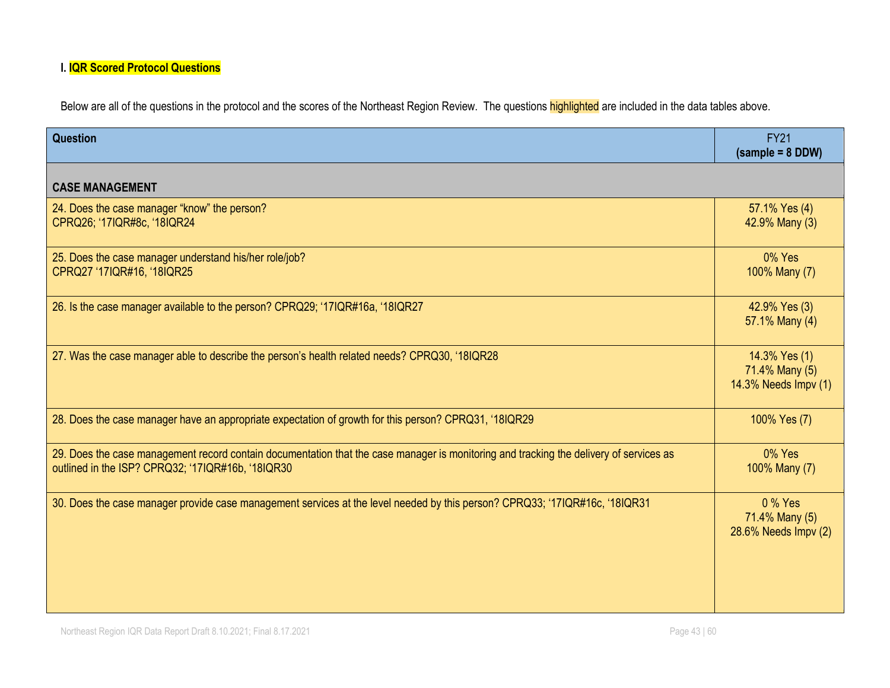## **I. IQR Scored Protocol Questions**

Below are all of the questions in the protocol and the scores of the Northeast Region Review. The questions **highlighted** are included in the data tables above.

| <b>Question</b>                                                                                                                                                                             | <b>FY21</b><br>$(sample = 8 DDW)$                       |
|---------------------------------------------------------------------------------------------------------------------------------------------------------------------------------------------|---------------------------------------------------------|
| <b>CASE MANAGEMENT</b>                                                                                                                                                                      |                                                         |
| 24. Does the case manager "know" the person?<br>CPRQ26; '17IQR#8c, '18IQR24                                                                                                                 | 57.1% Yes (4)<br>42.9% Many (3)                         |
| 25. Does the case manager understand his/her role/job?<br>CPRQ27 '17IQR#16, '18IQR25                                                                                                        | 0% Yes<br>100% Many (7)                                 |
| 26. Is the case manager available to the person? CPRQ29; '17IQR#16a, '18IQR27                                                                                                               | 42.9% Yes (3)<br>57.1% Many (4)                         |
| 27. Was the case manager able to describe the person's health related needs? CPRQ30, '18IQR28                                                                                               | 14.3% Yes (1)<br>71.4% Many (5)<br>14.3% Needs Impv (1) |
| 28. Does the case manager have an appropriate expectation of growth for this person? CPRQ31, '18IQR29                                                                                       | 100% Yes (7)                                            |
| 29. Does the case management record contain documentation that the case manager is monitoring and tracking the delivery of services as<br>outlined in the ISP? CPRQ32; '17IQR#16b, '18IQR30 | 0% Yes<br>100% Many (7)                                 |
| 30. Does the case manager provide case management services at the level needed by this person? CPRQ33; '17IQR#16c, '18IQR31                                                                 | 0 % Yes<br>71.4% Many (5)<br>28.6% Needs Impv (2)       |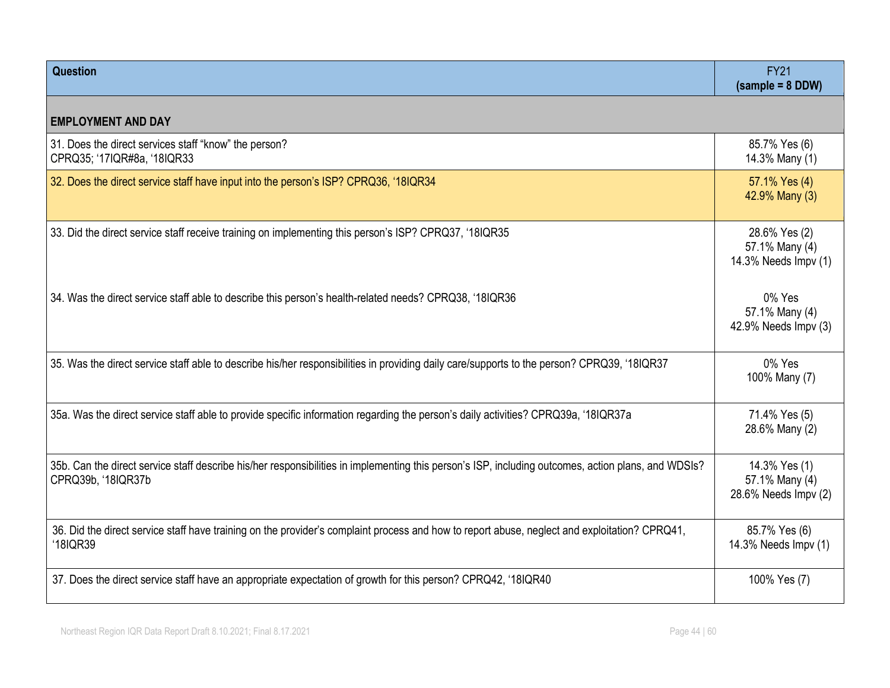| Question                                                                                                                                                                  | <b>FY21</b><br>$(sample = 8 DDW)$                       |
|---------------------------------------------------------------------------------------------------------------------------------------------------------------------------|---------------------------------------------------------|
| <b>EMPLOYMENT AND DAY</b>                                                                                                                                                 |                                                         |
| 31. Does the direct services staff "know" the person?<br>CPRQ35; '17IQR#8a, '18IQR33                                                                                      | 85.7% Yes (6)<br>14.3% Many (1)                         |
| 32. Does the direct service staff have input into the person's ISP? CPRQ36, '18IQR34                                                                                      | 57.1% Yes (4)<br>42.9% Many (3)                         |
| 33. Did the direct service staff receive training on implementing this person's ISP? CPRQ37, '18IQR35                                                                     | 28.6% Yes (2)<br>57.1% Many (4)<br>14.3% Needs Impv (1) |
| 34. Was the direct service staff able to describe this person's health-related needs? CPRQ38, '18IQR36                                                                    | 0% Yes<br>57.1% Many (4)<br>42.9% Needs Impv (3)        |
| 35. Was the direct service staff able to describe his/her responsibilities in providing daily care/supports to the person? CPRQ39, '18IQR37                               | 0% Yes<br>100% Many (7)                                 |
| 35a. Was the direct service staff able to provide specific information regarding the person's daily activities? CPRQ39a, '18IQR37a                                        | 71.4% Yes (5)<br>28.6% Many (2)                         |
| 35b. Can the direct service staff describe his/her responsibilities in implementing this person's ISP, including outcomes, action plans, and WDSIs?<br>CPRQ39b, '18IQR37b | 14.3% Yes (1)<br>57.1% Many (4)<br>28.6% Needs Impv (2) |
| 36. Did the direct service staff have training on the provider's complaint process and how to report abuse, neglect and exploitation? CPRQ41,<br>'18IQR39                 | 85.7% Yes (6)<br>14.3% Needs Impv (1)                   |
| 37. Does the direct service staff have an appropriate expectation of growth for this person? CPRQ42, '18IQR40                                                             | 100% Yes (7)                                            |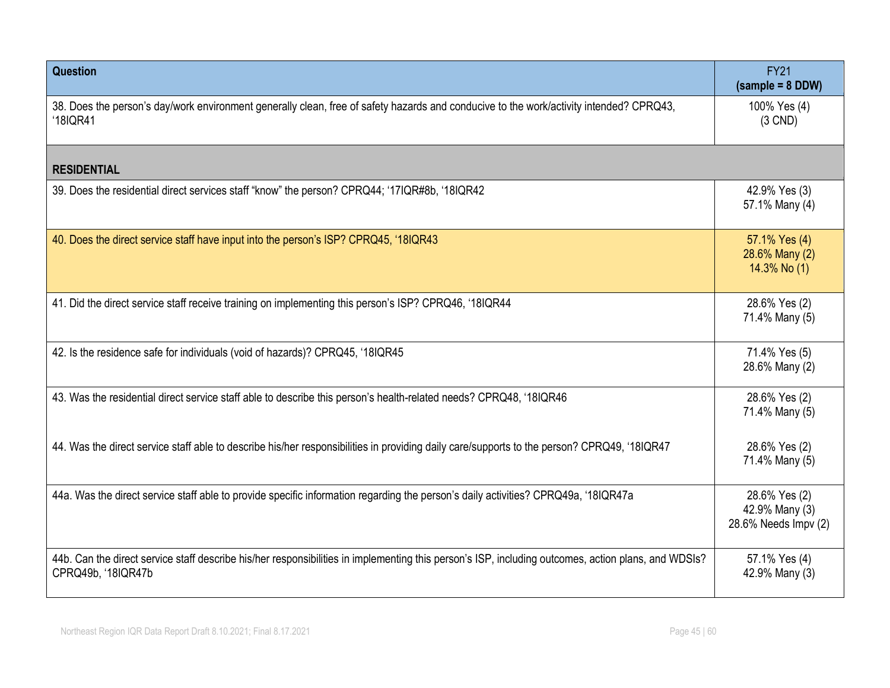| Question                                                                                                                                                                  | <b>FY21</b><br>$(sample = 8 DDW)$                       |
|---------------------------------------------------------------------------------------------------------------------------------------------------------------------------|---------------------------------------------------------|
| 38. Does the person's day/work environment generally clean, free of safety hazards and conducive to the work/activity intended? CPRQ43,<br>'18IQR41                       | 100% Yes (4)<br>$(3$ CND)                               |
| <b>RESIDENTIAL</b>                                                                                                                                                        |                                                         |
| 39. Does the residential direct services staff "know" the person? CPRQ44; '17IQR#8b, '18IQR42                                                                             | 42.9% Yes (3)<br>57.1% Many (4)                         |
| 40. Does the direct service staff have input into the person's ISP? CPRQ45, '18IQR43                                                                                      | 57.1% Yes (4)<br>28.6% Many (2)<br>14.3% No (1)         |
| 41. Did the direct service staff receive training on implementing this person's ISP? CPRQ46, '18IQR44                                                                     | 28.6% Yes (2)<br>71.4% Many (5)                         |
| 42. Is the residence safe for individuals (void of hazards)? CPRQ45, '18IQR45                                                                                             | 71.4% Yes (5)<br>28.6% Many (2)                         |
| 43. Was the residential direct service staff able to describe this person's health-related needs? CPRQ48, '18IQR46                                                        | 28.6% Yes (2)<br>71.4% Many (5)                         |
| 44. Was the direct service staff able to describe his/her responsibilities in providing daily care/supports to the person? CPRQ49, '18IQR47                               | 28.6% Yes (2)<br>71.4% Many (5)                         |
| 44a. Was the direct service staff able to provide specific information regarding the person's daily activities? CPRQ49a, '18IQR47a                                        | 28.6% Yes (2)<br>42.9% Many (3)<br>28.6% Needs Impv (2) |
| 44b. Can the direct service staff describe his/her responsibilities in implementing this person's ISP, including outcomes, action plans, and WDSIs?<br>CPRQ49b, '18IQR47b | 57.1% Yes (4)<br>42.9% Many (3)                         |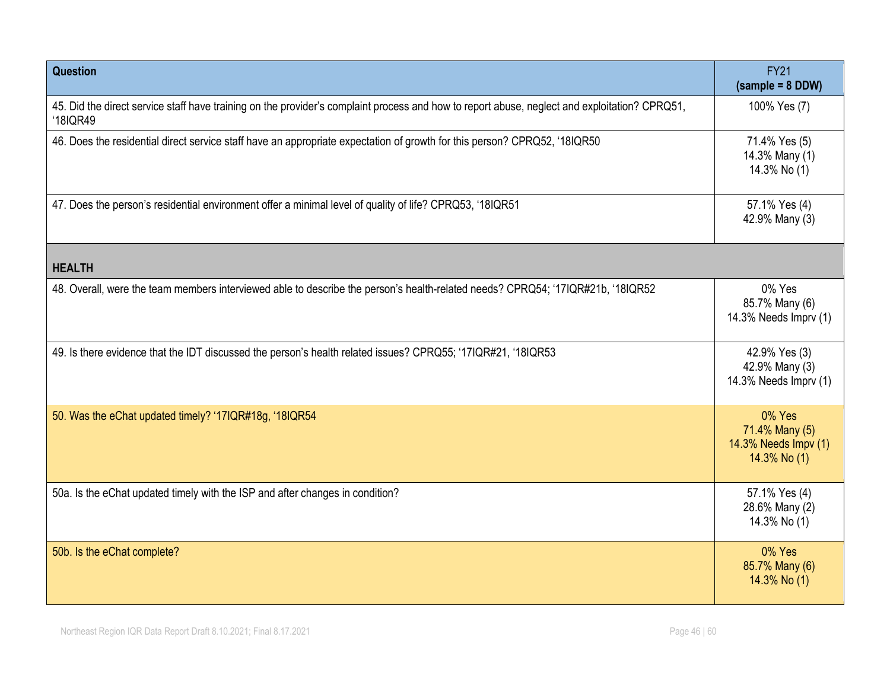| <b>Question</b>                                                                                                                                           | <b>FY21</b><br>$(sample = 8 DDW)$                                |
|-----------------------------------------------------------------------------------------------------------------------------------------------------------|------------------------------------------------------------------|
| 45. Did the direct service staff have training on the provider's complaint process and how to report abuse, neglect and exploitation? CPRQ51,<br>'18IQR49 | 100% Yes (7)                                                     |
| 46. Does the residential direct service staff have an appropriate expectation of growth for this person? CPRQ52, '18IQR50                                 | 71.4% Yes (5)<br>14.3% Many (1)<br>14.3% No (1)                  |
| 47. Does the person's residential environment offer a minimal level of quality of life? CPRQ53, '18IQR51                                                  | 57.1% Yes (4)<br>42.9% Many (3)                                  |
| <b>HEALTH</b>                                                                                                                                             |                                                                  |
| 48. Overall, were the team members interviewed able to describe the person's health-related needs? CPRQ54; '17IQR#21b, '18IQR52                           | 0% Yes<br>85.7% Many (6)<br>14.3% Needs Imprv (1)                |
| 49. Is there evidence that the IDT discussed the person's health related issues? CPRQ55; '17IQR#21, '18IQR53                                              | 42.9% Yes (3)<br>42.9% Many (3)<br>14.3% Needs Imprv (1)         |
| 50. Was the eChat updated timely? '17IQR#18g, '18IQR54                                                                                                    | 0% Yes<br>71.4% Many (5)<br>14.3% Needs Impv (1)<br>14.3% No (1) |
| 50a. Is the eChat updated timely with the ISP and after changes in condition?                                                                             | 57.1% Yes (4)<br>28.6% Many (2)<br>14.3% No (1)                  |
| 50b. Is the eChat complete?                                                                                                                               | 0% Yes<br>85.7% Many (6)<br>14.3% No (1)                         |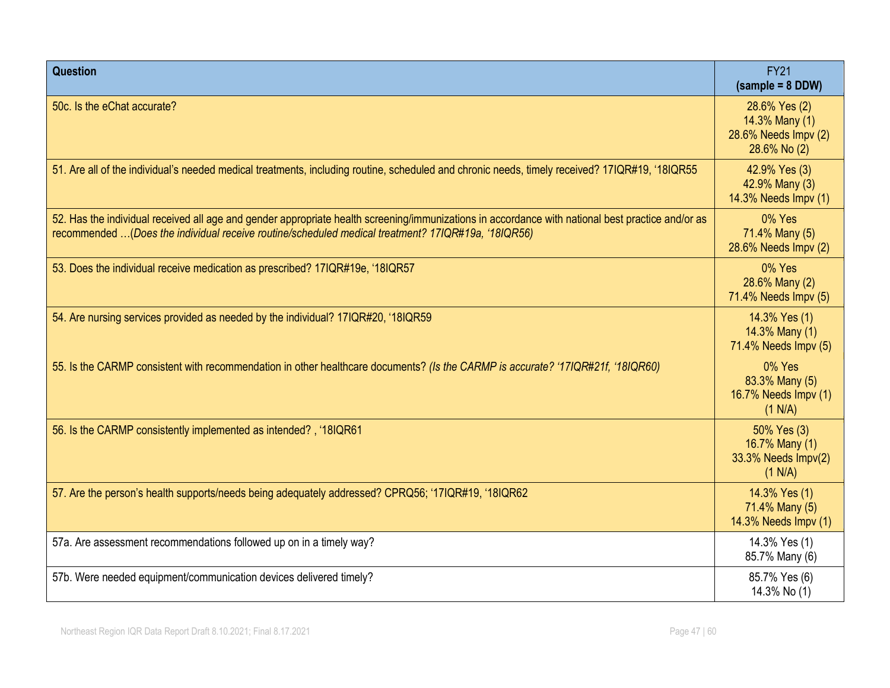| Question                                                                                                                                                                                                                                                | <b>FY21</b><br>$(sample = 8 DDW)$                                       |
|---------------------------------------------------------------------------------------------------------------------------------------------------------------------------------------------------------------------------------------------------------|-------------------------------------------------------------------------|
| 50c. Is the eChat accurate?                                                                                                                                                                                                                             | 28.6% Yes (2)<br>14.3% Many (1)<br>28.6% Needs Impv (2)<br>28.6% No (2) |
| 51. Are all of the individual's needed medical treatments, including routine, scheduled and chronic needs, timely received? 17IQR#19, '18IQR55                                                                                                          | 42.9% Yes (3)<br>42.9% Many (3)<br>14.3% Needs Impv (1)                 |
| 52. Has the individual received all age and gender appropriate health screening/immunizations in accordance with national best practice and/or as<br>recommended (Does the individual receive routine/scheduled medical treatment? 17IQR#19a, '18IQR56) | 0% Yes<br>71.4% Many (5)<br>28.6% Needs Impv (2)                        |
| 53. Does the individual receive medication as prescribed? 17IQR#19e, '18IQR57                                                                                                                                                                           | 0% Yes<br>28.6% Many (2)<br>71.4% Needs Impv (5)                        |
| 54. Are nursing services provided as needed by the individual? 17IQR#20, '18IQR59                                                                                                                                                                       | 14.3% Yes (1)<br>14.3% Many (1)<br>71.4% Needs Impv (5)                 |
| 55. Is the CARMP consistent with recommendation in other healthcare documents? (Is the CARMP is accurate? '17IQR#21f, '18IQR60)                                                                                                                         | 0% Yes<br>83.3% Many (5)<br>16.7% Needs Impv (1)<br>(1 N/A)             |
| 56. Is the CARMP consistently implemented as intended?, '18IQR61                                                                                                                                                                                        | 50% Yes (3)<br>16.7% Many (1)<br>33.3% Needs Impv(2)<br>(1 N/A)         |
| 57. Are the person's health supports/needs being adequately addressed? CPRQ56; '17IQR#19, '18IQR62                                                                                                                                                      | 14.3% Yes (1)<br>71.4% Many (5)<br>14.3% Needs Impv (1)                 |
| 57a. Are assessment recommendations followed up on in a timely way?                                                                                                                                                                                     | 14.3% Yes (1)<br>85.7% Many (6)                                         |
| 57b. Were needed equipment/communication devices delivered timely?                                                                                                                                                                                      | 85.7% Yes (6)<br>14.3% No (1)                                           |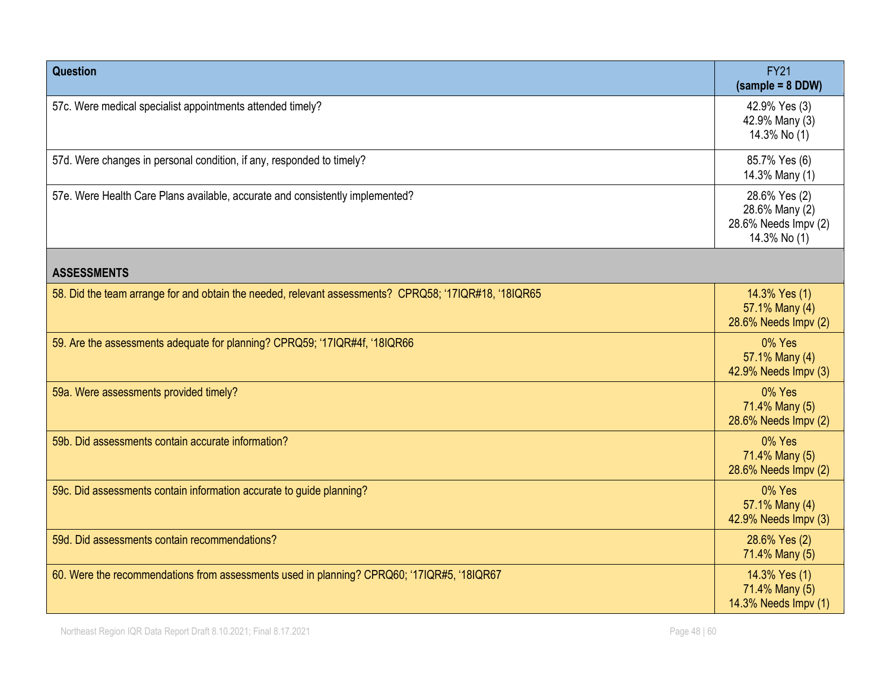| Question                                                                                              | <b>FY21</b><br>$(sample = 8 DDW)$                                       |
|-------------------------------------------------------------------------------------------------------|-------------------------------------------------------------------------|
| 57c. Were medical specialist appointments attended timely?                                            | 42.9% Yes (3)<br>42.9% Many (3)<br>14.3% No (1)                         |
| 57d. Were changes in personal condition, if any, responded to timely?                                 | 85.7% Yes (6)<br>14.3% Many (1)                                         |
| 57e. Were Health Care Plans available, accurate and consistently implemented?                         | 28.6% Yes (2)<br>28.6% Many (2)<br>28.6% Needs Impv (2)<br>14.3% No (1) |
| <b>ASSESSMENTS</b>                                                                                    |                                                                         |
| 58. Did the team arrange for and obtain the needed, relevant assessments? CPRQ58; '17IQR#18, '18IQR65 | 14.3% Yes (1)<br>57.1% Many (4)<br>28.6% Needs Impv (2)                 |
| 59. Are the assessments adequate for planning? CPRQ59; '17IQR#4f, '18IQR66                            | 0% Yes<br>57.1% Many (4)<br>42.9% Needs Impv (3)                        |
| 59a. Were assessments provided timely?                                                                | 0% Yes<br>71.4% Many (5)<br>28.6% Needs Impv (2)                        |
| 59b. Did assessments contain accurate information?                                                    | 0% Yes<br>71.4% Many (5)<br>28.6% Needs Impv (2)                        |
| 59c. Did assessments contain information accurate to guide planning?                                  | 0% Yes<br>57.1% Many (4)<br>42.9% Needs Impv (3)                        |
| 59d. Did assessments contain recommendations?                                                         | 28.6% Yes (2)<br>71.4% Many (5)                                         |
| 60. Were the recommendations from assessments used in planning? CPRQ60; '17IQR#5, '18IQR67            | 14.3% Yes (1)<br>71.4% Many (5)<br>14.3% Needs Impv (1)                 |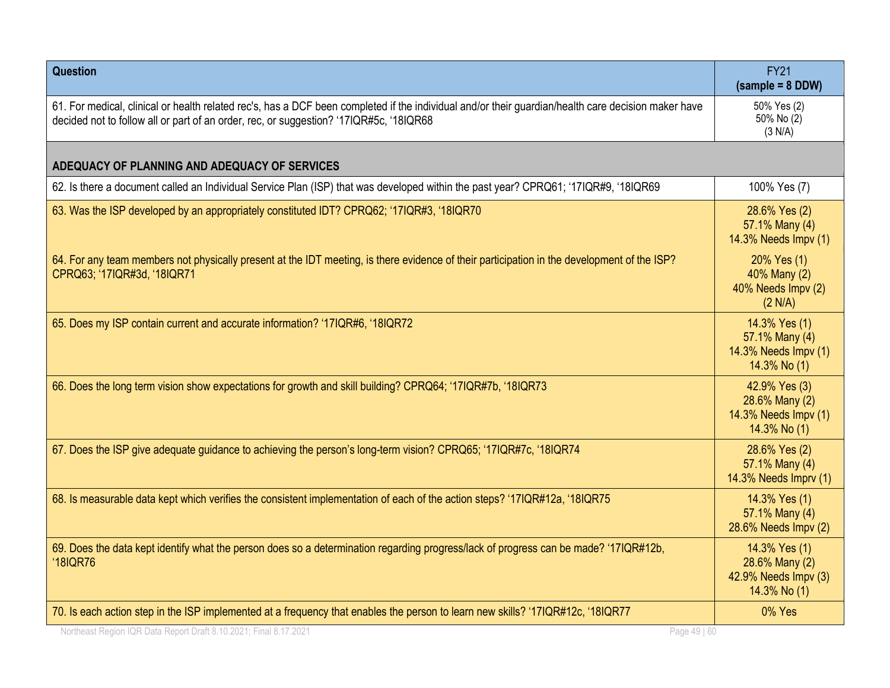| Question                                                                                                                                                                                                                                      | <b>FY21</b><br>$(sample = 8 DDW)$                                       |
|-----------------------------------------------------------------------------------------------------------------------------------------------------------------------------------------------------------------------------------------------|-------------------------------------------------------------------------|
| 61. For medical, clinical or health related rec's, has a DCF been completed if the individual and/or their guardian/health care decision maker have<br>decided not to follow all or part of an order, rec, or suggestion? '17IQR#5c, '18IQR68 | 50% Yes (2)<br>50% No (2)<br>(3 N/A)                                    |
| ADEQUACY OF PLANNING AND ADEQUACY OF SERVICES                                                                                                                                                                                                 |                                                                         |
| 62. Is there a document called an Individual Service Plan (ISP) that was developed within the past year? CPRQ61; '17IQR#9, '18IQR69                                                                                                           | 100% Yes (7)                                                            |
| 63. Was the ISP developed by an appropriately constituted IDT? CPRQ62; '17IQR#3, '18IQR70                                                                                                                                                     | 28.6% Yes (2)<br>57.1% Many (4)<br>14.3% Needs Impv (1)                 |
| 64. For any team members not physically present at the IDT meeting, is there evidence of their participation in the development of the ISP?<br>CPRQ63; '17IQR#3d, '18IQR71                                                                    | 20% Yes (1)<br>40% Many (2)<br>40% Needs Impv (2)<br>(2 N/A)            |
| 65. Does my ISP contain current and accurate information? '17IQR#6, '18IQR72                                                                                                                                                                  | 14.3% Yes (1)<br>57.1% Many (4)<br>14.3% Needs Impv (1)<br>14.3% No (1) |
| 66. Does the long term vision show expectations for growth and skill building? CPRQ64; '17IQR#7b, '18IQR73                                                                                                                                    | 42.9% Yes (3)<br>28.6% Many (2)<br>14.3% Needs Impv (1)<br>14.3% No (1) |
| 67. Does the ISP give adequate guidance to achieving the person's long-term vision? CPRQ65; '17IQR#7c, '18IQR74                                                                                                                               | 28.6% Yes (2)<br>57.1% Many (4)<br>14.3% Needs Imprv (1)                |
| 68. Is measurable data kept which verifies the consistent implementation of each of the action steps? '17IQR#12a, '18IQR75                                                                                                                    | 14.3% Yes (1)<br>57.1% Many (4)<br>28.6% Needs Impv (2)                 |
| 69. Does the data kept identify what the person does so a determination regarding progress/lack of progress can be made? '17IQR#12b,<br><b>'18IQR76</b>                                                                                       | 14.3% Yes (1)<br>28.6% Many (2)<br>42.9% Needs Impv (3)<br>14.3% No (1) |
| 70. Is each action step in the ISP implemented at a frequency that enables the person to learn new skills? '17IQR#12c, '18IQR77                                                                                                               | 0% Yes                                                                  |
| Northeast Region IQR Data Report Draft 8.10.2021; Final 8.17.2021<br>Page 49   60                                                                                                                                                             |                                                                         |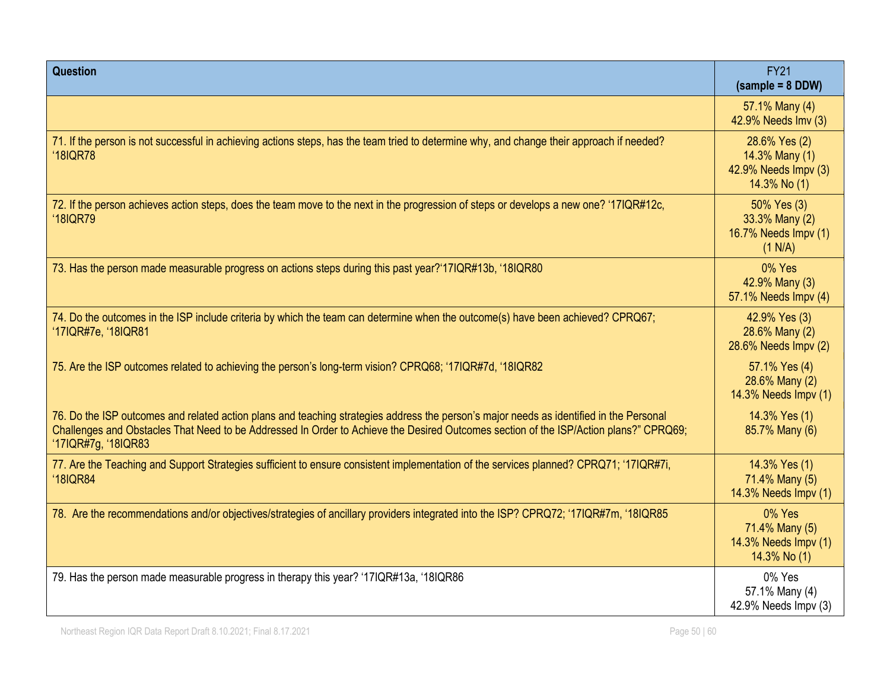| Question                                                                                                                                                                                                                                                                                                | <b>FY21</b><br>$(sample = 8 DDW)$                                       |
|---------------------------------------------------------------------------------------------------------------------------------------------------------------------------------------------------------------------------------------------------------------------------------------------------------|-------------------------------------------------------------------------|
|                                                                                                                                                                                                                                                                                                         | 57.1% Many (4)<br>42.9% Needs Imv (3)                                   |
| 71. If the person is not successful in achieving actions steps, has the team tried to determine why, and change their approach if needed?<br><b>'18IQR78</b>                                                                                                                                            | 28.6% Yes (2)<br>14.3% Many (1)<br>42.9% Needs Impv (3)<br>14.3% No (1) |
| 72. If the person achieves action steps, does the team move to the next in the progression of steps or develops a new one? '17IQR#12c,<br><b>'18IQR79</b>                                                                                                                                               | 50% Yes (3)<br>33.3% Many (2)<br>16.7% Needs Impv (1)<br>(1 N/A)        |
| 73. Has the person made measurable progress on actions steps during this past year?'17IQR#13b, '18IQR80                                                                                                                                                                                                 | 0% Yes<br>42.9% Many (3)<br>57.1% Needs Impv (4)                        |
| 74. Do the outcomes in the ISP include criteria by which the team can determine when the outcome(s) have been achieved? CPRQ67;<br>'17IQR#7e, '18IQR81                                                                                                                                                  | 42.9% Yes (3)<br>28.6% Many (2)<br>28.6% Needs Impv (2)                 |
| 75. Are the ISP outcomes related to achieving the person's long-term vision? CPRQ68; '17IQR#7d, '18IQR82                                                                                                                                                                                                | 57.1% Yes (4)<br>28.6% Many (2)<br>14.3% Needs Impv (1)                 |
| 76. Do the ISP outcomes and related action plans and teaching strategies address the person's major needs as identified in the Personal<br>Challenges and Obstacles That Need to be Addressed In Order to Achieve the Desired Outcomes section of the ISP/Action plans?" CPRQ69;<br>'17IQR#7g, '18IQR83 | 14.3% Yes (1)<br>85.7% Many (6)                                         |
| 77. Are the Teaching and Support Strategies sufficient to ensure consistent implementation of the services planned? CPRQ71; '17IQR#7i,<br><b>'18IQR84</b>                                                                                                                                               | 14.3% Yes (1)<br>71.4% Many (5)<br>14.3% Needs Impv (1)                 |
| 78. Are the recommendations and/or objectives/strategies of ancillary providers integrated into the ISP? CPRQ72; '17IQR#7m, '18IQR85                                                                                                                                                                    | 0% Yes<br>71.4% Many (5)<br>14.3% Needs Impv (1)<br>14.3% No (1)        |
| 79. Has the person made measurable progress in therapy this year? '17IQR#13a, '18IQR86                                                                                                                                                                                                                  | 0% Yes<br>57.1% Many (4)<br>42.9% Needs Impv (3)                        |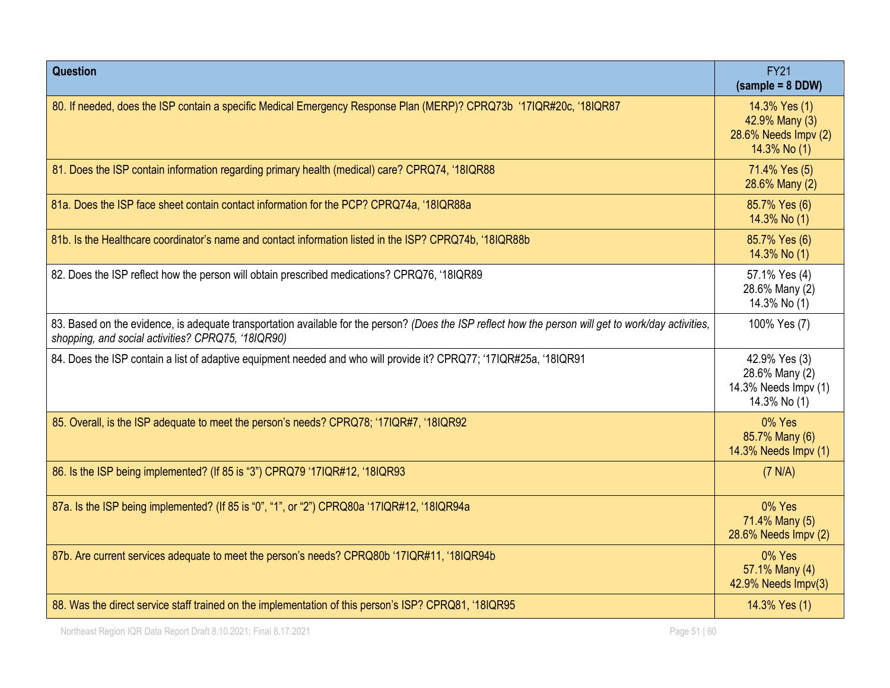| Question                                                                                                                                                                                                    | <b>FY21</b><br>$(sample = 8 DDW)$                                       |
|-------------------------------------------------------------------------------------------------------------------------------------------------------------------------------------------------------------|-------------------------------------------------------------------------|
| 80. If needed, does the ISP contain a specific Medical Emergency Response Plan (MERP)? CPRQ73b '17IQR#20c, '18IQR87                                                                                         | 14.3% Yes (1)<br>42.9% Many (3)<br>28.6% Needs Impv (2)<br>14.3% No (1) |
| 81. Does the ISP contain information regarding primary health (medical) care? CPRQ74, '18IQR88                                                                                                              | 71.4% Yes (5)<br>28.6% Many (2)                                         |
| 81a. Does the ISP face sheet contain contact information for the PCP? CPRQ74a, '18IQR88a                                                                                                                    | 85.7% Yes (6)<br>14.3% No (1)                                           |
| 81b. Is the Healthcare coordinator's name and contact information listed in the ISP? CPRQ74b, '18IQR88b                                                                                                     | 85.7% Yes (6)<br>14.3% No (1)                                           |
| 82. Does the ISP reflect how the person will obtain prescribed medications? CPRQ76, '18IQR89                                                                                                                | 57.1% Yes (4)<br>28.6% Many (2)<br>14.3% No (1)                         |
| 83. Based on the evidence, is adequate transportation available for the person? (Does the ISP reflect how the person will get to work/day activities,<br>shopping, and social activities? CPRQ75, '18IQR90) | 100% Yes (7)                                                            |
| 84. Does the ISP contain a list of adaptive equipment needed and who will provide it? CPRQ77; '17IQR#25a, '18IQR91                                                                                          | 42.9% Yes (3)<br>28.6% Many (2)<br>14.3% Needs Impv (1)<br>14.3% No (1) |
| 85. Overall, is the ISP adequate to meet the person's needs? CPRQ78; '17IQR#7, '18IQR92                                                                                                                     | 0% Yes<br>85.7% Many (6)<br>14.3% Needs Impv (1)                        |
| 86. Is the ISP being implemented? (If 85 is "3") CPRQ79 '17IQR#12, '18IQR93                                                                                                                                 | (7 N/A)                                                                 |
| 87a. Is the ISP being implemented? (If 85 is "0", "1", or "2") CPRQ80a '17IQR#12, '18IQR94a                                                                                                                 | 0% Yes<br>71.4% Many (5)<br>28.6% Needs Impv (2)                        |
| 87b. Are current services adequate to meet the person's needs? CPRQ80b '17IQR#11, '18IQR94b                                                                                                                 | 0% Yes<br>57.1% Many (4)<br>42.9% Needs Impv(3)                         |
| 88. Was the direct service staff trained on the implementation of this person's ISP? CPRQ81, '18IQR95                                                                                                       | 14.3% Yes (1)                                                           |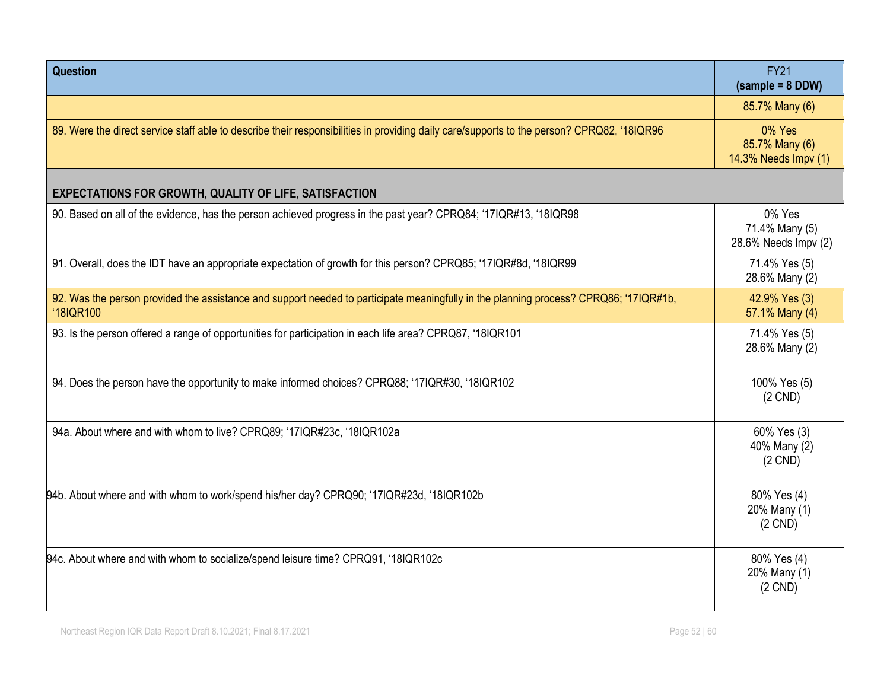| Question                                                                                                                                           | <b>FY21</b><br>$(sample = 8 DDW)$                |
|----------------------------------------------------------------------------------------------------------------------------------------------------|--------------------------------------------------|
|                                                                                                                                                    | 85.7% Many (6)                                   |
| 89. Were the direct service staff able to describe their responsibilities in providing daily care/supports to the person? CPRQ82, '18IQR96         | 0% Yes<br>85.7% Many (6)<br>14.3% Needs Impv (1) |
| <b>EXPECTATIONS FOR GROWTH, QUALITY OF LIFE, SATISFACTION</b>                                                                                      |                                                  |
| 90. Based on all of the evidence, has the person achieved progress in the past year? CPRQ84; '17IQR#13, '18IQR98                                   | 0% Yes<br>71.4% Many (5)<br>28.6% Needs Impv (2) |
| 91. Overall, does the IDT have an appropriate expectation of growth for this person? CPRQ85; '17IQR#8d, '18IQR99                                   | 71.4% Yes (5)<br>28.6% Many (2)                  |
| 92. Was the person provided the assistance and support needed to participate meaningfully in the planning process? CPRQ86; '17IQR#1b,<br>'18IQR100 | 42.9% Yes (3)<br>57.1% Many (4)                  |
| 93. Is the person offered a range of opportunities for participation in each life area? CPRQ87, '18IQR101                                          | 71.4% Yes (5)<br>28.6% Many (2)                  |
| 94. Does the person have the opportunity to make informed choices? CPRQ88; '17IQR#30, '18IQR102                                                    | 100% Yes (5)<br>$(2$ CND)                        |
| 94a. About where and with whom to live? CPRQ89; '17IQR#23c, '18IQR102a                                                                             | 60% Yes (3)<br>40% Many (2)<br>$(2$ CND)         |
| 94b. About where and with whom to work/spend his/her day? CPRQ90; '17IQR#23d, '18IQR102b                                                           | 80% Yes (4)<br>20% Many (1)<br>$(2$ CND)         |
| 94c. About where and with whom to socialize/spend leisure time? CPRQ91, '18IQR102c                                                                 | 80% Yes (4)<br>20% Many (1)<br>$(2$ CND)         |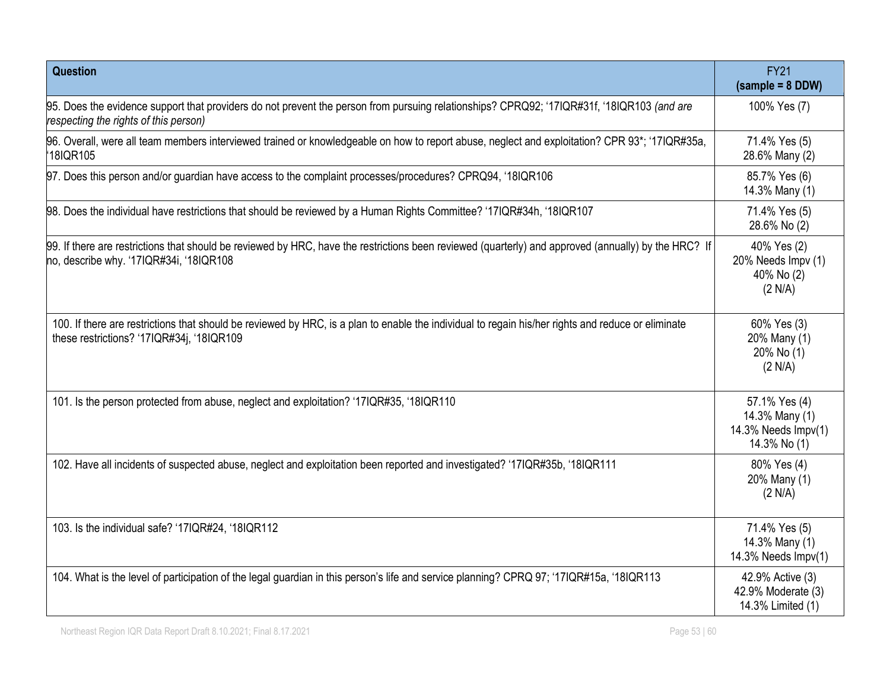| <b>Question</b>                                                                                                                                                                                  | <b>FY21</b><br>$(sample = 8 DDW)$                                      |
|--------------------------------------------------------------------------------------------------------------------------------------------------------------------------------------------------|------------------------------------------------------------------------|
| 95. Does the evidence support that providers do not prevent the person from pursuing relationships? CPRQ92; '17IQR#31f, '18IQR103 (and are<br>respecting the rights of this person)              | 100% Yes (7)                                                           |
| 96. Overall, were all team members interviewed trained or knowledgeable on how to report abuse, neglect and exploitation? CPR 93*; '17IQR#35a,<br>18IQR105                                       | 71.4% Yes (5)<br>28.6% Many (2)                                        |
| 97. Does this person and/or guardian have access to the complaint processes/procedures? CPRQ94, '18IQR106                                                                                        | 85.7% Yes (6)<br>14.3% Many (1)                                        |
| 98. Does the individual have restrictions that should be reviewed by a Human Rights Committee? '17IQR#34h, '18IQR107                                                                             | 71.4% Yes (5)<br>28.6% No (2)                                          |
| [99. If there are restrictions that should be reviewed by HRC, have the restrictions been reviewed (quarterly) and approved (annually) by the HRC? If<br>no, describe why. '17IQR#34i, '18IQR108 | 40% Yes (2)<br>20% Needs Impv (1)<br>40% No (2)<br>(2 N/A)             |
| 100. If there are restrictions that should be reviewed by HRC, is a plan to enable the individual to regain his/her rights and reduce or eliminate<br>these restrictions? '17IQR#34j, '18IQR109  | 60% Yes (3)<br>20% Many (1)<br>20% No (1)<br>(2 N/A)                   |
| 101. Is the person protected from abuse, neglect and exploitation? '17IQR#35, '18IQR110                                                                                                          | 57.1% Yes (4)<br>14.3% Many (1)<br>14.3% Needs Impv(1)<br>14.3% No (1) |
| 102. Have all incidents of suspected abuse, neglect and exploitation been reported and investigated? '17IQR#35b, '18IQR111                                                                       | 80% Yes (4)<br>20% Many (1)<br>(2 N/A)                                 |
| 103. Is the individual safe? '17IQR#24, '18IQR112                                                                                                                                                | 71.4% Yes (5)<br>14.3% Many (1)<br>14.3% Needs Impv(1)                 |
| 104. What is the level of participation of the legal guardian in this person's life and service planning? CPRQ 97; '17IQR#15a, '18IQR113                                                         | 42.9% Active (3)<br>42.9% Moderate (3)<br>14.3% Limited (1)            |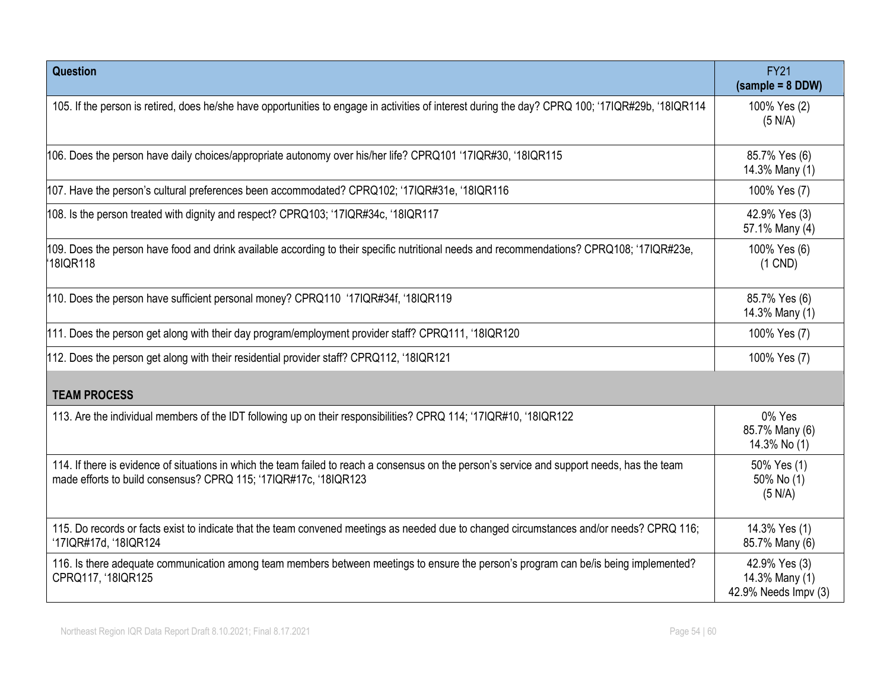| Question                                                                                                                                                                                                          | <b>FY21</b><br>$(sample = 8 DDW)$                       |
|-------------------------------------------------------------------------------------------------------------------------------------------------------------------------------------------------------------------|---------------------------------------------------------|
| 105. If the person is retired, does he/she have opportunities to engage in activities of interest during the day? CPRQ 100; '17IQR#29b, '18IQR114                                                                 | 100% Yes (2)<br>(5 N/A)                                 |
| 106. Does the person have daily choices/appropriate autonomy over his/her life? CPRQ101 '17IQR#30, '18IQR115                                                                                                      | 85.7% Yes (6)<br>14.3% Many (1)                         |
| 107. Have the person's cultural preferences been accommodated? CPRQ102; '17IQR#31e, '18IQR116                                                                                                                     | 100% Yes (7)                                            |
| 108. Is the person treated with dignity and respect? CPRQ103; '17IQR#34c, '18IQR117                                                                                                                               | 42.9% Yes (3)<br>57.1% Many (4)                         |
| 109. Does the person have food and drink available according to their specific nutritional needs and recommendations? CPRQ108; '17IQR#23e,<br>18IQR118                                                            | 100% Yes (6)<br>$(1$ CND)                               |
| 110. Does the person have sufficient personal money? CPRQ110 '17IQR#34f, '18IQR119                                                                                                                                | 85.7% Yes (6)<br>14.3% Many (1)                         |
| 111. Does the person get along with their day program/employment provider staff? CPRQ111, '18IQR120                                                                                                               | 100% Yes (7)                                            |
| 112. Does the person get along with their residential provider staff? CPRQ112, '18IQR121                                                                                                                          | 100% Yes (7)                                            |
| <b>TEAM PROCESS</b>                                                                                                                                                                                               |                                                         |
| 113. Are the individual members of the IDT following up on their responsibilities? CPRQ 114; '17IQR#10, '18IQR122                                                                                                 | 0% Yes<br>85.7% Many (6)<br>14.3% No (1)                |
| 114. If there is evidence of situations in which the team failed to reach a consensus on the person's service and support needs, has the team<br>made efforts to build consensus? CPRQ 115; '17IQR#17c, '18IQR123 | 50% Yes (1)<br>50% No (1)<br>(5 N/A)                    |
| 115. Do records or facts exist to indicate that the team convened meetings as needed due to changed circumstances and/or needs? CPRQ 116;<br>'17IQR#17d, '18IQR124                                                | 14.3% Yes (1)<br>85.7% Many (6)                         |
| 116. Is there adequate communication among team members between meetings to ensure the person's program can be/is being implemented?<br>CPRQ117, '18IQR125                                                        | 42.9% Yes (3)<br>14.3% Many (1)<br>42.9% Needs Impv (3) |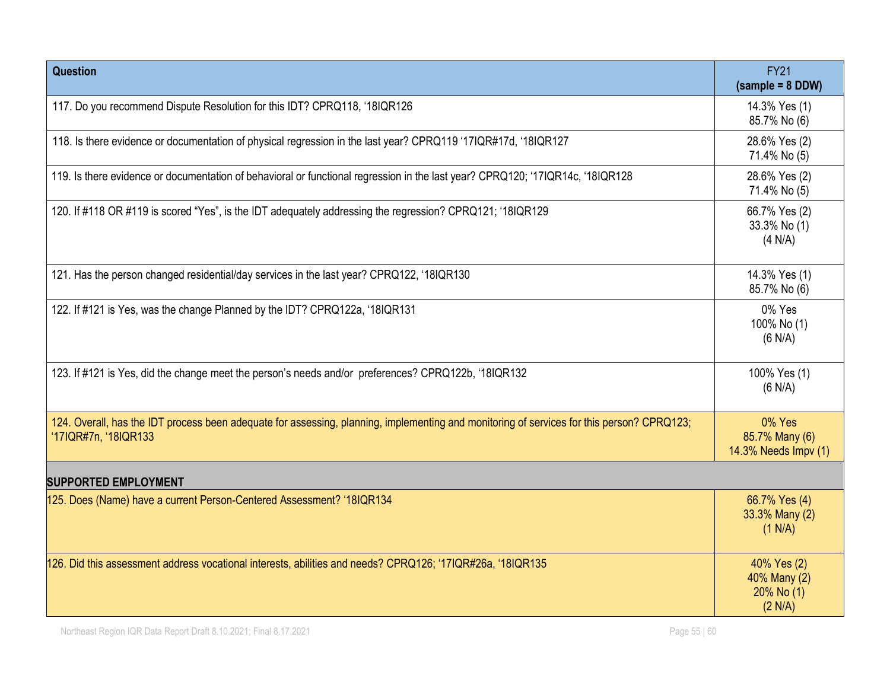| <b>Question</b>                                                                                                                                                    | <b>FY21</b><br>$(sample = 8 DDW)$                    |
|--------------------------------------------------------------------------------------------------------------------------------------------------------------------|------------------------------------------------------|
| 117. Do you recommend Dispute Resolution for this IDT? CPRQ118, '18IQR126                                                                                          | 14.3% Yes (1)<br>85.7% No (6)                        |
| 118. Is there evidence or documentation of physical regression in the last year? CPRQ119 '17IQR#17d, '18IQR127                                                     | 28.6% Yes (2)<br>71.4% No (5)                        |
| 119. Is there evidence or documentation of behavioral or functional regression in the last year? CPRQ120; '17IQR14c, '18IQR128                                     | 28.6% Yes (2)<br>71.4% No (5)                        |
| 120. If #118 OR #119 is scored "Yes", is the IDT adequately addressing the regression? CPRQ121; '18IQR129                                                          | 66.7% Yes (2)<br>33.3% No (1)<br>(4 N/A)             |
| 121. Has the person changed residential/day services in the last year? CPRQ122, '18IQR130                                                                          | 14.3% Yes (1)<br>85.7% No (6)                        |
| 122. If #121 is Yes, was the change Planned by the IDT? CPRQ122a, '18IQR131                                                                                        | 0% Yes<br>100% No (1)<br>(6 N/A)                     |
| 123. If #121 is Yes, did the change meet the person's needs and/or preferences? CPRQ122b, '18IQR132                                                                | 100% Yes (1)<br>(6 N/A)                              |
| 124. Overall, has the IDT process been adequate for assessing, planning, implementing and monitoring of services for this person? CPRQ123;<br>'17IQR#7n, '18IQR133 | 0% Yes<br>85.7% Many (6)<br>14.3% Needs Impv (1)     |
| <b>SUPPORTED EMPLOYMENT</b>                                                                                                                                        |                                                      |
| 125. Does (Name) have a current Person-Centered Assessment? '18IQR134                                                                                              | 66.7% Yes (4)<br>33.3% Many (2)<br>(1 N/A)           |
| 126. Did this assessment address vocational interests, abilities and needs? CPRQ126; '17IQR#26a, '18IQR135                                                         | 40% Yes (2)<br>40% Many (2)<br>20% No (1)<br>(2 N/A) |

Northeast Region IQR Data Report Draft 8.10.2021; Final 8.17.2021 Cases and the state of the state of the Separate Security Page 55 | 60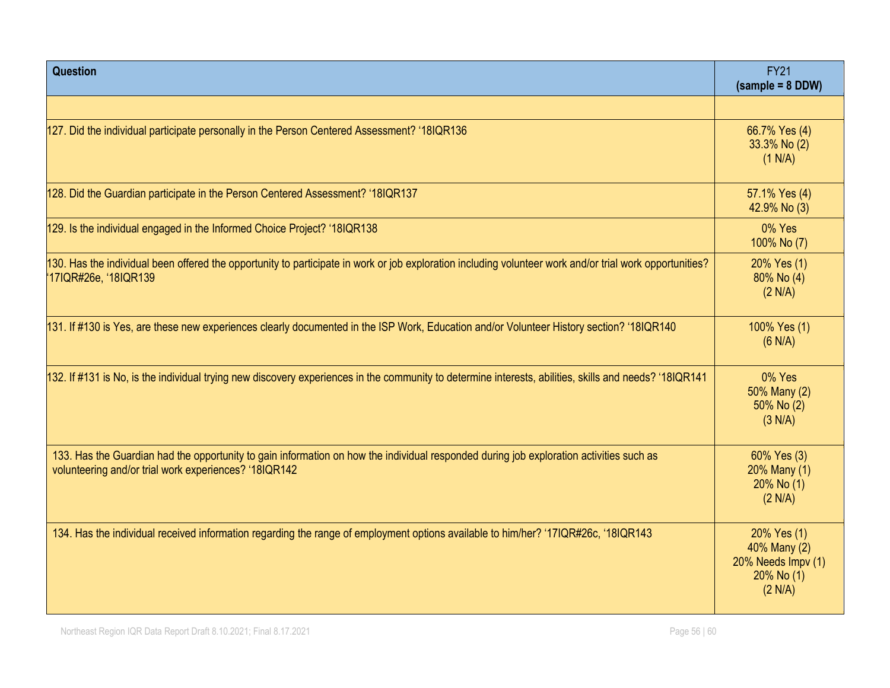| <b>Question</b>                                                                                                                                                                                  | <b>FY21</b><br>$(sample = 8 DDW)$                                          |
|--------------------------------------------------------------------------------------------------------------------------------------------------------------------------------------------------|----------------------------------------------------------------------------|
|                                                                                                                                                                                                  |                                                                            |
| 127. Did the individual participate personally in the Person Centered Assessment? '18IQR136                                                                                                      | 66.7% Yes (4)<br>33.3% No (2)<br>(1 N/A)                                   |
| 128. Did the Guardian participate in the Person Centered Assessment? '18IQR137                                                                                                                   | 57.1% Yes (4)<br>42.9% No (3)                                              |
| 129. Is the individual engaged in the Informed Choice Project? '18IQR138                                                                                                                         | 0% Yes<br>100% No (7)                                                      |
| 130. Has the individual been offered the opportunity to participate in work or job exploration including volunteer work and/or trial work opportunities?<br>17IQR#26e, '18IQR139'                | 20% Yes (1)<br>80% No (4)<br>(2 N/A)                                       |
| 131. If #130 is Yes, are these new experiences clearly documented in the ISP Work, Education and/or Volunteer History section? '18IQR140                                                         | 100% Yes (1)<br>(6 N/A)                                                    |
| 132. If #131 is No, is the individual trying new discovery experiences in the community to determine interests, abilities, skills and needs? '18IQR141                                           | 0% Yes<br>50% Many (2)<br>50% No (2)<br>(3 N/A)                            |
| 133. Has the Guardian had the opportunity to gain information on how the individual responded during job exploration activities such as<br>volunteering and/or trial work experiences? '18IQR142 | 60% Yes (3)<br>20% Many (1)<br>20% No (1)<br>(2 N/A)                       |
| 134. Has the individual received information regarding the range of employment options available to him/her? '17IQR#26c, '18IQR143                                                               | 20% Yes (1)<br>40% Many (2)<br>20% Needs Impv (1)<br>20% No (1)<br>(2 N/A) |

Northeast Region IQR Data Report Draft 8.10.2021; Final 8.17.2021 Cases and the state of the state of the Separate Section 1 and the Page 56 | 60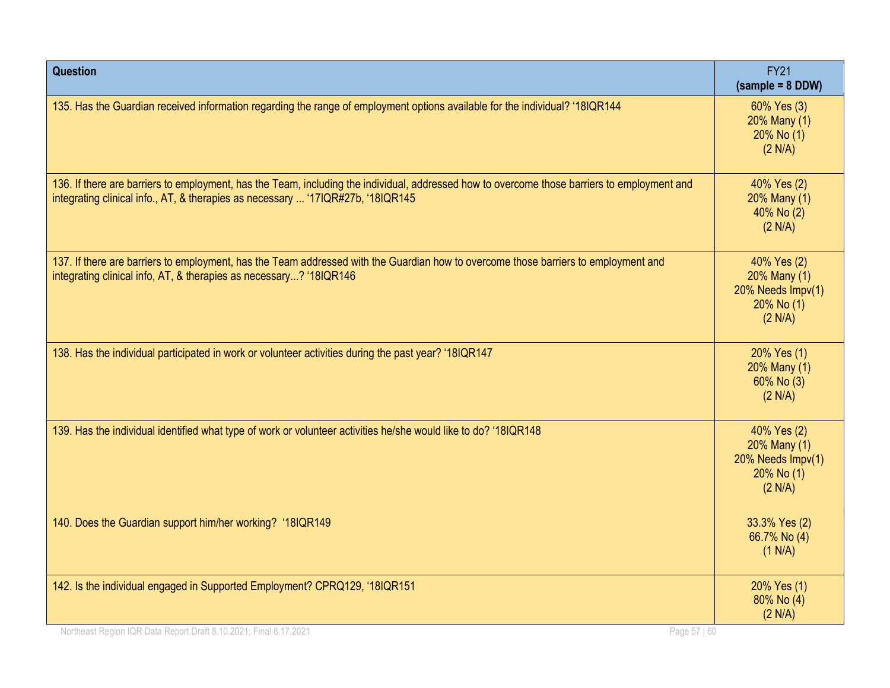| Question                                                                                                                                                                                                                        | <b>FY21</b><br>$(sample = 8 DDW)$                                         |
|---------------------------------------------------------------------------------------------------------------------------------------------------------------------------------------------------------------------------------|---------------------------------------------------------------------------|
| 135. Has the Guardian received information regarding the range of employment options available for the individual? '18IQR144                                                                                                    | 60% Yes (3)<br>20% Many (1)<br>20% No (1)<br>(2 N/A)                      |
| 136. If there are barriers to employment, has the Team, including the individual, addressed how to overcome those barriers to employment and<br>integrating clinical info., AT, & therapies as necessary  '17IQR#27b, '18IQR145 | 40% Yes (2)<br>20% Many (1)<br>40% No (2)<br>(2 N/A)                      |
| 137. If there are barriers to employment, has the Team addressed with the Guardian how to overcome those barriers to employment and<br>integrating clinical info, AT, & therapies as necessary? '18IQR146                       | 40% Yes (2)<br>20% Many (1)<br>20% Needs Impv(1)<br>20% No (1)<br>(2 N/A) |
| 138. Has the individual participated in work or volunteer activities during the past year? '18IQR147                                                                                                                            | 20% Yes (1)<br>20% Many (1)<br>60% No (3)<br>(2 N/A)                      |
| 139. Has the individual identified what type of work or volunteer activities he/she would like to do? '18IQR148                                                                                                                 | 40% Yes (2)<br>20% Many (1)<br>20% Needs Impv(1)<br>20% No (1)<br>(2 N/A) |
| 140. Does the Guardian support him/her working? '18IQR149                                                                                                                                                                       | 33.3% Yes (2)<br>66.7% No (4)<br>(1 N/A)                                  |
| 142. Is the individual engaged in Supported Employment? CPRQ129, '18IQR151                                                                                                                                                      | 20% Yes (1)<br>80% No (4)<br>(2 N/A)                                      |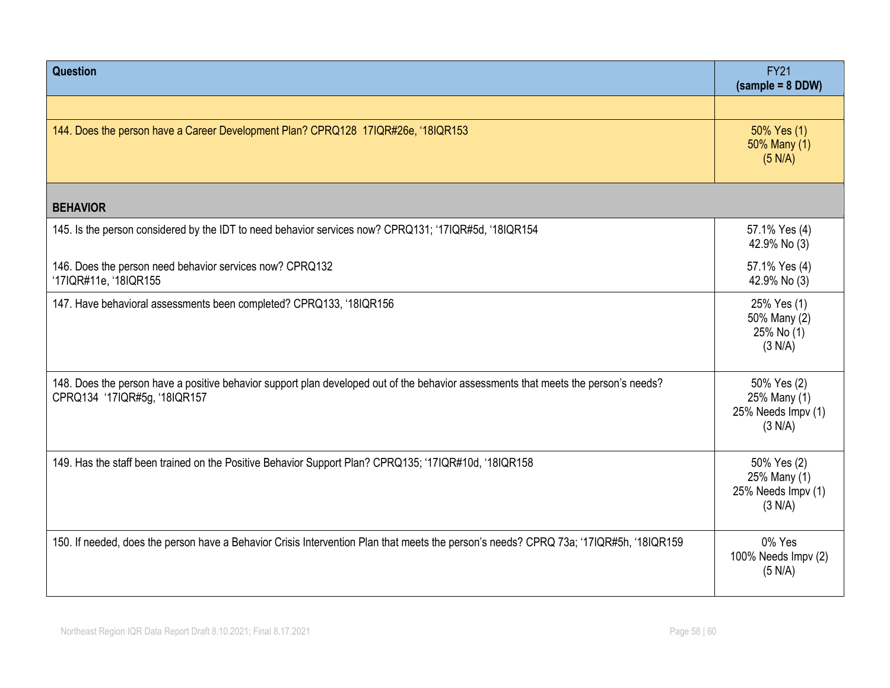| Question                                                                                                                                                            | <b>FY21</b><br>$(sample = 8 DDW)$                            |
|---------------------------------------------------------------------------------------------------------------------------------------------------------------------|--------------------------------------------------------------|
|                                                                                                                                                                     |                                                              |
| 144. Does the person have a Career Development Plan? CPRQ128 17IQR#26e, '18IQR153                                                                                   | 50% Yes (1)<br>50% Many (1)<br>(5 N/A)                       |
| <b>BEHAVIOR</b>                                                                                                                                                     |                                                              |
| 145. Is the person considered by the IDT to need behavior services now? CPRQ131; '17IQR#5d, '18IQR154                                                               | 57.1% Yes (4)<br>42.9% No (3)                                |
| 146. Does the person need behavior services now? CPRQ132<br>'17IQR#11e, '18IQR155                                                                                   | 57.1% Yes (4)<br>42.9% No (3)                                |
| 147. Have behavioral assessments been completed? CPRQ133, '18IQR156                                                                                                 | 25% Yes (1)<br>50% Many (2)<br>25% No (1)<br>(3 N/A)         |
| 148. Does the person have a positive behavior support plan developed out of the behavior assessments that meets the person's needs?<br>CPRQ134 '17IQR#5g, '18IQR157 | 50% Yes (2)<br>25% Many (1)<br>25% Needs Impv (1)<br>(3 N/A) |
| 149. Has the staff been trained on the Positive Behavior Support Plan? CPRQ135; '17IQR#10d, '18IQR158                                                               | 50% Yes (2)<br>25% Many (1)<br>25% Needs Impv (1)<br>(3 N/A) |
| 150. If needed, does the person have a Behavior Crisis Intervention Plan that meets the person's needs? CPRQ 73a; '17IQR#5h, '18IQR159                              | 0% Yes<br>100% Needs Impv (2)<br>(5 N/A)                     |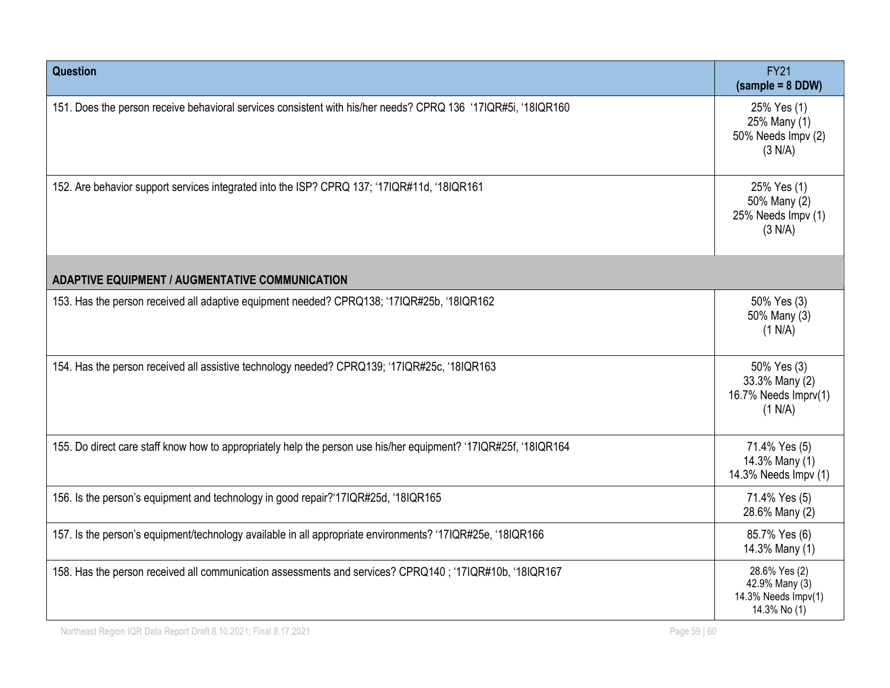| Question                                                                                                         | <b>FY21</b><br>$(sample = 8 DDW)$                                      |
|------------------------------------------------------------------------------------------------------------------|------------------------------------------------------------------------|
| 151. Does the person receive behavioral services consistent with his/her needs? CPRQ 136 '17IQR#5i, '18IQR160    | 25% Yes (1)<br>25% Many (1)<br>50% Needs Impv (2)<br>(3 N/A)           |
| 152. Are behavior support services integrated into the ISP? CPRQ 137; '17IQR#11d, '18IQR161                      | 25% Yes (1)<br>50% Many (2)<br>25% Needs Impv (1)<br>(3 N/A)           |
| <b>ADAPTIVE EQUIPMENT / AUGMENTATIVE COMMUNICATION</b>                                                           |                                                                        |
| 153. Has the person received all adaptive equipment needed? CPRQ138; '17IQR#25b, '18IQR162                       | 50% Yes (3)<br>50% Many (3)<br>(1 N/A)                                 |
| 154. Has the person received all assistive technology needed? CPRQ139; '17IQR#25c, '18IQR163                     | 50% Yes (3)<br>33.3% Many (2)<br>16.7% Needs Imprv(1)<br>(1 N/A)       |
| 155. Do direct care staff know how to appropriately help the person use his/her equipment? '17IQR#25f, '18IQR164 | 71.4% Yes (5)<br>14.3% Many (1)<br>14.3% Needs Impv (1)                |
| 156. Is the person's equipment and technology in good repair?'17IQR#25d, '18IQR165                               | 71.4% Yes (5)<br>28.6% Many (2)                                        |
| 157. Is the person's equipment/technology available in all appropriate environments? '17IQR#25e, '18IQR166       | 85.7% Yes (6)<br>14.3% Many (1)                                        |
| 158. Has the person received all communication assessments and services? CPRQ140; '17IQR#10b, '18IQR167          | 28.6% Yes (2)<br>42.9% Many (3)<br>14.3% Needs Impv(1)<br>14.3% No (1) |

Northeast Region IQR Data Report Draft 8.10.2021; Final 8.17.2021 Cases and the state of the state of the Separate Security of the Page 59 | 60